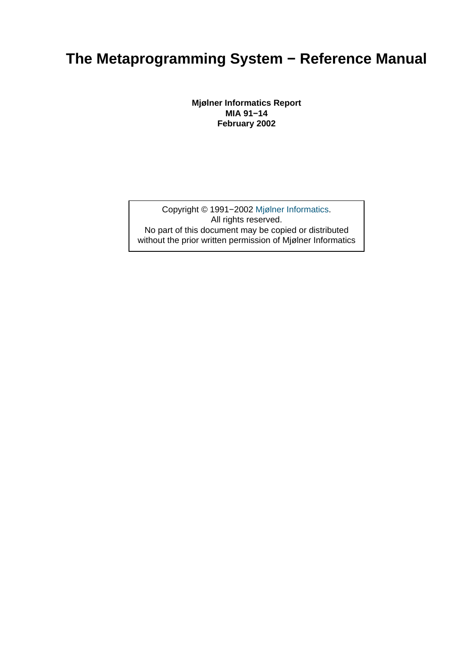## **The Metaprogramming System − Reference Manual**

**Mjølner Informatics Report MIA 91−14 February 2002**

Copyright © 1991−2002 Mjølner Informatics. All rights reserved. No part of this document may be copied or distributed without the prior written permis[sion of Mjølner Infor](http://www.mjolner.com)matics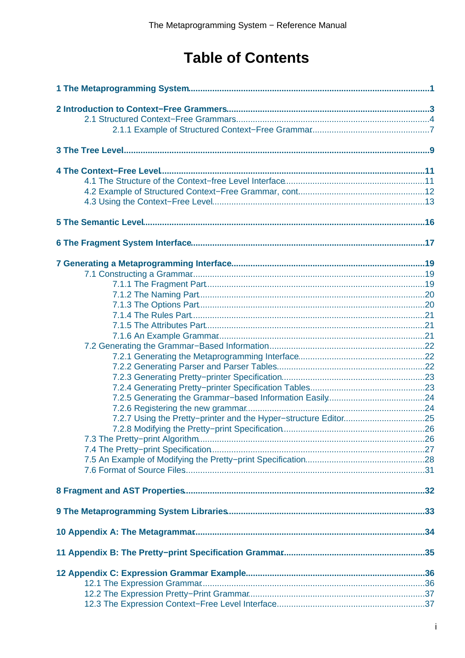## **Table of Contents**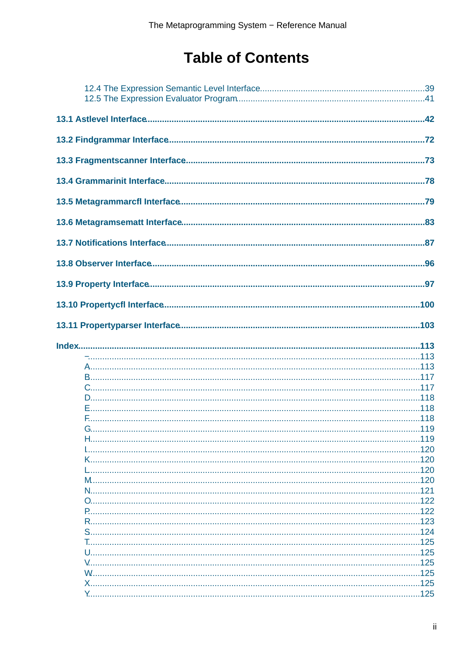## **Table of Contents**

| .119 |
|------|
|      |
|      |
|      |
|      |
|      |
|      |
|      |
|      |
|      |
|      |
|      |
|      |
|      |
|      |
|      |
|      |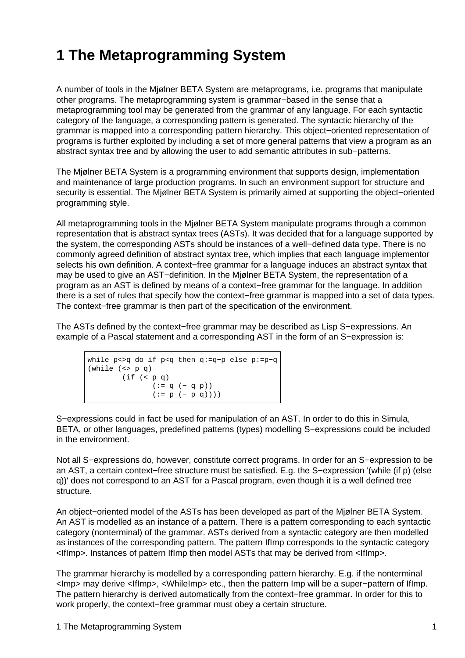# <span id="page-3-0"></span>**1 The Metaprogramming System**

A number of tools in the Mjølner BETA System are metaprograms, i.e. programs that manipulate other programs. The metaprogramming system is grammar−based in the sense that a metaprogramming tool may be generated from the grammar of any language. For each syntactic category of the language, a corresponding pattern is generated. The syntactic hierarchy of the grammar is mapped into a corresponding pattern hierarchy. This object−oriented representation of programs is further exploited by including a set of more general patterns that view a program as an abstract syntax tree and by allowing the user to add semantic attributes in sub−patterns.

The Mjølner BETA System is a programming environment that supports design, implementation and maintenance of large production programs. In such an environment support for structure and security is essential. The Mjølner BETA System is primarily aimed at supporting the object−oriented programming style.

All metaprogramming tools in the Mjølner BETA System manipulate programs through a common representation that is abstract syntax trees (ASTs). It was decided that for a language supported by the system, the corresponding ASTs should be instances of a well−defined data type. There is no commonly agreed definition of abstract syntax tree, which implies that each language implementor selects his own definition. A context−free grammar for a language induces an abstract syntax that may be used to give an AST−definition. In the Mjølner BETA System, the representation of a program as an AST is defined by means of a context−free grammar for the language. In addition there is a set of rules that specify how the context−free grammar is mapped into a set of data types. The context−free grammar is then part of the specification of the environment.

The ASTs defined by the context−free grammar may be described as Lisp S−expressions. An example of a Pascal statement and a corresponding AST in the form of an S−expression is:

```
while p<>q do if p<q then q:=q−p else p:=p−q
(while (<> p q)
        (if (< p q)
                (:= q (− q p))
                (:= p (− p q))))
```
S−expressions could in fact be used for manipulation of an AST. In order to do this in Simula, BETA, or other languages, predefined patterns (types) modelling S−expressions could be included in the environment.

Not all S−expressions do, however, constitute correct programs. In order for an S−expression to be an AST, a certain context−free structure must be satisfied. E.g. the S−expression '(while (if p) (else q))' does not correspond to an AST for a Pascal program, even though it is a well defined tree structure.

An object−oriented model of the ASTs has been developed as part of the Mjølner BETA System. An AST is modelled as an instance of a pattern. There is a pattern corresponding to each syntactic category (nonterminal) of the grammar. ASTs derived from a syntactic category are then modelled as instances of the corresponding pattern. The pattern IfImp corresponds to the syntactic category <IfImp>. Instances of pattern IfImp then model ASTs that may be derived from <IfImp>.

The grammar hierarchy is modelled by a corresponding pattern hierarchy. E.g. if the nonterminal <Imp> may derive <IfImp>, <WhileImp> etc., then the pattern Imp will be a super−pattern of IfImp. The pattern hierarchy is derived automatically from the context−free grammar. In order for this to work properly, the context−free grammar must obey a certain structure.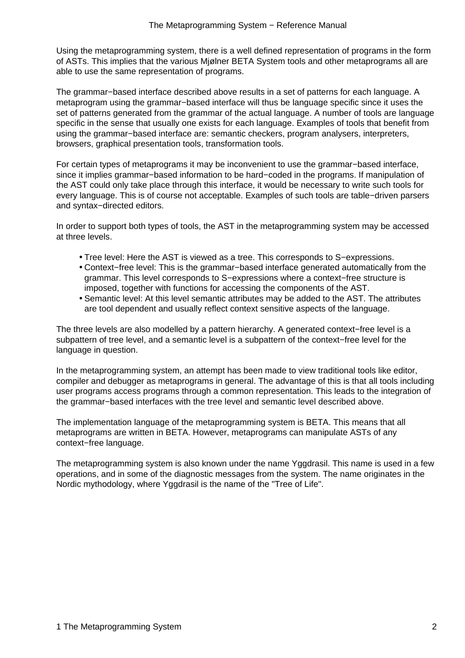Using the metaprogramming system, there is a well defined representation of programs in the form of ASTs. This implies that the various Mjølner BETA System tools and other metaprograms all are able to use the same representation of programs.

The grammar−based interface described above results in a set of patterns for each language. A metaprogram using the grammar−based interface will thus be language specific since it uses the set of patterns generated from the grammar of the actual language. A number of tools are language specific in the sense that usually one exists for each language. Examples of tools that benefit from using the grammar−based interface are: semantic checkers, program analysers, interpreters, browsers, graphical presentation tools, transformation tools.

For certain types of metaprograms it may be inconvenient to use the grammar−based interface, since it implies grammar−based information to be hard−coded in the programs. If manipulation of the AST could only take place through this interface, it would be necessary to write such tools for every language. This is of course not acceptable. Examples of such tools are table−driven parsers and syntax−directed editors.

In order to support both types of tools, the AST in the metaprogramming system may be accessed at three levels.

- Tree level: Here the AST is viewed as a tree. This corresponds to S−expressions.
- Context−free level: This is the grammar−based interface generated automatically from the grammar. This level corresponds to S−expressions where a context−free structure is imposed, together with functions for accessing the components of the AST.
- Semantic level: At this level semantic attributes may be added to the AST. The attributes are tool dependent and usually reflect context sensitive aspects of the language.

The three levels are also modelled by a pattern hierarchy. A generated context−free level is a subpattern of tree level, and a semantic level is a subpattern of the context−free level for the language in question.

In the metaprogramming system, an attempt has been made to view traditional tools like editor, compiler and debugger as metaprograms in general. The advantage of this is that all tools including user programs access programs through a common representation. This leads to the integration of the grammar−based interfaces with the tree level and semantic level described above.

The implementation language of the metaprogramming system is BETA. This means that all metaprograms are written in BETA. However, metaprograms can manipulate ASTs of any context−free language.

The metaprogramming system is also known under the name Yggdrasil. This name is used in a few operations, and in some of the diagnostic messages from the system. The name originates in the Nordic mythodology, where Yggdrasil is the name of the "Tree of Life".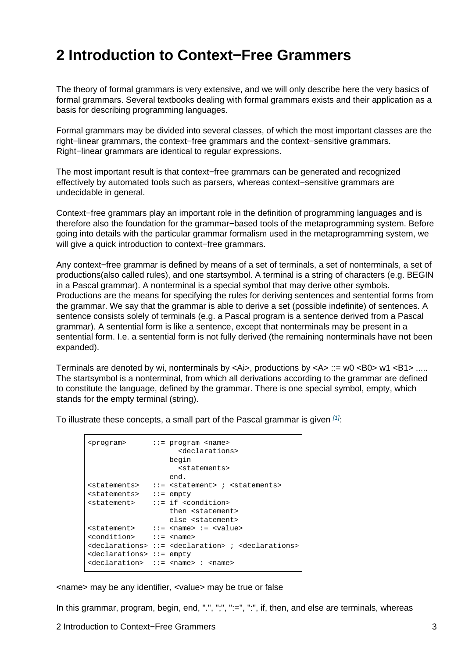## <span id="page-5-0"></span>**2 Introduction to Context−Free Grammers**

The theory of formal grammars is very extensive, and we will only describe here the very basics of formal grammars. Several textbooks dealing with formal grammars exists and their application as a basis for describing programming languages.

Formal grammars may be divided into several classes, of which the most important classes are the right−linear grammars, the context−free grammars and the context−sensitive grammars. Right−linear grammars are identical to regular expressions.

The most important result is that context−free grammars can be generated and recognized effectively by automated tools such as parsers, whereas context−sensitive grammars are undecidable in general.

Context−free grammars play an important role in the definition of programming languages and is therefore also the foundation for the grammar−based tools of the metaprogramming system. Before going into details with the particular grammar formalism used in the metaprogramming system, we will give a quick introduction to context−free grammars.

Any context−free grammar is defined by means of a set of terminals, a set of nonterminals, a set of productions(also called rules), and one startsymbol. A terminal is a string of characters (e.g. BEGIN in a Pascal grammar). A nonterminal is a special symbol that may derive other symbols. Productions are the means for specifying the rules for deriving sentences and sentential forms from the grammar. We say that the grammar is able to derive a set (possible indefinite) of sentences. A sentence consists solely of terminals (e.g. a Pascal program is a sentence derived from a Pascal grammar). A sentential form is like a sentence, except that nonterminals may be present in a sentential form. I.e. a sentential form is not fully derived (the remaining nonterminals have not been expanded).

Terminals are denoted by wi, nonterminals by  $\langle A \rangle$ , productions by  $\langle A \rangle$  ::= w0  $\langle B0 \rangle$  w1  $\langle B1 \rangle$  ..... The startsymbol is a nonterminal, from which all derivations according to the grammar are defined to constitute the language, defined by the grammar. There is one special symbol, empty, which stands for the empty terminal (string).

| <program></program>                     | ::= program <name><br/><declarations></declarations></name>                                            |
|-----------------------------------------|--------------------------------------------------------------------------------------------------------|
|                                         | begin                                                                                                  |
|                                         | <statements></statements>                                                                              |
|                                         | end.                                                                                                   |
|                                         | <statements> ::= <statement> ; <statements></statements></statement></statements>                      |
| $\texttt{cstatements}$ ::= empty        |                                                                                                        |
|                                         | $\text{statement}$ ::= if $\text{condition}$                                                           |
|                                         | then <statement></statement>                                                                           |
|                                         | else <statement></statement>                                                                           |
|                                         | $\text{statement}$ ::= $\text{name}$ := $\text{value}$                                                 |
| <condition></condition>                 | $\cdots$ = $<$ name>                                                                                   |
|                                         | $\alpha$ <declarations> ::= <declaration> ; <declarations></declarations></declaration></declarations> |
| <declarations> ::= empty</declarations> |                                                                                                        |
|                                         | <declaration> ::= <name> : <name></name></name></declaration>                                          |

To illustrate these concepts, a small part of the Pascal grammar is given  $[1]$ :

<name> may be any identifier, <value> may be true or false

In this grammar, program, begin, end, ".", ";", ":=", ":", if, then, and else are terminals, whereas

2 Introduction to Context−Free Grammers 3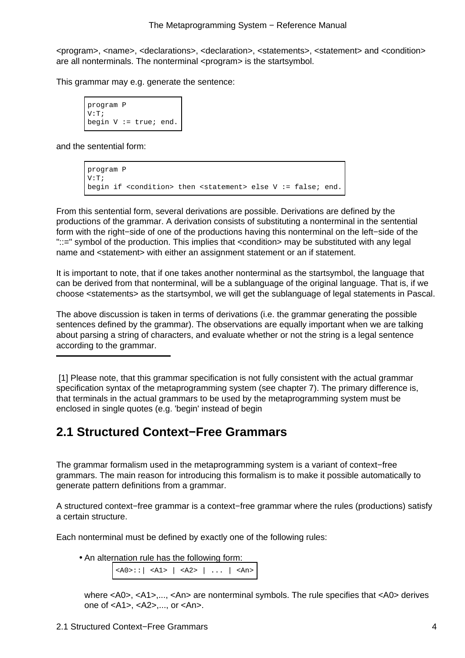<program>, <name>, <declarations>, <declaration>, <statements>, <statement> and <condition> are all nonterminals. The nonterminal <program> is the startsymbol.

This grammar may e.g. generate the sentence:

```
program P
V:T;
begin V := true; end.
```
and the sentential form:

```
program P
V:T;
begin if <condition> then <statement> else V := false; end.
```
From this sentential form, several derivations are possible. Derivations are defined by the productions of the grammar. A derivation consists of substituting a nonterminal in the sentential form with the right−side of one of the productions having this nonterminal on the left−side of the "::=" symbol of the production. This implies that <condition> may be substituted with any legal name and <statement> with either an assignment statement or an if statement.

It is important to note, that if one takes another nonterminal as the startsymbol, the language that can be derived from that nonterminal, will be a sublanguage of the original language. That is, if we choose <statements> as the startsymbol, we will get the sublanguage of legal statements in Pascal.

The above discussion is taken in terms of derivations (i.e. the grammar generating the possible sentences defined by the grammar). The observations are equally important when we are talking about parsing a string of characters, and evaluate whether or not the string is a legal sentence according to the grammar.

 [1] Please note, that this grammar specification is not fully consistent with the actual grammar specification syntax of the metaprogramming system (see chapter 7). The primary difference is, that terminals in the actual grammars to be used by the metaprogramming system must be enclosed in single quotes (e.g. 'begin' instead of begin

### **2.1 Structured Context−Free Grammars**

The grammar formalism used in the metaprogramming system is a variant of context−free grammars. The main reason for introducing this formalism is to make it possible automatically to generate pattern definitions from a grammar.

A structured context−free grammar is a context−free grammar where the rules (productions) satisfy a certain structure.

Each nonterminal must be defined by exactly one of the following rules:

• An alternation rule has the following form:

```
\langle A0 \rangle:: | \langle A1 \rangle | \langle A2 \rangle | \dots | \langle A2 \rangle
```

```
where <A0>, <A1>,..., <An> are nonterminal symbols. The rule specifies that <A0> derives
one of <A1>, <A2>,..., or <An>.
```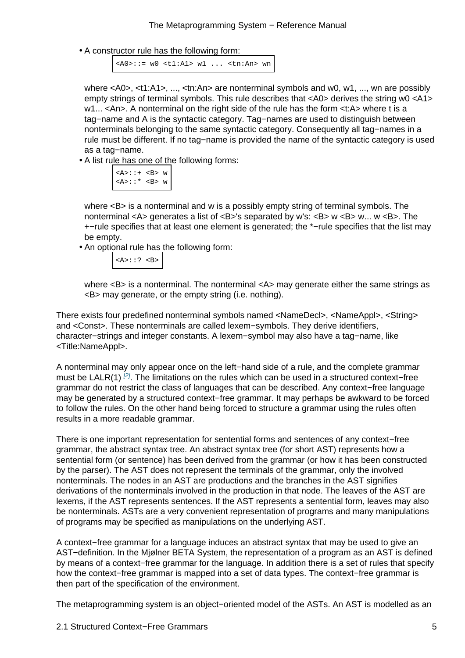• A constructor rule has the following form:

 $<$ A0>::= w0  $<$ t1:A1> w1 ...  $<$ tn:An> wn

where <A0>, <t1:A1>, ..., <tn:An> are nonterminal symbols and w0, w1, ..., wn are possibly empty strings of terminal symbols. This rule describes that <A0> derives the string w0 <A1>  $w1...$  <An>. A nonterminal on the right side of the rule has the form <t:A> where t is a tag−name and A is the syntactic category. Tag−names are used to distinguish between nonterminals belonging to the same syntactic category. Consequently all tag−names in a rule must be different. If no tag−name is provided the name of the syntactic category is used as a tag−name.

• A list rule has one of the following forms:

| $\begin{cases} \langle A \rangle : :+ \langle B \rangle & w \\ \langle A \rangle : :* \langle B \rangle & w \end{cases}$ |  |
|--------------------------------------------------------------------------------------------------------------------------|--|

where <B> is a nonterminal and w is a possibly empty string of terminal symbols. The nonterminal <A> generates a list of <B>'s separated by w's: <B> w <B> w... w <B>. The +−rule specifies that at least one element is generated; the \*−rule specifies that the list may be empty.

• An optional rule has the following form:

 $$ 

where <B> is a nonterminal. The nonterminal <A> may generate either the same strings as <B> may generate, or the empty string (i.e. nothing).

There exists four predefined nonterminal symbols named <NameDecl>, <NameAppl>, <String> and <Const>. These nonterminals are called lexem−symbols. They derive identifiers, character−strings and integer constants. A lexem−symbol may also have a tag−name, like <Title:NameAppl>.

A nonterminal may only appear once on the left−hand side of a rule, and the complete grammar must be LALR(1) [2]. The limitations on the rules which can be used in a structured context−free grammar do not restrict the class of languages that can be described. Any context−free language may be generated by a structured context−free grammar. It may perhaps be awkward to be forced to follow the rules. On the other hand being forced to structure a grammar using the rules often results in a more [rea](#page-10-0)dable grammar.

There is one important representation for sentential forms and sentences of any context−free grammar, the abstract syntax tree. An abstract syntax tree (for short AST) represents how a sentential form (or sentence) has been derived from the grammar (or how it has been constructed by the parser). The AST does not represent the terminals of the grammar, only the involved nonterminals. The nodes in an AST are productions and the branches in the AST signifies derivations of the nonterminals involved in the production in that node. The leaves of the AST are lexems, if the AST represents sentences. If the AST represents a sentential form, leaves may also be nonterminals. ASTs are a very convenient representation of programs and many manipulations of programs may be specified as manipulations on the underlying AST.

A context−free grammar for a language induces an abstract syntax that may be used to give an AST−definition. In the Mjølner BETA System, the representation of a program as an AST is defined by means of a context−free grammar for the language. In addition there is a set of rules that specify how the context−free grammar is mapped into a set of data types. The context−free grammar is then part of the specification of the environment.

The metaprogramming system is an object−oriented model of the ASTs. An AST is modelled as an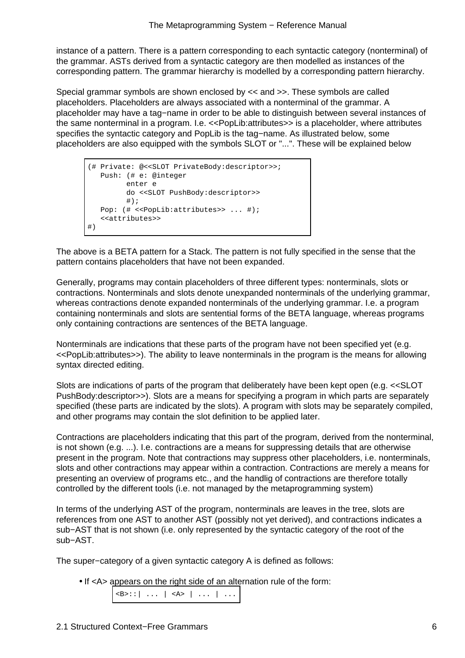instance of a pattern. There is a pattern corresponding to each syntactic category (nonterminal) of the grammar. ASTs derived from a syntactic category are then modelled as instances of the corresponding pattern. The grammar hierarchy is modelled by a corresponding pattern hierarchy.

Special grammar symbols are shown enclosed by << and >>. These symbols are called placeholders. Placeholders are always associated with a nonterminal of the grammar. A placeholder may have a tag−name in order to be able to distinguish between several instances of the same nonterminal in a program. I.e. <<PopLib:attributes>> is a placeholder, where attributes specifies the syntactic category and PopLib is the tag−name. As illustrated below, some placeholders are also equipped with the symbols SLOT or "...". These will be explained below

```
(# Private: @<<SLOT PrivateBody:descriptor>>;
     Push: (# e: @integer 
             enter e 
             do <<SLOT PushBody:descriptor>> 
             \#);
    Pop: (\# \langle \text{YPO} \rangle : \text{I} \land \text{YPO} \rangle : \text{I} \land \text{I} \land \text{I} \rangle <<attributes>> 
#)
```
The above is a BETA pattern for a Stack. The pattern is not fully specified in the sense that the pattern contains placeholders that have not been expanded.

Generally, programs may contain placeholders of three different types: nonterminals, slots or contractions. Nonterminals and slots denote unexpanded nonterminals of the underlying grammar, whereas contractions denote expanded nonterminals of the underlying grammar. I.e. a program containing nonterminals and slots are sentential forms of the BETA language, whereas programs only containing contractions are sentences of the BETA language.

Nonterminals are indications that these parts of the program have not been specified yet (e.g. <<PopLib:attributes>>). The ability to leave nonterminals in the program is the means for allowing syntax directed editing.

Slots are indications of parts of the program that deliberately have been kept open (e.g. <<SLOT PushBody:descriptor>>). Slots are a means for specifying a program in which parts are separately specified (these parts are indicated by the slots). A program with slots may be separately compiled, and other programs may contain the slot definition to be applied later.

Contractions are placeholders indicating that this part of the program, derived from the nonterminal, is not shown (e.g. ...). I.e. contractions are a means for suppressing details that are otherwise present in the program. Note that contractions may suppress other placeholders, i.e. nonterminals, slots and other contractions may appear within a contraction. Contractions are merely a means for presenting an overview of programs etc., and the handlig of contractions are therefore totally controlled by the different tools (i.e. not managed by the metaprogramming system)

In terms of the underlying AST of the program, nonterminals are leaves in the tree, slots are references from one AST to another AST (possibly not yet derived), and contractions indicates a sub−AST that is not shown (i.e. only represented by the syntactic category of the root of the sub−AST.

The super−category of a given syntactic category A is defined as follows:

• If <A> appears on the right side of an alternation rule of the form:

 $\langle B \rangle$ ::  $| \ldots | \langle A \rangle | \ldots | \ldots$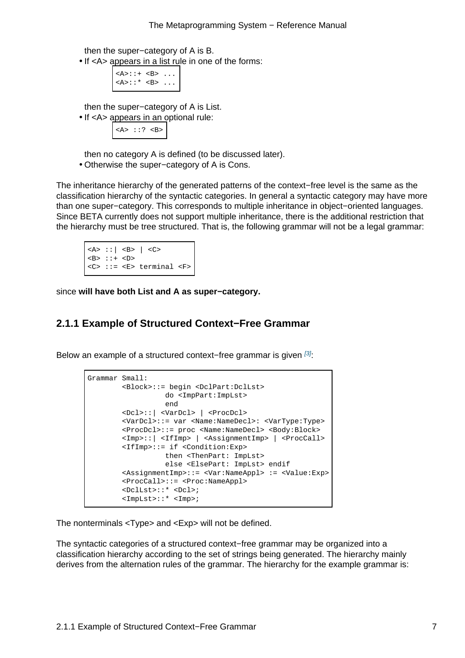then the super−category of A is B.

• If <A> appears in a list rule in one of the forms:



then the super−category of A is List.

• If <A> appears in an optional rule:

 $<\lambda>$  ::?  $<\beta>$ 

then no category A is defined (to be discussed later).

• Otherwise the super−category of A is Cons.

The inheritance hierarchy of the generated patterns of the context−free level is the same as the classification hierarchy of the syntactic categories. In general a syntactic category may have more than one super−category. This corresponds to multiple inheritance in object−oriented languages. Since BETA currently does not support multiple inheritance, there is the additional restriction that the hierarchy must be tree structured. That is, the following grammar will not be a legal grammar:

|                             |  | $ \langle A \rangle : :   \langle B \rangle   \langle C \rangle$ |  |
|-----------------------------|--|------------------------------------------------------------------|--|
| $\Big $ <b> ::+ <d></d></b> |  |                                                                  |  |
|                             |  | $\vert$ <c> ::= <e> terminal <f></f></e></c>                     |  |

since **will have both List and A as super−category.**

#### **2.1.1 Example of Structured Context−Free Grammar**

Below an example of a structured context–free grammar is given <sup>[3]</sup>:

```
Grammar Small:
         <Block>::= begin <DclPart:DclLst>
                  do <ImpPart:ImpLst>
                  end
         <Dcl>::| <VarDcl> | <ProcDcl>
         <VarDcl>::= var <Name:NameDecl>: <VarType:Type>
         <ProcDcl>::= proc <Name:NameDecl> <Body:Block>
         <Imp>::| <IfImp> | <AssignmentImp> | <ProcCall>
         <IfImp>::= if <Condition:Exp> 
                   then <ThenPart: ImpLst>
                   else <ElsePart: ImpLst> endif
         <AssignmentImp>::= <Var:NameAppl> := <Value:Exp>
         <ProcCall>::= <Proc:NameAppl>
         <DclLst>::* <Dcl>;
         <ImpLst>::* <Imp>;
```
The nonterminals <Type> and <Exp> will not be defined.

The syntactic categories of a structured context−free grammar may be organized into a classification hierarchy according to the set of strings being generated. The hierarchy mainly derives from the alternation rules of the grammar. The hierarchy for the example grammar is: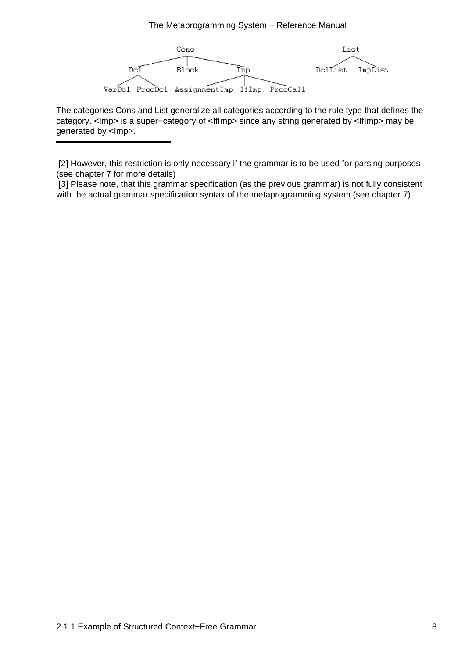#### The Metaprogramming System – Reference Manual

<span id="page-10-0"></span>

The categories Cons and List generalize all categories according to the rule type that defines the category. <Imp> is a super−category of <IfImp> since any string generated by <IfImp> may be generated by <Imp>.

 [3] Please note, that this grammar specification (as the previous grammar) is not fully consistent with the actual grammar specification syntax of the metaprogramming system (see chapter 7)

 <sup>[2]</sup> However, this restriction is only necessary if the grammar is to be used for parsing purposes (see chapter 7 for more details)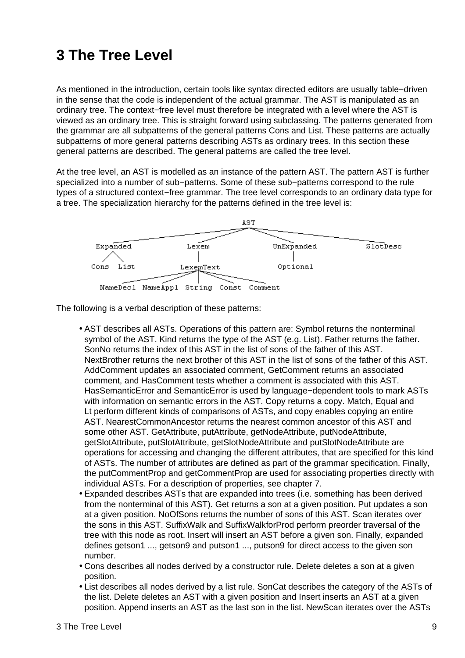## <span id="page-11-0"></span>**3 The Tree Level**

As mentioned in the introduction, certain tools like syntax directed editors are usually table−driven in the sense that the code is independent of the actual grammar. The AST is manipulated as an ordinary tree. The context−free level must therefore be integrated with a level where the AST is viewed as an ordinary tree. This is straight forward using subclassing. The patterns generated from the grammar are all subpatterns of the general patterns Cons and List. These patterns are actually subpatterns of more general patterns describing ASTs as ordinary trees. In this section these general patterns are described. The general patterns are called the tree level.

At the tree level, an AST is modelled as an instance of the pattern AST. The pattern AST is further specialized into a number of sub−patterns. Some of these sub−patterns correspond to the rule types of a structured context−free grammar. The tree level corresponds to an ordinary data type for a tree. The specialization hierarchy for the patterns defined in the tree level is:



The following is a verbal description of these patterns:

- AST describes all ASTs. Operations of this pattern are: Symbol returns the nonterminal symbol of the AST. Kind returns the type of the AST (e.g. List). Father returns the father. SonNo returns the index of this AST in the list of sons of the father of this AST. NextBrother returns the next brother of this AST in the list of sons of the father of this AST. AddComment updates an associated comment, GetComment returns an associated comment, and HasComment tests whether a comment is associated with this AST. HasSemanticError and SemanticError is used by language−dependent tools to mark ASTs with information on semantic errors in the AST. Copy returns a copy. Match, Equal and Lt perform different kinds of comparisons of ASTs, and copy enables copying an entire AST. NearestCommonAncestor returns the nearest common ancestor of this AST and some other AST. GetAttribute, putAttribute, getNodeAttribute, putNodeAttribute, getSlotAttribute, putSlotAttribute, getSlotNodeAttribute and putSlotNodeAttribute are operations for accessing and changing the different attributes, that are specified for this kind of ASTs. The number of attributes are defined as part of the grammar specification. Finally, the putCommentProp and getCommentProp are used for associating properties directly with individual ASTs. For a description of properties, see chapter 7.
- Expanded describes ASTs that are expanded into trees (i.e. something has been derived from the nonterminal of this AST). Get returns a son at a given position. Put updates a son at a given position. NoOfSons returns the number of sons of this AST. Scan iterates over the sons in this AST. SuffixWalk and SuffixWalkforProd perform preorder traversal of the tree with this node as root. Insert will insert an AST before a given son. Finally, expanded defines getson1 ..., getson9 and putson1 ..., putson9 for direct access to the given son number.
- Cons describes all nodes derived by a constructor rule. Delete deletes a son at a given position.
- List describes all nodes derived by a list rule. SonCat describes the category of the ASTs of the list. Delete deletes an AST with a given position and Insert inserts an AST at a given position. Append inserts an AST as the last son in the list. NewScan iterates over the ASTs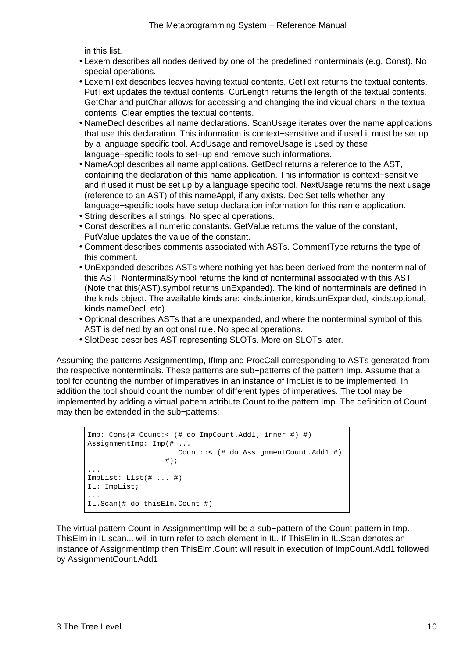in this list.

- Lexem describes all nodes derived by one of the predefined nonterminals (e.g. Const). No special operations.
- LexemText describes leaves having textual contents. GetText returns the textual contents. PutText updates the textual contents. CurLength returns the length of the textual contents. GetChar and putChar allows for accessing and changing the individual chars in the textual contents. Clear empties the textual contents.
- NameDecl describes all name declarations. ScanUsage iterates over the name applications that use this declaration. This information is context−sensitive and if used it must be set up by a language specific tool. AddUsage and removeUsage is used by these language−specific tools to set−up and remove such informations.
- NameAppl describes all name applications. GetDecl returns a reference to the AST, containing the declaration of this name application. This information is context−sensitive and if used it must be set up by a language specific tool. NextUsage returns the next usage (reference to an AST) of this nameAppl, if any exists. DeclSet tells whether any language−specific tools have setup declaration information for this name application.
- String describes all strings. No special operations.
- Const describes all numeric constants. GetValue returns the value of the constant, PutValue updates the value of the constant.
- Comment describes comments associated with ASTs. CommentType returns the type of this comment.
- UnExpanded describes ASTs where nothing yet has been derived from the nonterminal of this AST. NonterminalSymbol returns the kind of nonterminal associated with this AST (Note that this(AST).symbol returns unExpanded). The kind of nonterminals are defined in the kinds object. The available kinds are: kinds.interior, kinds.unExpanded, kinds.optional, kinds.nameDecl, etc).
- Optional describes ASTs that are unexpanded, and where the nonterminal symbol of this AST is defined by an optional rule. No special operations.
- SlotDesc describes AST representing SLOTs. More on SLOTs later.

Assuming the patterns AssignmentImp, IfImp and ProcCall corresponding to ASTs generated from the respective nonterminals. These patterns are sub−patterns of the pattern Imp. Assume that a tool for counting the number of imperatives in an instance of ImpList is to be implemented. In addition the tool should count the number of different types of imperatives. The tool may be implemented by adding a virtual pattern attribute Count to the pattern Imp. The definition of Count may then be extended in the sub−patterns:

```
Imp: Cons(# Count:< (# do ImpCount.Add1; inner #) #) 
AssignmentImp: Imp(# ... 
                      Count::< (# do AssignmentCount.Add1 #)
                   \#) :
... 
ImpList: List(# ... #) 
IL: ImpList; 
... 
IL.Scan(# do thisElm.Count #)
```
The virtual pattern Count in AssignmentImp will be a sub−pattern of the Count pattern in Imp. ThisElm in IL.scan... will in turn refer to each element in IL. If ThisElm in IL.Scan denotes an instance of AssignmentImp then ThisElm.Count will result in execution of ImpCount.Add1 followed by AssignmentCount.Add1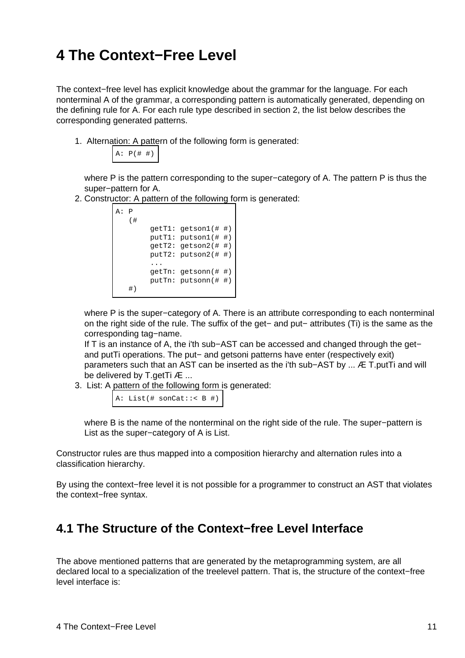## <span id="page-13-0"></span>**4 The Context−Free Level**

The context−free level has explicit knowledge about the grammar for the language. For each nonterminal A of the grammar, a corresponding pattern is automatically generated, depending on the defining rule for A. For each rule type described in section 2, the list below describes the corresponding generated patterns.

1. Alternation: A pattern of the following form is generated:

```
A: P(H# )
```
where P is the pattern corresponding to the super−category of A. The pattern P is thus the super−pattern for A.

2. Constructor: A pattern of the following form is generated:

```
A: P
    (#
         getT1: getson1(# #)
         putT1: putson1(# #)
         getT2: getson2(# #)
         putT2: putson2(# #)
         ... 
         getTn: getsonn(# #)
         putTn: putsonn(# #)
    #)
```
where P is the super−category of A. There is an attribute corresponding to each nonterminal on the right side of the rule. The suffix of the get− and put− attributes (Ti) is the same as the corresponding tag−name.

If T is an instance of A, the i'th sub−AST can be accessed and changed through the get− and putTi operations. The put− and getsoni patterns have enter (respectively exit) parameters such that an AST can be inserted as the i'th sub−AST by ... Æ T.putTi and will be delivered by T.getTi Æ ...

3. List: A pattern of the following form is generated:

A: List(# sonCat::< B #)

where B is the name of the nonterminal on the right side of the rule. The super−pattern is List as the super−category of A is List.

Constructor rules are thus mapped into a composition hierarchy and alternation rules into a classification hierarchy.

By using the context−free level it is not possible for a programmer to construct an AST that violates the context−free syntax.

### **4.1 The Structure of the Context−free Level Interface**

The above mentioned patterns that are generated by the metaprogramming system, are all declared local to a specialization of the treelevel pattern. That is, the structure of the context−free level interface is: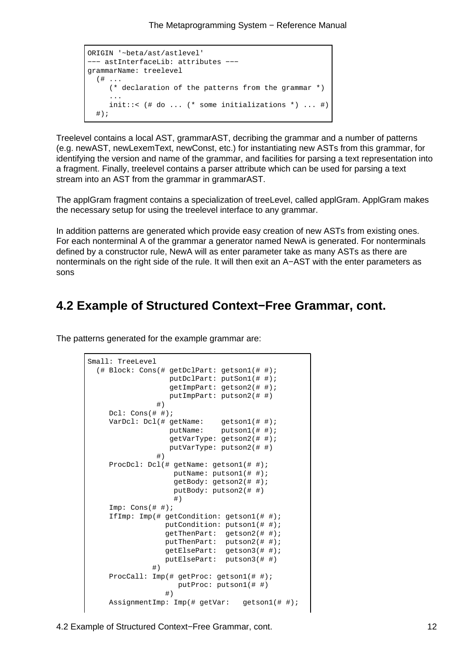```
ORIGIN '~beta/ast/astlevel'
−−− astInterfaceLib: attributes −−−
grammarName: treelevel
   (# ...
      (* declaration of the patterns from the grammar *)
 ...
     init::< (\# \ do \dots (*) some initializations *) \dots \#\#);
```
Treelevel contains a local AST, grammarAST, decribing the grammar and a number of patterns (e.g. newAST, newLexemText, newConst, etc.) for instantiating new ASTs from this grammar, for identifying the version and name of the grammar, and facilities for parsing a text representation into a fragment. Finally, treelevel contains a parser attribute which can be used for parsing a text stream into an AST from the grammar in grammarAST.

The applGram fragment contains a specialization of treeLevel, called applGram. ApplGram makes the necessary setup for using the treelevel interface to any grammar.

In addition patterns are generated which provide easy creation of new ASTs from existing ones. For each nonterminal A of the grammar a generator named NewA is generated. For nonterminals defined by a constructor rule, NewA will as enter parameter take as many ASTs as there are nonterminals on the right side of the rule. It will then exit an A−AST with the enter parameters as sons

### **4.2 Example of Structured Context−Free Grammar, cont.**

The patterns generated for the example grammar are:

```
Small: TreeLevel
  (# Block: Cons(# getDclPart: getson1(# #); 
                  putDclPart: putSon1(# #); 
                  getImpPart: getson2(# #); 
                  putImpPart: putson2(# #) 
               #) 
     Dcl: Cons(# #); 
 VarDcl: Dcl(# getName: getson1(# #); 
putName: putson1(# #);
                  getVarType: getson2(# #); 
                  putVarType: putson2(# #) 
 #) 
     ProcDcl: Dcl(# getName: getson1(# #); 
                   putName: putson1(# #); 
                   getBody: getson2(# #); 
                   putBody: putson2(# #) 
# )
     Imp: Cons(# #); 
     IfImp: Imp(# getCondition: getson1(# #);
                 putCondition: putson1(# #); 
                 getThenPart: getson2(# #); 
                 putThenPart: putson2(# #); 
                 getElsePart: getson3(# #); 
                 putElsePart: putson3(# #) 
               #) 
     ProcCall: Imp(# getProc: getson1(# #); 
                    putProc: putson1(# #) 
 #) 
     AssignmentImp: Imp(# getVar: getson1(# #);
```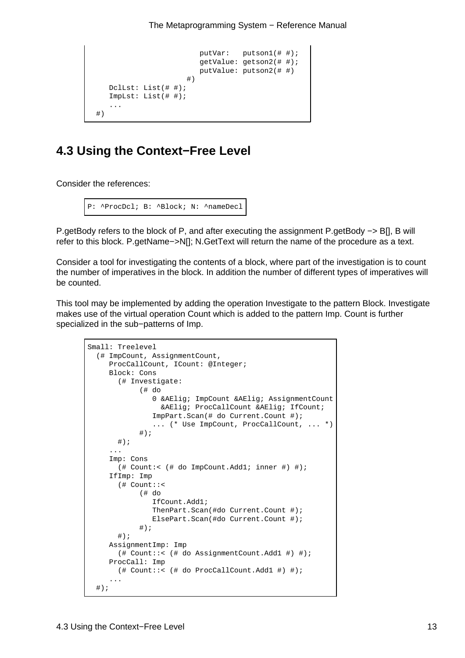```
 putVar: putson1(# #); 
                         getValue: getson2(# #);
                         putValue: putson2(# #) 
 #) 
     DclLst: List(# #); 
     ImpLst: List(# #); 
     ... 
  #)
```
### **4.3 Using the Context−Free Level**

Consider the references:

```
P: ^ProcDcl; B: ^Block; N: ^nameDecl
```
P.getBody refers to the block of P, and after executing the assignment P.getBody –> B[], B will refer to this block. P.getName−>N[]; N.GetText will return the name of the procedure as a text.

Consider a tool for investigating the contents of a block, where part of the investigation is to count the number of imperatives in the block. In addition the number of different types of imperatives will be counted.

This tool may be implemented by adding the operation Investigate to the pattern Block. Investigate makes use of the virtual operation Count which is added to the pattern Imp. Count is further specialized in the sub−patterns of Imp.

```
Small: Treelevel
   (# ImpCount, AssignmentCount,
      ProcCallCount, ICount: @Integer;
      Block: Cons
        (# Investigate:
              (# do
                0 & AElig; ImpCount & AElig; AssignmentCount
                  & AElig; ProcCallCount & AElig; IfCount;
                 ImpPart.Scan(# do Current.Count #);
                 ... (* Use ImpCount, ProcCallCount, ... *)
             #);
       \# ) \, ;
      ...
      Imp: Cons
        (# Count:< (# do ImpCount.Add1; inner #) #);
      IfImp: Imp
        (# Count::<
             (# do
                IfCount.Add1;
                ThenPart.Scan(#do Current.Count #);
                ElsePart.Scan(#do Current.Count #);
             #);
       \#);
      AssignmentImp: Imp
        (# Count::< (# do AssignmentCount.Add1 #) #);
      ProcCall: Imp
        (# Count::< (# do ProcCallCount.Add1 #) #);
      ...
   #);
```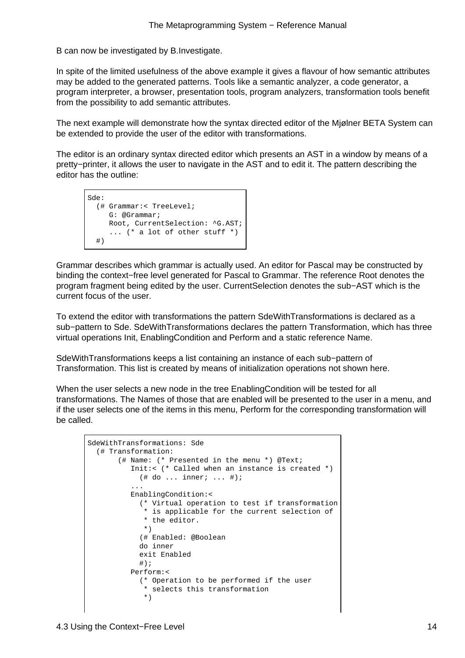B can now be investigated by B.Investigate.

In spite of the limited usefulness of the above example it gives a flavour of how semantic attributes may be added to the generated patterns. Tools like a semantic analyzer, a code generator, a program interpreter, a browser, presentation tools, program analyzers, transformation tools benefit from the possibility to add semantic attributes.

The next example will demonstrate how the syntax directed editor of the Mjølner BETA System can be extended to provide the user of the editor with transformations.

The editor is an ordinary syntax directed editor which presents an AST in a window by means of a pretty−printer, it allows the user to navigate in the AST and to edit it. The pattern describing the editor has the outline:

```
Sde:
   (# Grammar:< TreeLevel;
     G: @Grammar;
      Root, CurrentSelection: ^G.AST;
      ... (* a lot of other stuff *)
   #)
```
Grammar describes which grammar is actually used. An editor for Pascal may be constructed by binding the context−free level generated for Pascal to Grammar. The reference Root denotes the program fragment being edited by the user. CurrentSelection denotes the sub−AST which is the current focus of the user.

To extend the editor with transformations the pattern SdeWithTransformations is declared as a sub−pattern to Sde. SdeWithTransformations declares the pattern Transformation, which has three virtual operations Init, EnablingCondition and Perform and a static reference Name.

SdeWithTransformations keeps a list containing an instance of each sub−pattern of Transformation. This list is created by means of initialization operations not shown here.

When the user selects a new node in the tree EnablingCondition will be tested for all transformations. The Names of those that are enabled will be presented to the user in a menu, and if the user selects one of the items in this menu, Perform for the corresponding transformation will be called.

```
SdeWithTransformations: Sde
   (# Transformation:
        (# Name: (* Presented in the menu *) @Text;
           Init:< (* Called when an instance is created *)
            (\# \ do ... \ inner i ... \#);
 ...
           EnablingCondition:<
             (* Virtual operation to test if transformation
              * is applicable for the current selection of
              * the editor.
             *)
             (# Enabled: @Boolean
             do inner 
             exit Enabled
            \#);
           Perform:< 
             (* Operation to be performed if the user 
              * selects this transformation
 *)
```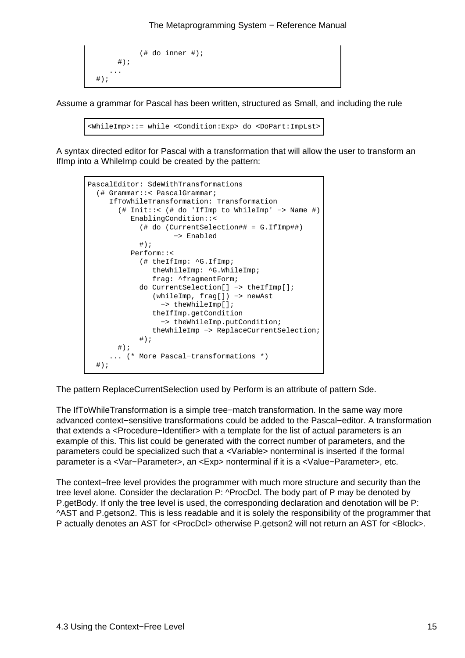```
(\# do inner \#);
      #);
     ...
 #);
```
Assume a grammar for Pascal has been written, structured as Small, and including the rule

```
<WhileImp>::= while <Condition:Exp> do <DoPart:ImpLst>
```
A syntax directed editor for Pascal with a transformation that will allow the user to transform an IfImp into a WhileImp could be created by the pattern:

```
PascalEditor: SdeWithTransformations
   (# Grammar::< PascalGrammar;
      IfToWhileTransformation: Transformation
        (# Init::< (# do 'IfImp to WhileImp' −> Name #)
           EnablingCondition::<
             (# do (CurrentSelection## = G.IfImp##)
                      −> Enabled
            \#) :
           Perform::<
             (# theIfImp: ^G.IfImp;
                theWhileImp: ^G.WhileImp;
                frag: ^fragmentForm;
             do CurrentSelection[] −> theIfImp[];
                (whileImp, frag[]) −> newAst
                   −> theWhileImp[];
                theIfImp.getCondition
                   −> theWhileImp.putCondition;
                theWhileImp −> ReplaceCurrentSelection;
            #);
       #);
      ... (* More Pascal−transformations *)
   #);
```
The pattern ReplaceCurrentSelection used by Perform is an attribute of pattern Sde.

The IfToWhileTransformation is a simple tree−match transformation. In the same way more advanced context−sensitive transformations could be added to the Pascal−editor. A transformation that extends a <Procedure−Identifier> with a template for the list of actual parameters is an example of this. This list could be generated with the correct number of parameters, and the parameters could be specialized such that a <Variable> nonterminal is inserted if the formal parameter is a <Var−Parameter>, an <Exp> nonterminal if it is a <Value−Parameter>, etc.

The context−free level provides the programmer with much more structure and security than the tree level alone. Consider the declaration P: ^ProcDcl. The body part of P may be denoted by P.getBody. If only the tree level is used, the corresponding declaration and denotation will be P: ^AST and P.getson2. This is less readable and it is solely the responsibility of the programmer that P actually denotes an AST for <ProcDcl> otherwise P.getson2 will not return an AST for <Block>.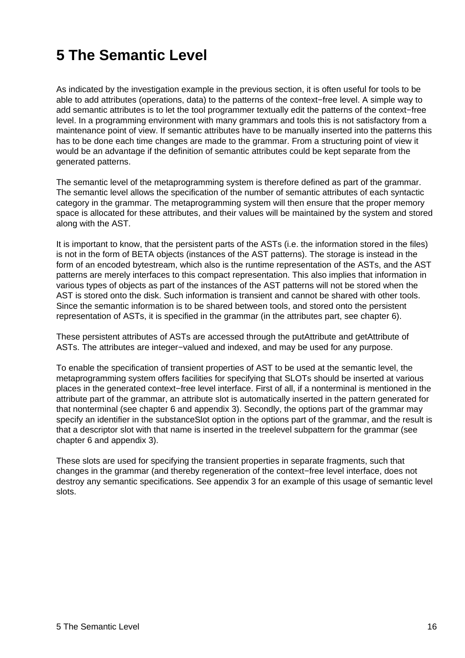## <span id="page-18-0"></span>**5 The Semantic Level**

As indicated by the investigation example in the previous section, it is often useful for tools to be able to add attributes (operations, data) to the patterns of the context−free level. A simple way to add semantic attributes is to let the tool programmer textually edit the patterns of the context−free level. In a programming environment with many grammars and tools this is not satisfactory from a maintenance point of view. If semantic attributes have to be manually inserted into the patterns this has to be done each time changes are made to the grammar. From a structuring point of view it would be an advantage if the definition of semantic attributes could be kept separate from the generated patterns.

The semantic level of the metaprogramming system is therefore defined as part of the grammar. The semantic level allows the specification of the number of semantic attributes of each syntactic category in the grammar. The metaprogramming system will then ensure that the proper memory space is allocated for these attributes, and their values will be maintained by the system and stored along with the AST.

It is important to know, that the persistent parts of the ASTs (i.e. the information stored in the files) is not in the form of BETA objects (instances of the AST patterns). The storage is instead in the form of an encoded bytestream, which also is the runtime representation of the ASTs, and the AST patterns are merely interfaces to this compact representation. This also implies that information in various types of objects as part of the instances of the AST patterns will not be stored when the AST is stored onto the disk. Such information is transient and cannot be shared with other tools. Since the semantic information is to be shared between tools, and stored onto the persistent representation of ASTs, it is specified in the grammar (in the attributes part, see chapter 6).

These persistent attributes of ASTs are accessed through the putAttribute and getAttribute of ASTs. The attributes are integer−valued and indexed, and may be used for any purpose.

To enable the specification of transient properties of AST to be used at the semantic level, the metaprogramming system offers facilities for specifying that SLOTs should be inserted at various places in the generated context−free level interface. First of all, if a nonterminal is mentioned in the attribute part of the grammar, an attribute slot is automatically inserted in the pattern generated for that nonterminal (see chapter 6 and appendix 3). Secondly, the options part of the grammar may specify an identifier in the substanceSlot option in the options part of the grammar, and the result is that a descriptor slot with that name is inserted in the treelevel subpattern for the grammar (see chapter 6 and appendix 3).

These slots are used for specifying the transient properties in separate fragments, such that changes in the grammar (and thereby regeneration of the context−free level interface, does not destroy any semantic specifications. See appendix 3 for an example of this usage of semantic level slots.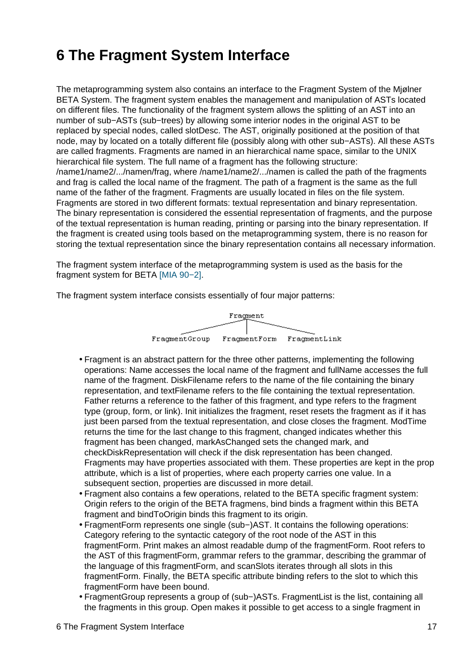## <span id="page-19-0"></span>**6 The Fragment System Interface**

The metaprogramming system also contains an interface to the Fragment System of the Mjølner BETA System. The fragment system enables the management and manipulation of ASTs located on different files. The functionality of the fragment system allows the splitting of an AST into an number of sub−ASTs (sub−trees) by allowing some interior nodes in the original AST to be replaced by special nodes, called slotDesc. The AST, originally positioned at the position of that node, may by located on a totally different file (possibly along with other sub−ASTs). All these ASTs are called fragments. Fragments are named in an hierarchical name space, similar to the UNIX hierarchical file system. The full name of a fragment has the following structure: /name1/name2/.../namen/frag, where /name1/name2/.../namen is called the path of the fragments and frag is called the local name of the fragment. The path of a fragment is the same as the full name of the father of the fragment. Fragments are usually located in files on the file system. Fragments are stored in two different formats: textual representation and binary representation. The binary representation is considered the essential representation of fragments, and the purpose of the textual representation is human reading, printing or parsing into the binary representation. If the fragment is created using tools based on the metaprogramming system, there is no reason for storing the textual representation since the binary representation contains all necessary information.

The fragment system interface of the metaprogramming system is used as the basis for the fragment system for BETA [MIA 90−2].

The fragment system interface consists essentially of four major patterns:



- Fragment is an abstract pattern for the three other patterns, implementing the following operations: Name accesses the local name of the fragment and fullName accesses the full name of the fragment. DiskFilename refers to the name of the file containing the binary representation, and textFilename refers to the file containing the textual representation. Father returns a reference to the father of this fragment, and type refers to the fragment type (group, form, or link). Init initializes the fragment, reset resets the fragment as if it has just been parsed from the textual representation, and close closes the fragment. ModTime returns the time for the last change to this fragment, changed indicates whether this fragment has been changed, markAsChanged sets the changed mark, and checkDiskRepresentation will check if the disk representation has been changed. Fragments may have properties associated with them. These properties are kept in the prop attribute, which is a list of properties, where each property carries one value. In a subsequent section, properties are discussed in more detail.
- Fragment also contains a few operations, related to the BETA specific fragment system: Origin refers to the origin of the BETA fragmens, bind binds a fragment within this BETA fragment and bindToOrigin binds this fragment to its origin.
- FragmentForm represents one single (sub−)AST. It contains the following operations: Category refering to the syntactic category of the root node of the AST in this fragmentForm. Print makes an almost readable dump of the fragmentForm. Root refers to the AST of this fragmentForm, grammar refers to the grammar, describing the grammar of the language of this fragmentForm, and scanSlots iterates through all slots in this fragmentForm. Finally, the BETA specific attribute binding refers to the slot to which this fragmentForm have been bound.
- FragmentGroup represents a group of (sub−)ASTs. FragmentList is the list, containing all the fragments in this group. Open makes it possible to get access to a single fragment in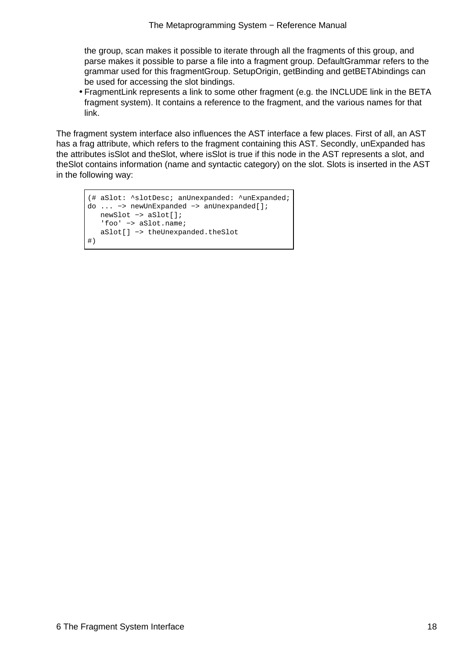the group, scan makes it possible to iterate through all the fragments of this group, and parse makes it possible to parse a file into a fragment group. DefaultGrammar refers to the grammar used for this fragmentGroup. SetupOrigin, getBinding and getBETAbindings can be used for accessing the slot bindings.

• FragmentLink represents a link to some other fragment (e.g. the INCLUDE link in the BETA fragment system). It contains a reference to the fragment, and the various names for that link.

The fragment system interface also influences the AST interface a few places. First of all, an AST has a frag attribute, which refers to the fragment containing this AST. Secondly, unExpanded has the attributes isSlot and theSlot, where isSlot is true if this node in the AST represents a slot, and theSlot contains information (name and syntactic category) on the slot. Slots is inserted in the AST in the following way:

```
(# aSlot: ^slotDesc; anUnexpanded: ^unExpanded;
do ... −> newUnExpanded −> anUnexpanded[];
   newSlot −> aSlot[];
   'foo' −> aSlot.name;
   aSlot[] −> theUnexpanded.theSlot
#)
```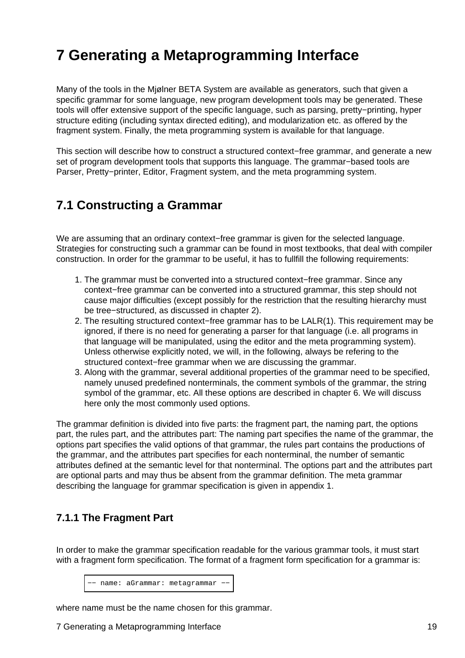## <span id="page-21-0"></span>**7 Generating a Metaprogramming Interface**

Many of the tools in the Mjølner BETA System are available as generators, such that given a specific grammar for some language, new program development tools may be generated. These tools will offer extensive support of the specific language, such as parsing, pretty−printing, hyper structure editing (including syntax directed editing), and modularization etc. as offered by the fragment system. Finally, the meta programming system is available for that language.

This section will describe how to construct a structured context−free grammar, and generate a new set of program development tools that supports this language. The grammar−based tools are Parser, Pretty−printer, Editor, Fragment system, and the meta programming system.

### **7.1 Constructing a Grammar**

We are assuming that an ordinary context−free grammar is given for the selected language. Strategies for constructing such a grammar can be found in most textbooks, that deal with compiler construction. In order for the grammar to be useful, it has to fullfill the following requirements:

- 1. The grammar must be converted into a structured context−free grammar. Since any context−free grammar can be converted into a structured grammar, this step should not cause major difficulties (except possibly for the restriction that the resulting hierarchy must be tree−structured, as discussed in chapter 2).
- 2. The resulting structured context−free grammar has to be LALR(1). This requirement may be ignored, if there is no need for generating a parser for that language (i.e. all programs in that language will be manipulated, using the editor and the meta programming system). Unless otherwise explicitly noted, we will, in the following, always be refering to the structured context−free grammar when we are discussing the grammar.
- 3. Along with the grammar, several additional properties of the grammar need to be specified, namely unused predefined nonterminals, the comment symbols of the grammar, the string symbol of the grammar, etc. All these options are described in chapter 6. We will discuss here only the most commonly used options.

The grammar definition is divided into five parts: the fragment part, the naming part, the options part, the rules part, and the attributes part: The naming part specifies the name of the grammar, the options part specifies the valid options of that grammar, the rules part contains the productions of the grammar, and the attributes part specifies for each nonterminal, the number of semantic attributes defined at the semantic level for that nonterminal. The options part and the attributes part are optional parts and may thus be absent from the grammar definition. The meta grammar describing the language for grammar specification is given in appendix 1.

#### **7.1.1 The Fragment Part**

In order to make the grammar specification readable for the various grammar tools, it must start with a fragment form specification. The format of a fragment form specification for a grammar is:

−− name: aGrammar: metagrammar −−

where name must be the name chosen for this grammar.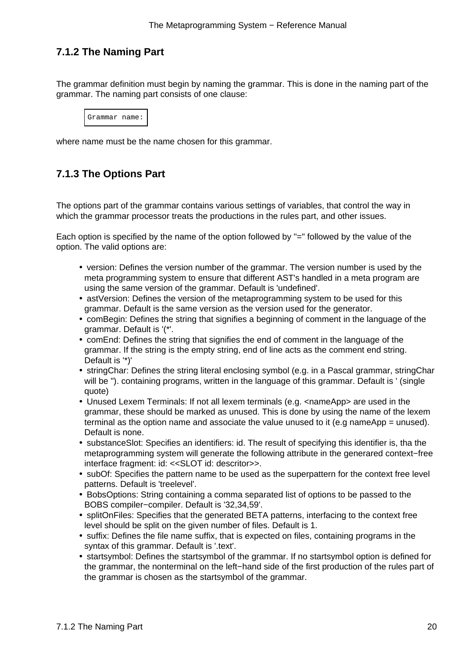#### **7.1.2 The Naming Part**

The grammar definition must begin by naming the grammar. This is done in the naming part of the grammar. The naming part consists of one clause:

| Grammar name: |  |
|---------------|--|
|---------------|--|

where name must be the name chosen for this grammar.

### **7.1.3 The Options Part**

The options part of the grammar contains various settings of variables, that control the way in which the grammar processor treats the productions in the rules part, and other issues.

Each option is specified by the name of the option followed by "=" followed by the value of the option. The valid options are:

- version: Defines the version number of the grammar. The version number is used by the meta programming system to ensure that different AST's handled in a meta program are using the same version of the grammar. Default is 'undefined'.
- astVersion: Defines the version of the metaprogramming system to be used for this grammar. Default is the same version as the version used for the generator.
- comBegin: Defines the string that signifies a beginning of comment in the language of the grammar. Default is '(\*'.
- comEnd: Defines the string that signifies the end of comment in the language of the grammar. If the string is the empty string, end of line acts as the comment end string. Default is '\*)'
- stringChar: Defines the string literal enclosing symbol (e.g. in a Pascal grammar, stringChar will be "), containing programs, written in the language of this grammar. Default is ' (single quote)
- Unused Lexem Terminals: If not all lexem terminals (e.g. <nameApp> are used in the grammar, these should be marked as unused. This is done by using the name of the lexem terminal as the option name and associate the value unused to it (e.g nameApp = unused). Default is none.
- substanceSlot: Specifies an identifiers: id. The result of specifying this identifier is, tha the metaprogramming system will generate the following attribute in the generared context−free interface fragment: id: <<SLOT id: descritor>>.
- subOf: Specifies the pattern name to be used as the superpattern for the context free level patterns. Default is 'treelevel'.
- BobsOptions: String containing a comma separated list of options to be passed to the BOBS compiler−compiler. Default is '32,34,59'.
- splitOnFiles: Specifies that the generated BETA patterns, interfacing to the context free level should be split on the given number of files. Default is 1.
- suffix: Defines the file name suffix, that is expected on files, containing programs in the syntax of this grammar. Default is '.text'.
- startsymbol: Defines the startsymbol of the grammar. If no startsymbol option is defined for the grammar, the nonterminal on the left−hand side of the first production of the rules part of the grammar is chosen as the startsymbol of the grammar.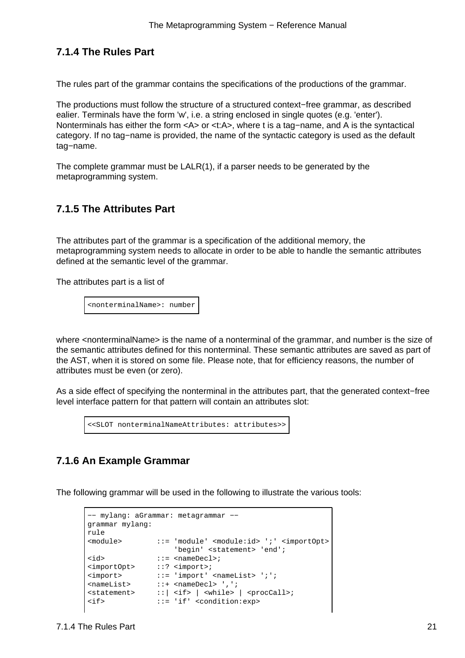#### **7.1.4 The Rules Part**

The rules part of the grammar contains the specifications of the productions of the grammar.

The productions must follow the structure of a structured context−free grammar, as described ealier. Terminals have the form 'w', i.e. a string enclosed in single quotes (e.g. 'enter'). Nonterminals has either the form <A> or <t:A>, where t is a tag-name, and A is the syntactical category. If no tag−name is provided, the name of the syntactic category is used as the default tag−name.

The complete grammar must be LALR(1), if a parser needs to be generated by the metaprogramming system.

#### **7.1.5 The Attributes Part**

The attributes part of the grammar is a specification of the additional memory, the metaprogramming system needs to allocate in order to be able to handle the semantic attributes defined at the semantic level of the grammar.

The attributes part is a list of

<nonterminalName>: number

where  $\le$ nonterminalName> is the name of a nonterminal of the grammar, and number is the size of the semantic attributes defined for this nonterminal. These semantic attributes are saved as part of the AST, when it is stored on some file. Please note, that for efficiency reasons, the number of attributes must be even (or zero).

As a side effect of specifying the nonterminal in the attributes part, that the generated context−free level interface pattern for that pattern will contain an attributes slot:

```
<<SLOT nonterminalNameAttributes: attributes>>
```
#### **7.1.6 An Example Grammar**

The following grammar will be used in the following to illustrate the various tools:

```
−− mylang: aGrammar: metagrammar −−
grammar mylang:
rule
<module> ::= 'module' <module:id> ';' <importOpt>
                  'begin' <statement> 'end';
<id> ::= <nameDecl>;
<importOpt> ::? <import>;
<import> ::= 'import' <nameList> ';';
<nameList> ::+ <nameDecl> ',';
<statement> ::| <if> | <while> | <procCall>;
<if> ::= 'if' <condition:exp>
```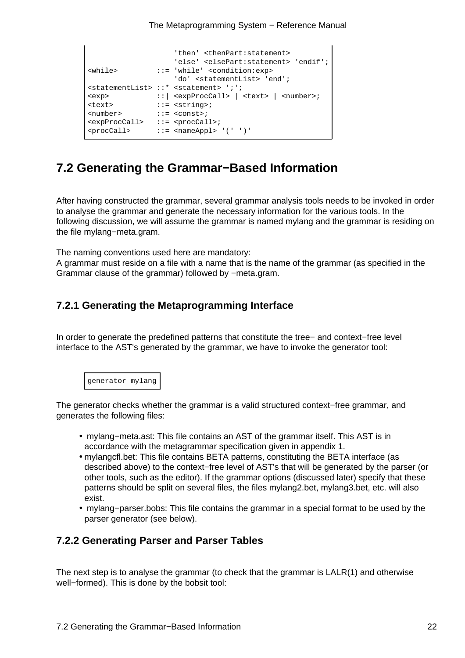|                                                        | 'then' <thenpart:statement></thenpart:statement>                                                 |
|--------------------------------------------------------|--------------------------------------------------------------------------------------------------|
|                                                        | 'else' <elsepart:statement> 'endif';</elsepart:statement>                                        |
| <while></while>                                        | ::= 'while' <condition:exp></condition:exp>                                                      |
|                                                        | 'do' <statementlist> 'end';</statementlist>                                                      |
|                                                        | $\text{statementList} > :: \text{statement} > ' \text{''}$                                       |
| <exp></exp>                                            | $:: $ <expproccall> <math> </math> <text> <math> </math> <number>;</number></text></expproccall> |
| <text></text>                                          | $::=$ $<$ string>;                                                                               |
| <number></number>                                      | $\mathsf{I} := \langle \text{const.} \rangle$                                                    |
| <expproccall> ::= <proccall>;</proccall></expproccall> |                                                                                                  |
| <proccall></proccall>                                  | $::=$ <nameappl> <math>'(')'</math></nameappl>                                                   |
|                                                        |                                                                                                  |

### **7.2 Generating the Grammar−Based Information**

After having constructed the grammar, several grammar analysis tools needs to be invoked in order to analyse the grammar and generate the necessary information for the various tools. In the following discussion, we will assume the grammar is named mylang and the grammar is residing on the file mylang−meta.gram.

The naming conventions used here are mandatory:

A grammar must reside on a file with a name that is the name of the grammar (as specified in the Grammar clause of the grammar) followed by −meta.gram.

#### **7.2.1 Generating the Metaprogramming Interface**

In order to generate the predefined patterns that constitute the tree− and context−free level interface to the AST's generated by the grammar, we have to invoke the generator tool:

generator mylang

<span id="page-24-0"></span> $\overline{1}$ 

The generator checks whether the grammar is a valid structured context−free grammar, and generates the following files:

- mylang−meta.ast: This file contains an AST of the grammar itself. This AST is in accordance with the metagrammar specification given in appendix 1.
- mylangcfl.bet: This file contains BETA patterns, constituting the BETA interface (as described above) to the context−free level of AST's that will be generated by the parser (or other tools, such as the editor). If the grammar options (discussed later) specify that these patterns should be split on several files, the files mylang2.bet, mylang3.bet, etc. will also exist.
- mylang−parser.bobs: This file contains the grammar in a special format to be used by the parser generator (see below).

#### **7.2.2 Generating Parser and Parser Tables**

The next step is to analyse the grammar (to check that the grammar is LALR(1) and otherwise well−formed). This is done by the bobsit tool: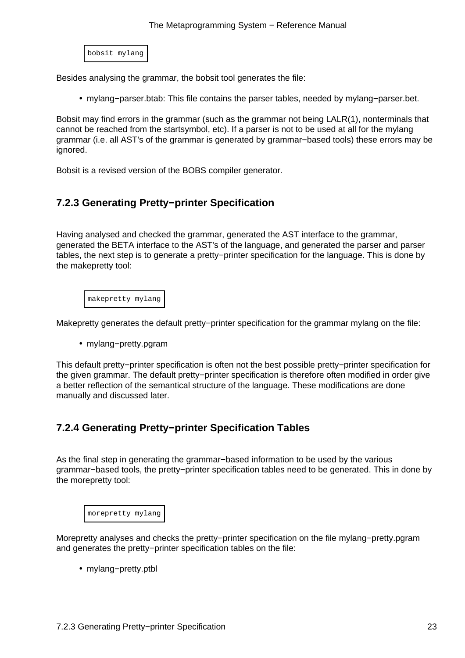bobsit mylang

<span id="page-25-0"></span>Besides analysing the grammar, the bobsit tool generates the file:

• mylang−parser.btab: This file contains the parser tables, needed by mylang−parser.bet.

Bobsit may find errors in the grammar (such as the grammar not being LALR(1), nonterminals that cannot be reached from the startsymbol, etc). If a parser is not to be used at all for the mylang grammar (i.e. all AST's of the grammar is generated by grammar−based tools) these errors may be ignored.

Bobsit is a revised version of the BOBS compiler generator.

#### **7.2.3 Generating Pretty−printer Specification**

Having analysed and checked the grammar, generated the AST interface to the grammar, generated the BETA interface to the AST's of the language, and generated the parser and parser tables, the next step is to generate a pretty−printer specification for the language. This is done by the makepretty tool:

makepretty mylang

Makepretty generates the default pretty−printer specification for the grammar mylang on the file:

• mylang−pretty.pgram

This default pretty−printer specification is often not the best possible pretty−printer specification for the given grammar. The default pretty−printer specification is therefore often modified in order give a better reflection of the semantical structure of the language. These modifications are done manually and discussed later.

#### **7.2.4 Generating Pretty−printer Specification Tables**

As the final step in generating the grammar−based information to be used by the various grammar−based tools, the pretty−printer specification tables need to be generated. This in done by the morepretty tool:

morepretty mylang

Morepretty analyses and checks the pretty−printer specification on the file mylang−pretty.pgram and generates the pretty−printer specification tables on the file:

• mylang−pretty.ptbl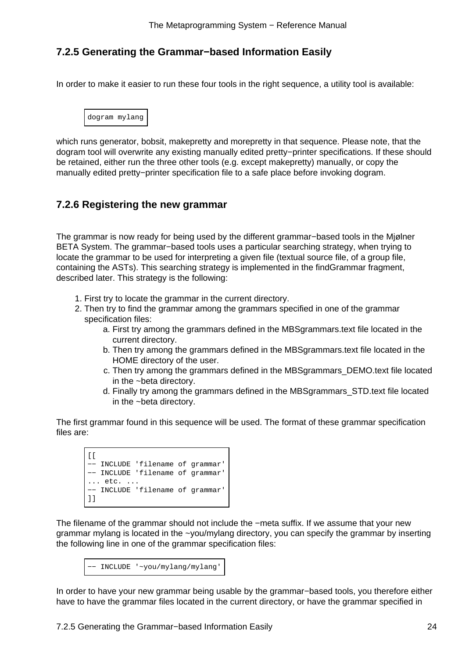#### <span id="page-26-0"></span>**7.2.5 Generating the Grammar−based Information Easily**

In order to make it easier to run these four tools in the right sequence, a utility tool is available:

dogram mylang

which runs generator, bobsit, makepretty and morepretty in that sequence. Please note, that the dogram tool will overwrite any existing manually edited pretty−printer specifications. If these should be retained, either run the three other tools (e.g. except makepretty) manually, or copy the manually edited pretty−printer specification file to a safe place before invoking dogram.

#### **7.2.6 Registering the new grammar**

The grammar is now ready for being used by the different grammar−based tools in the Mjølner BETA System. The grammar−based tools uses a particular searching strategy, when trying to locate the grammar to be used for interpreting a given file (textual source file, of a group file, containing the ASTs). This searching strategy is implemented in the findGrammar fragment, described later. This strategy is the following:

- 1. First try to locate the grammar in the current directory.
- 2. Then try to find the grammar among the grammars specified in one of the grammar specification files:
	- a. First try among the grammars defined in the MBSgrammars.text file located in the current directory.
	- b. Then try among the grammars defined in the MBSgrammars.text file located in the HOME directory of the user.
	- c. Then try among the grammars defined in the MBSgrammars\_DEMO.text file located in the ~beta directory.
	- d. Finally try among the grammars defined in the MBSgrammars\_STD.text file located in the ~beta directory.

The first grammar found in this sequence will be used. The format of these grammar specification files are:

```
\Box−− INCLUDE 'filename of grammar'
−− INCLUDE 'filename of grammar'
... etc. ...
−− INCLUDE 'filename of grammar'
]]
```
The filename of the grammar should not include the −meta suffix. If we assume that your new grammar mylang is located in the ~you/mylang directory, you can specify the grammar by inserting the following line in one of the grammar specification files:

−− INCLUDE '~you/mylang/mylang'

In order to have your new grammar being usable by the grammar−based tools, you therefore either have to have the grammar files located in the current directory, or have the grammar specified in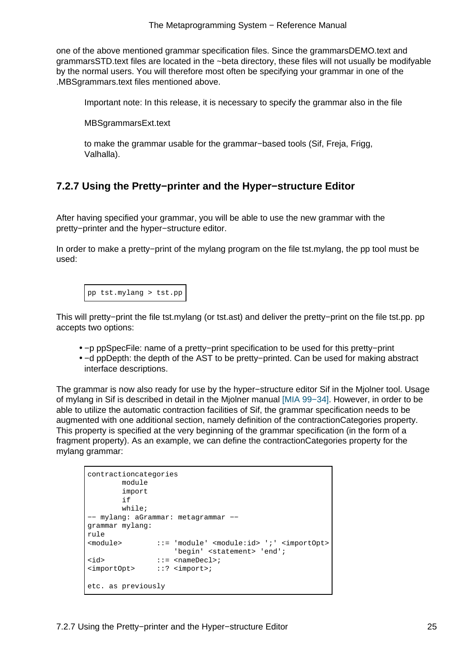<span id="page-27-0"></span>one of the above mentioned grammar specification files. Since the grammarsDEMO.text and grammarsSTD.text files are located in the ~beta directory, these files will not usually be modifyable by the normal users. You will therefore most often be specifying your grammar in one of the .MBSgrammars.text files mentioned above.

Important note: In this release, it is necessary to specify the grammar also in the file

MBSgrammarsExt.text

to make the grammar usable for the grammar−based tools (Sif, Freja, Frigg, Valhalla).

#### **7.2.7 Using the Pretty−printer and the Hyper−structure Editor**

After having specified your grammar, you will be able to use the new grammar with the pretty−printer and the hyper−structure editor.

In order to make a pretty−print of the mylang program on the file tst.mylang, the pp tool must be used:

pp tst.mylang > tst.pp

This will pretty−print the file tst.mylang (or tst.ast) and deliver the pretty−print on the file tst.pp. pp accepts two options:

- −p ppSpecFile: name of a pretty−print specification to be used for this pretty−print
- −d ppDepth: the depth of the AST to be pretty−printed. Can be used for making abstract interface descriptions.

The grammar is now also ready for use by the hyper−structure editor Sif in the Mjolner tool. Usage of mylang in Sif is described in detail in the Mjolner manual [MIA 99−34]. However, in order to be able to utilize the automatic contraction facilities of Sif, the grammar specification needs to be augmented with one additional section, namely definition of the contractionCategories property. This property is specified at the very beginning of the grammar specification (in the form of a fragment property). As an example, we can define the cont[ractionCatego](#mia99-34)ries property for the mylang grammar:

```
contractioncategories
       module
        import
       if
       while;
−− mylang: aGrammar: metagrammar −−
grammar mylang:
rule
<module> ::= 'module' <module:id> ';' <importOpt>
                   'begin' <statement> 'end';
<id> ::= <nameDecl>;
<importOpt> ::? <import>;
etc. as previously
```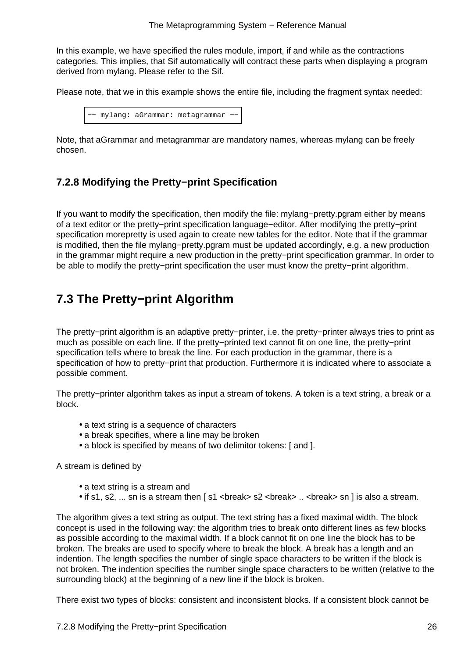<span id="page-28-0"></span>In this example, we have specified the rules module, import, if and while as the contractions categories. This implies, that Sif automatically will contract these parts when displaying a program derived from mylang. Please refer to the Sif.

Please note, that we in this example shows the entire file, including the fragment syntax needed:

| -- mylang: aGrammar: metagrammar |  |
|----------------------------------|--|
|----------------------------------|--|

Note, that aGrammar and metagrammar are mandatory names, whereas mylang can be freely chosen.

#### **7.2.8 Modifying the Pretty−print Specification**

If you want to modify the specification, then modify the file: mylang−pretty.pgram either by means of a text editor or the pretty−print specification language−editor. After modifying the pretty−print specification morepretty is used again to create new tables for the editor. Note that if the grammar is modified, then the file mylang−pretty.pgram must be updated accordingly, e.g. a new production in the grammar might require a new production in the pretty−print specification grammar. In order to be able to modify the pretty−print specification the user must know the pretty−print algorithm.

### **7.3 The Pretty−print Algorithm**

The pretty−print algorithm is an adaptive pretty−printer, i.e. the pretty−printer always tries to print as much as possible on each line. If the pretty−printed text cannot fit on one line, the pretty−print specification tells where to break the line. For each production in the grammar, there is a specification of how to pretty-print that production. Furthermore it is indicated where to associate a possible comment.

The pretty−printer algorithm takes as input a stream of tokens. A token is a text string, a break or a block.

- a text string is a sequence of characters
- a break specifies, where a line may be broken
- a block is specified by means of two delimitor tokens: [ and ].

A stream is defined by

- a text string is a stream and
- $\bullet$  if s1, s2, ... sn is a stream then  $\lceil s1 \rangle$  < break> s2 < break> .. < break> sn  $\lceil s \rceil$  is also a stream.

The algorithm gives a text string as output. The text string has a fixed maximal width. The block concept is used in the following way: the algorithm tries to break onto different lines as few blocks as possible according to the maximal width. If a block cannot fit on one line the block has to be broken. The breaks are used to specify where to break the block. A break has a length and an indention. The length specifies the number of single space characters to be written if the block is not broken. The indention specifies the number single space characters to be written (relative to the surrounding block) at the beginning of a new line if the block is broken.

There exist two types of blocks: consistent and inconsistent blocks. If a consistent block cannot be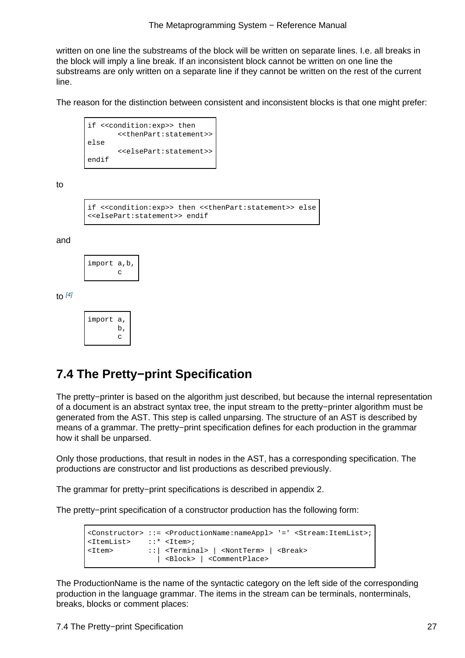written on one line the substreams of the block will be written on separate lines. I.e. all breaks in the block will imply a line break. If an inconsistent block cannot be written on one line the substreams are only written on a separate line if they cannot be written on the rest of the current line.

The reason for the distinction between consistent and inconsistent blocks is that one might prefer:

```
if <<condition:exp>> then
        <<thenPart:statement>>
else
        <<elsePart:statement>>
endif
```
to

```
if <<condition:exp>> then <<thenPart:statement>> else
<<elsePart:statement>> endif
```
and



to  $[4]$ 



### **7.4 The Pretty−print Specification**

The pretty−printer is based on the algorithm just described, but because the internal representation of a document is an abstract syntax tree, the input stream to the pretty−printer algorithm must be generated from the AST. This step is called unparsing. The structure of an AST is described by means of a grammar. The pretty−print specification defines for each production in the grammar how it shall be unparsed.

Only those productions, that result in nodes in the AST, has a corresponding specification. The productions are constructor and list productions as described previously.

The grammar for pretty−print specifications is described in appendix 2.

The pretty−print specification of a constructor production has the following form:

```
<Constructor> ::= <ProductionName:nameAppl> '=' <Stream:ItemList>;
<ItemList> ::* <Item>;
<Item> ::| <Terminal> | <NontTerm> | <Break> 
                | <Block> | <CommentPlace>
```
The ProductionName is the name of the syntactic category on the left side of the corresponding production in the language grammar. The items in the stream can be terminals, nonterminals, breaks, blocks or comment places: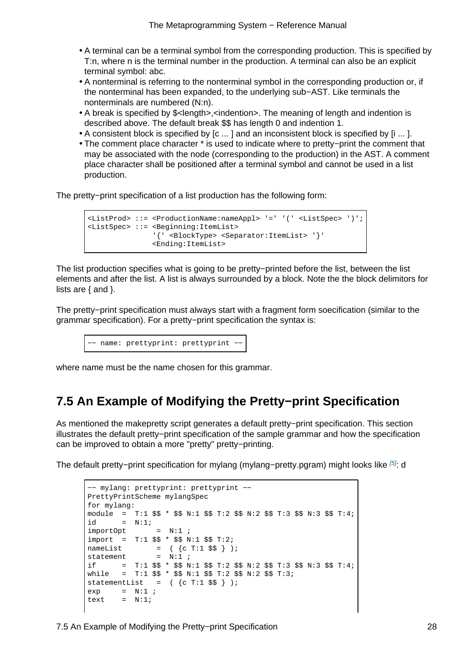- A terminal can be a terminal symbol from the corresponding production. This is specified by T:n, where n is the terminal number in the production. A terminal can also be an explicit terminal symbol: abc.
- A nonterminal is referring to the nonterminal symbol in the corresponding production or, if the nonterminal has been expanded, to the underlying sub−AST. Like terminals the nonterminals are numbered (N:n).
- A break is specified by \$<length>,<indention>. The meaning of length and indention is described above. The default break \$\$ has length 0 and indention 1.
- A consistent block is specified by [c ... ] and an inconsistent block is specified by [i ... ].
- The comment place character \* is used to indicate where to pretty−print the comment that may be associated with the node (corresponding to the production) in the AST. A comment place character shall be positioned after a terminal symbol and cannot be used in a list production.

The pretty−print specification of a list production has the following form:

```
<ListProd> ::= <ProductionName:nameAppl> '=' '(' <ListSpec> ')';
<ListSpec> ::= <Beginning:ItemList> 
               '{' <BlockType> <Separator:ItemList> '}' 
               <Ending:ItemList>
```
The list production specifies what is going to be pretty−printed before the list, between the list elements and after the list. A list is always surrounded by a block. Note the the block delimitors for lists are { and }.

The pretty−print specification must always start with a fragment form soecification (similar to the grammar specification). For a pretty–print specification the syntax is:

−− name: prettyprint: prettyprint −−

where name must be the name chosen for this grammar.

### **7.5 An Example of Modifying the Pretty−print Specification**

As mentioned the makepretty script generates a default pretty−print specification. This section illustrates the default pretty−print specification of the sample grammar and how the specification can be improved to obtain a more "pretty" pretty−printing.

The default pretty–print specification for mylang (mylang–pretty.pgram) might looks like <sup>[5]</sup>: d

```
−− mylang: prettyprint: prettyprint −−
PrettyPrintScheme mylangSpec
for mylang:
module = T:1 $$ * $$ N:1 $$ T:2 $$ N:2 $$ T:3 $$ N:3 $$ T:4;
id = N:1;importOpt = N:1;import = T:1 $ \frac{2}{3} * $ $ N:1 $ $ T:2;
nameList = ({c \text{ T}:1 \text{ $$\hat{\text{S}}$}});
statement = N:1;if = T:1 $$ * $$ N:1 $$ T:2 $$ N:2 $$ T:3 $$ N:3 $$ T:4;
while = T:1 \,$$ * $$ N:1 $$ T:2 $$ N:2 $$ T:3;
statementList = ({c \t{r:1 \t$}});
exp = N:1 ;
text = N:1;
```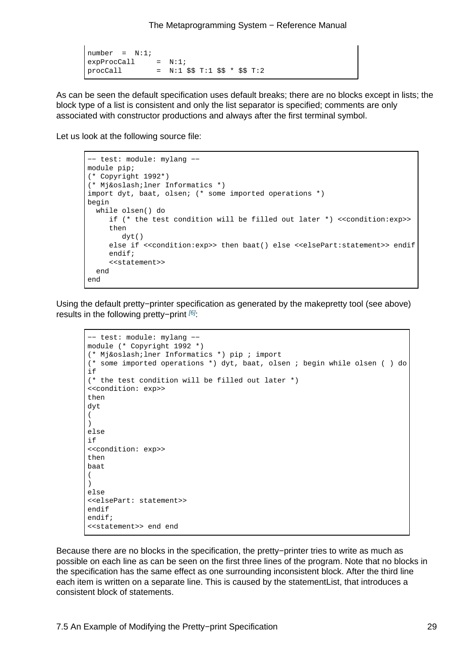$number = N:1;$  $expProcCall$  =  $N:1;$  $\text{procCall}$  = N:1 \$\$ T:1 \$\$ \* \$\$ T:2

As can be seen the default specification uses default breaks; there are no blocks except in lists; the block type of a list is consistent and only the list separator is specified; comments are only associated with constructor productions and always after the first terminal symbol.

Let us look at the following source file:

```
−− test: module: mylang −−
module pip;
(* Copyright 1992*)
(* Mjø lner Informatics *)
import dyt, baat, olsen; (* some imported operations *)
begin
  while olsen() do
     if (* the test condition will be filled out later *) <<condition:exp>>
      then
        dyt()
     else if <<condition:exp>> then baat() else <<elsePart:statement>> endif
      endif;
      <<statement>>
   end
end
```
Using the default pretty−printer specification as generated by the makepretty tool (see above) results in the following pretty−print [6]:

```
−− test: module: mylang −−
module (* Copyright 1992 *)
(* Mjølner Informatics *) pip ; import
(* some imported operations *) dyt, baat, olsen ; begin while olsen ( ) do
if
(* the test condition will be filled out later *)
<<condition: exp>>
then
dyt
\left()else
if
<<condition: exp>>
then
baat
(
)
else
<<elsePart: statement>>
endif
endif;
<<statement>> end end
```
Because there are no blocks in the specification, the pretty−printer tries to write as much as possible on each line as can be seen on the first three lines of the program. Note that no blocks in the specification has the same effect as one surrounding inconsistent block. After the third line each item is written on a separate line. This is caused by the statementList, that introduces a consistent block of statements.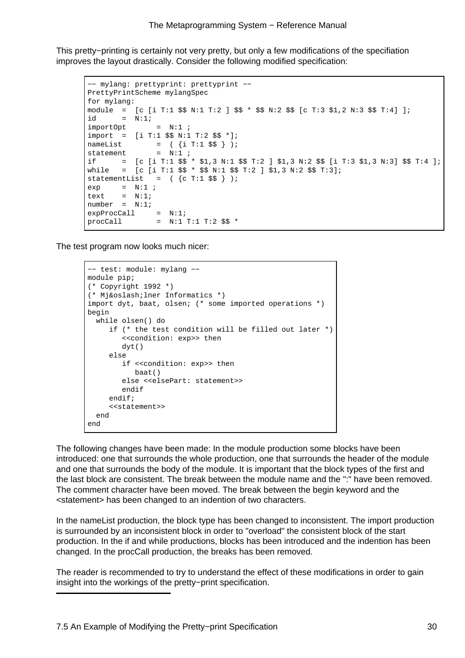This pretty−printing is certainly not very pretty, but only a few modifications of the specifiation improves the layout drastically. Consider the following modified specification:

```
−− mylang: prettyprint: prettyprint −−
PrettyPrintScheme mylangSpec
for mylang:
module = [c [i T:1 $$ N:1 T:2 ] $$ * $$ N:2 $$ [c T:3 $1,2 N:3 $$ T:4] ];
id = N:1;importOpt = N:1;import = [i T:1 $$ N:1 T:2 $$ *];
\texttt{nameList} = ( {i T:1 $$ } );
statement = N:1;if = [c [i T:1 $$ * $1,3 N:1 $$ T:2 ] $1,3 N:2 $$ [i T:3 $1,3 N:3 ] $$ T:4 ];
while = [c [i T:1 $$ * $$ N:1 $$ T:2 ] $1,3 N:2 $$ T:3];
statementList = ({c \t{r:1 \t$}});
exp = N:1 ;
text = N:1;number = N:1;expProcCall = N:1;\text{procCall} = N:1 T:1 T:2 $$ *
```
The test program now looks much nicer:

```
−− test: module: mylang −−
module pip;
(* Copyright 1992 *)
(* Mjø lner Informatics *)
import dyt, baat, olsen; (* some imported operations *)
begin
  while olsen() do
     if (* the test condition will be filled out later *)
         <<condition: exp>> then
         dyt()
      else
         if <<condition: exp>> then
            baat()
         else <<elsePart: statement>>
         endif
      endif;
      <<statement>>
   end
end
```
The following changes have been made: In the module production some blocks have been introduced: one that surrounds the whole production, one that surrounds the header of the module and one that surrounds the body of the module. It is important that the block types of the first and the last block are consistent. The break between the module name and the ":" have been removed. The comment character have been moved. The break between the begin keyword and the <statement> has been changed to an indention of two characters.

In the nameList production, the block type has been changed to inconsistent. The import production is surrounded by an inconsistent block in order to "overload" the consistent block of the start production. In the if and while productions, blocks has been introduced and the indention has been changed. In the procCall production, the breaks has been removed.

The reader is recommended to try to understand the effect of these modifications in order to gain insight into the workings of the pretty−print specification.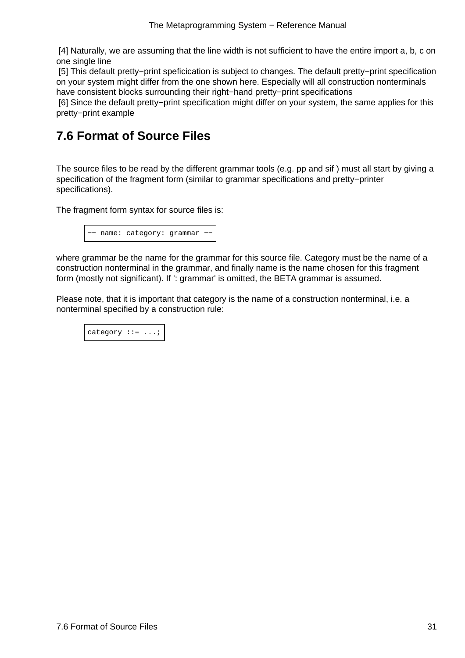<span id="page-33-0"></span>[4] Naturally, we are assuming that the line width is not sufficient to have the entire import a, b, c on one single line

 [5] This default pretty−print speficication is subject to changes. The default pretty−print specification on your system might differ from the one shown here. Especially will all construction nonterminals have consistent blocks surrounding their right−hand pretty−print specifications

 [6] Since the default pretty−print specification might differ on your system, the same applies for this pretty−print example

### **7.6 Format of Source Files**

The source files to be read by the different grammar tools (e.g. pp and sif) must all start by giving a specification of the fragment form (similar to grammar specifications and pretty−printer specifications).

The fragment form syntax for source files is:

| -- name: category: grammar -- |
|-------------------------------|
|-------------------------------|

where grammar be the name for the grammar for this source file. Category must be the name of a construction nonterminal in the grammar, and finally name is the name chosen for this fragment form (mostly not significant). If ': grammar' is omitted, the BETA grammar is assumed.

Please note, that it is important that category is the name of a construction nonterminal, i.e. a nonterminal specified by a construction rule:

category ::= ...;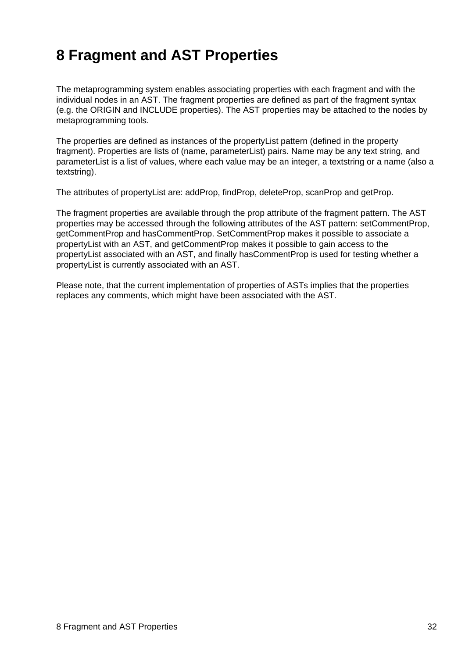## <span id="page-34-0"></span>**8 Fragment and AST Properties**

The metaprogramming system enables associating properties with each fragment and with the individual nodes in an AST. The fragment properties are defined as part of the fragment syntax (e.g. the ORIGIN and INCLUDE properties). The AST properties may be attached to the nodes by metaprogramming tools.

The properties are defined as instances of the propertyList pattern (defined in the property fragment). Properties are lists of (name, parameterList) pairs. Name may be any text string, and parameterList is a list of values, where each value may be an integer, a textstring or a name (also a textstring).

The attributes of propertyList are: addProp, findProp, deleteProp, scanProp and getProp.

The fragment properties are available through the prop attribute of the fragment pattern. The AST properties may be accessed through the following attributes of the AST pattern: setCommentProp, getCommentProp and hasCommentProp. SetCommentProp makes it possible to associate a propertyList with an AST, and getCommentProp makes it possible to gain access to the propertyList associated with an AST, and finally hasCommentProp is used for testing whether a propertyList is currently associated with an AST.

Please note, that the current implementation of properties of ASTs implies that the properties replaces any comments, which might have been associated with the AST.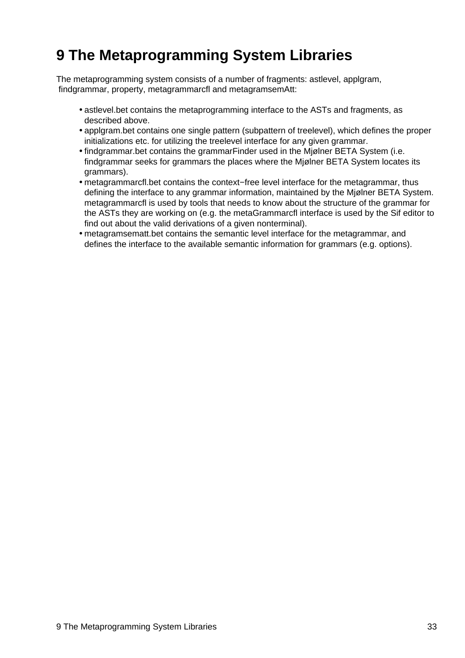## <span id="page-35-0"></span>**9 The Metaprogramming System Libraries**

The metaprogramming system consists of a number of fragments: astlevel, applgram, findgrammar, property, metagrammarcfl and metagramsemAtt:

- astlevel.bet contains the metaprogramming interface to the ASTs and fragments, as described above.
- applgram.bet contains one single pattern (subpattern of treelevel), which defines the proper initializations etc. for utilizing the treelevel interface for any given grammar.
- findgrammar.bet contains the grammarFinder used in the Mjølner BETA System (i.e. findgrammar seeks for grammars the places where the Mjølner BETA System locates its grammars).
- metagrammarcfl.bet contains the context−free level interface for the metagrammar, thus defining the interface to any grammar information, maintained by the Mjølner BETA System. metagrammarcfl is used by tools that needs to know about the structure of the grammar for the ASTs they are working on (e.g. the metaGrammarcfl interface is used by the Sif editor to find out about the valid derivations of a given nonterminal).
- metagramsematt.bet contains the semantic level interface for the metagrammar, and defines the interface to the available semantic information for grammars (e.g. options).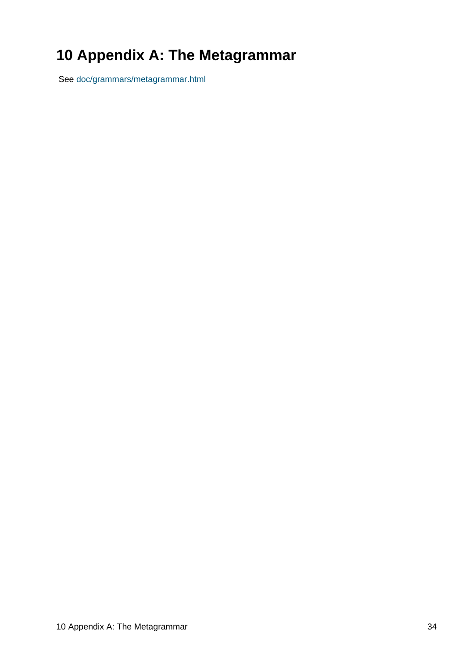# **10 Appendix A: The Metagrammar**

See doc/grammars/metagrammar.html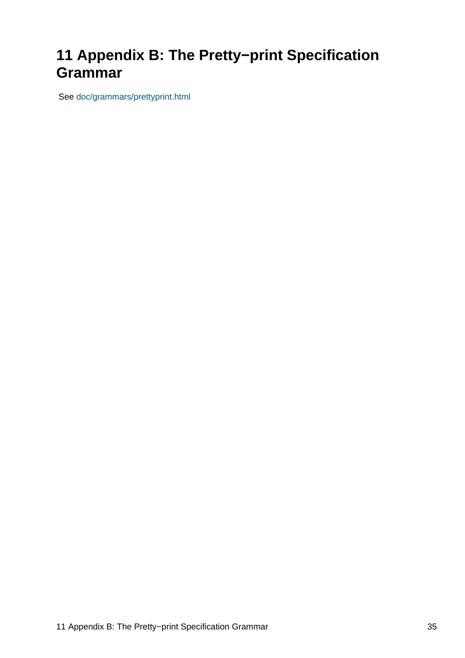## **11 Appendix B: The Pretty−print Specification Grammar**

See doc/grammars/prettyprint.html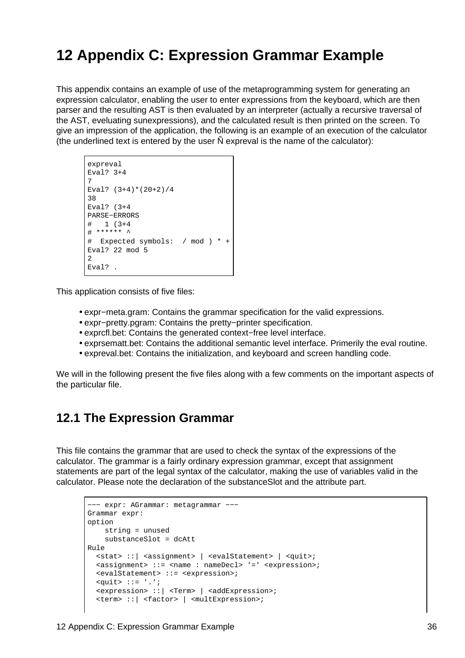## **12 Appendix C: Expression Grammar Example**

This appendix contains an example of use of the metaprogramming system for generating an expression calculator, enabling the user to enter expressions from the keyboard, which are then parser and the resulting AST is then evaluated by an interpreter (actually a recursive traversal of the AST, eveluating sunexpressions), and the calculated result is then printed on the screen. To give an impression of the application, the following is an example of an execution of the calculator (the underlined text is entered by the user Ñ expreval is the name of the calculator):

```
expreval
Eval? 3+4
7
Eval? (3+4)*(20+2)/438
Eval? (3+4
PARSE−ERRORS
# 1 (3+4
# ****** ^
# Expected symbols: / mod ) * +
Eval? 22 mod 5
2
Eval? .
```
This application consists of five files:

- expr−meta.gram: Contains the grammar specification for the valid expressions.
- expr−pretty.pgram: Contains the pretty−printer specification.
- exprcfl.bet: Contains the generated context−free level interface.
- exprsematt.bet: Contains the additional semantic level interface. Primerily the eval routine.
- expreval.bet: Contains the initialization, and keyboard and screen handling code.

We will in the following present the five files along with a few comments on the important aspects of the particular file.

#### **12.1 The Expression Grammar**

This file contains the grammar that are used to check the syntax of the expressions of the calculator. The grammar is a fairly ordinary expression grammar, except that assignment statements are part of the legal syntax of the calculator, making the use of variables valid in the calculator. Please note the declaration of the substanceSlot and the attribute part.

```
−−− expr: AGrammar: metagrammar −−−
Grammar expr:
option 
    string = unused
    substanceSlot = dcAtt
Rule
  <stat> ::| <assignment> | <evalStatement> | <quit>;
   <assignment> ::= <name : nameDecl> '=' <expression>;
   <evalStatement> ::= <expression>;
  \{quit> ::= '.';
   <expression> ::| <Term> | <addExpression>;
   <term> ::| <factor> | <multExpression>;
```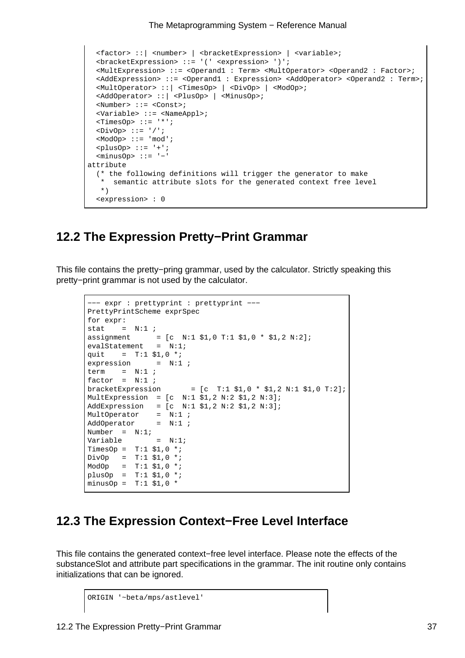```
 <factor> ::| <number> | <bracketExpression> | <variable>;
   <bracketExpression> ::= '(' <expression> ')';
   <MultExpression> ::= <Operand1 : Term> <MultOperator> <Operand2 : Factor>;
   <AddExpression> ::= <Operand1 : Expression> <AddOperator> <Operand2 : Term>;
   <MultOperator> ::| <TimesOp> | <DivOp> | <ModOp>;
   <AddOperator> ::| <PlusOp> | <MinusOp>;
   <Number> ::= <Const>;
   <Variable> ::= <NameAppl>;
   <TimesOp> ::= '*';
  <DivOp> ::= '/';
   <ModOp> ::= 'mod';
   <plusOp> ::= '+';
   <minusOp> ::= '−'
attribute
  (* the following definitions will trigger the generator to make
    * semantic attribute slots for the generated context free level
   *)
   <expression> : 0
```
### **12.2 The Expression Pretty−Print Grammar**

This file contains the pretty−pring grammar, used by the calculator. Strictly speaking this pretty−print grammar is not used by the calculator.

```
−−− expr : prettyprint : prettyprint −−− 
PrettyPrintScheme exprSpec
for expr:
stat = N:1;assignment = [c N:1 $1,0 T:1 $1,0 * $1,2 N:2];
evalStatement = N:1;
quit = T:1 \$1,0 \*;
expression = N:1 ;
term = N:1;factor = N:1;
bracketExpression = [c T:1 $1,0 * $1,2 N:1 $1,0 T:2];
MultExpression = [c N:1 $1,2 N:2 $1,2 N:3];
AddExpression = [c N:1 $1,2 N:2 $1,2 N:3];
MultOperator = N:1 ;
AddOperator = N:1 ;
Number = N:1;Variable = N:1;TimesOp = T:1 \$1,0 *;
DivOp = T:1 \$1,0 *;
ModOp = T:1 \$1,0 *;
plusOp = T:1 $1,0 *;
minusOp = T:1 \$1,0 *
```
### **12.3 The Expression Context−Free Level Interface**

This file contains the generated context−free level interface. Please note the effects of the substanceSlot and attribute part specifications in the grammar. The init routine only contains initializations that can be ignored.

```
ORIGIN '~beta/mps/astlevel'
```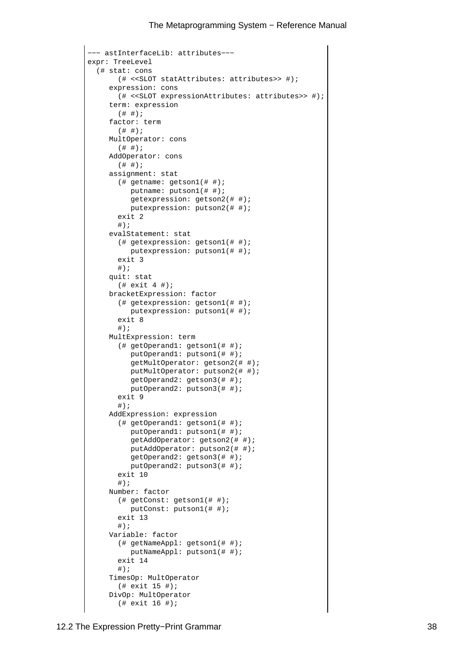```
−−− astInterfaceLib: attributes−−−
expr: TreeLevel
   (# stat: cons
        (# <<SLOT statAttributes: attributes>> #);
      expression: cons
        (# <<SLOT expressionAttributes: attributes>> #);
      term: expression
        (# #);
      factor: term
       ( # #); MultOperator: cons
        (# #);
      AddOperator: cons
        (# #);
      assignment: stat
        (# getname: getson1(# #);
           putname: putson1(# #);
           getexpression: getson2(# #);
           putexpression: putson2(# #);
        exit 2
       \#);
      evalStatement: stat
        (# getexpression: getson1(# #);
           putexpression: putson1(# #);
        exit 3
       #);
      quit: stat
       ( # exit 4  bracketExpression: factor
        (# getexpression: getson1(# #);
           putexpression: putson1(# #);
        exit 8
        #);
      MultExpression: term
        (# getOperand1: getson1(# #);
           putOperand1: putson1(# #);
           getMultOperator: getson2(# #);
           putMultOperator: putson2(# #);
           getOperand2: getson3(# #);
           putOperand2: putson3(# #);
        exit 9
       #);
      AddExpression: expression
        (# getOperand1: getson1(# #);
           putOperand1: putson1(# #);
           getAddOperator: getson2(# #);
           putAddOperator: putson2(# #);
           getOperand2: getson3(# #);
           putOperand2: putson3(# #);
        exit 10
       \#);
      Number: factor
        (# getConst: getson1(# #);
           putConst: putson1(# #);
        exit 13
       #);
      Variable: factor
        (# getNameAppl: getson1(# #);
           putNameAppl: putson1(# #);
        exit 14
       #);
      TimesOp: MultOperator
        (# exit 15 #);
      DivOp: MultOperator
        (# exit 16 #);
```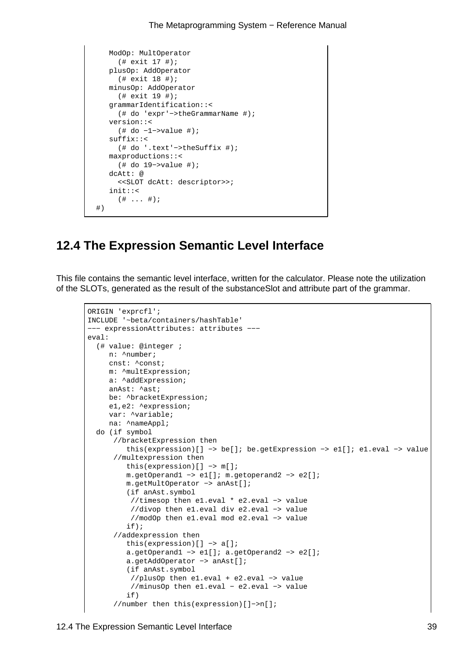```
 ModOp: MultOperator
     (# exit 17 #);
   plusOp: AddOperator
      (# exit 18 #);
   minusOp: AddOperator
      (# exit 19 #);
   grammarIdentification::<
      (# do 'expr'−>theGrammarName #);
   version::< 
      (# do −1−>value #);
   suffix::<
     (# do '.text'−>theSuffix #);
   maxproductions::<
     (# do 19−>value #);
   dcAtt: @
     <<SLOT dcAtt: descriptor>>;
   init::< 
    ( # \ldots #); #)
```
### **12.4 The Expression Semantic Level Interface**

This file contains the semantic level interface, written for the calculator. Please note the utilization of the SLOTs, generated as the result of the substanceSlot and attribute part of the grammar.

```
ORIGIN 'exprcfl';
INCLUDE '~beta/containers/hashTable'
−−− expressionAttributes: attributes −−−
eval: 
   (# value: @integer ;
     n: ^number;
      cnst: ^const;
     m: ^multExpression;
     a: ^addExpression;
     anAst: ^ast;
     be: ^bracketExpression;
      e1,e2: ^expression;
      var: ^variable;
     na: ^nameAppl;
   do (if symbol
       //bracketExpression then 
          this(expression)[] −> be[]; be.getExpression −> e1[]; e1.eval −> value
       //multexpression then 
          this(expression)[] −> m[];
          m.getOperand1 −> e1[]; m.getoperand2 −> e2[];
          m.getMultOperator −> anAst[];
          (if anAst.symbol
           //timesop then e1.eval * e2.eval −> value
           //divop then e1.eval div e2.eval −> value
           //modOp then e1.eval mod e2.eval −> value
          if);
       //addexpression then
          this(expression)[] −> a[];
          a.getOperand1 −> e1[]; a.getOperand2 −> e2[];
          a.getAddOperator −> anAst[];
          (if anAst.symbol
           //plusOp then e1.eval + e2.eval −> value
           //minusOp then e1.eval − e2.eval −> value
          if)
       //number then this(expression)[]−>n[];
```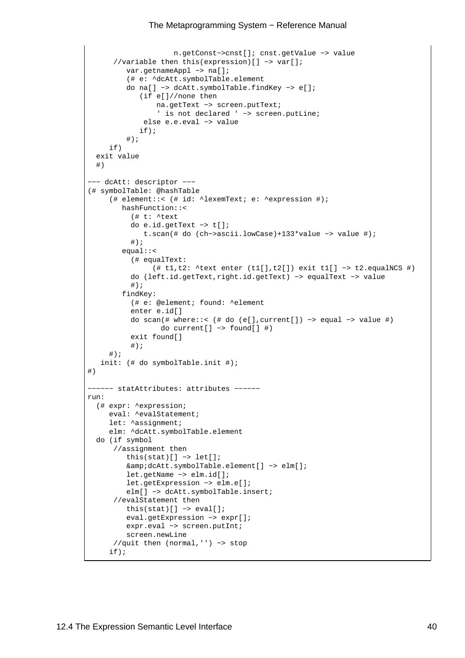```
 n.getConst−>cnst[]; cnst.getValue −> value
       //variable then this(expression)[] −> var[];
          var.getnameAppl −> na[];
          (# e: ^dcAtt.symbolTable.element
          do na[] −> dcAtt.symbolTable.findKey −> e[];
             (if e[]//none then
                 na.getText −> screen.putText;
                  ' is not declared ' −> screen.putLine;
              else e.e.eval −> value
             if);
          #);
      if) 
   exit value
   #)
−−− dcAtt: descriptor −−−
(# symbolTable: @hashTable
      (# element::< (# id: ^lexemText; e: ^expression #);
         hashFunction::< 
           (# t: ^text 
           do e.id.getText −> t[];
              t.scan(# do (ch−>ascii.lowCase)+133*value −> value #);
          \#);
         equal::< 
           (# equalText:
                (# t1,t2: ^text enter (t1[],t2[]) exit t1[] −> t2.equalNCS #)
           do (left.id.getText,right.id.getText) −> equalText −> value
          #);
         findKey: 
           (# e: @element; found: ^element
           enter e.id[]
           do scan(# where::< (# do (e[],current[]) −> equal −> value #)
                  do current[] −> found[] #)
           exit found[]
          #);
     \#) :
    init: (# do symbolTable.init #);
#)
−−−−−− statAttributes: attributes −−−−−−
run: 
   (# expr: ^expression;
      eval: ^evalStatement;
     let: ^assignment;
      elm: ^dcAtt.symbolTable.element
  do (if symbol
       //assignment then 
          this(stat)[] −> let[];
          &dcAtt.symbolTable.element[] −> elm[];
          let.getName −> elm.id[];
          let.getExpression −> elm.e[];
          elm[] −> dcAtt.symbolTable.insert;
       //evalStatement then
          this(stat)[] −> eval[];
          eval.getExpression −> expr[];
          expr.eval −> screen.putInt;
          screen.newLine 
       //quit then (normal,'') −> stop
      if);
```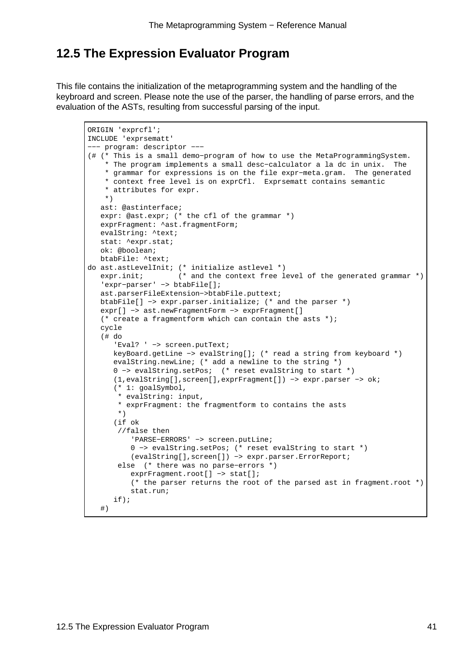### **12.5 The Expression Evaluator Program**

This file contains the initialization of the metaprogramming system and the handling of the keybroard and screen. Please note the use of the parser, the handling of parse errors, and the evaluation of the ASTs, resulting from successful parsing of the input.

```
ORIGIN 'exprcfl';
INCLUDE 'exprsematt'
−−− program: descriptor −−−
(# (* This is a small demo−program of how to use the MetaProgrammingSystem.
     * The program implements a small desc−calculator a la dc in unix. The
    * grammar for expressions is on the file expr−meta.gram. The generated
     * context free level is on exprCfl. Exprsematt contains semantic
     * attributes for expr.
     *)
   ast: @astinterface;
    expr: @ast.expr; (* the cfl of the grammar *)
   exprFragment: ^ast.fragmentForm;
   evalString: ^text;
   stat: ^expr.stat;
   ok: @boolean;
   btabFile: ^text;
do ast.astLevelInit; (* initialize astlevel *)
   expr.init; (* and the context free level of the generated grammar *)
    'expr−parser' −> btabFile[];
    ast.parserFileExtension−>btabFile.puttext;
   btabFile[] −> expr.parser.initialize; (* and the parser *)
    expr[] −> ast.newFragmentForm −> exprFragment[]
    (* create a fragmentform which can contain the asts *);
    cycle
    (# do
       'Eval? ' −> screen.putText;
      keyBoard.getLine −> evalString[]; (* read a string from keyboard *)
       evalString.newLine; (* add a newline to the string *)
       0 −> evalString.setPos; (* reset evalString to start *)
       (1,evalString[],screen[],exprFragment[]) −> expr.parser −> ok;
       (* 1: goalSymbol,
        * evalString: input,
        * exprFragment: the fragmentform to contains the asts 
        *)
       (if ok 
        //false then 
           'PARSE−ERRORS' −> screen.putLine;
           0 −> evalString.setPos; (* reset evalString to start *)
           (evalString[],screen[]) −> expr.parser.ErrorReport;
        else (* there was no parse−errors *)
          exprFraqment.root[] -> stat[];
           (* the parser returns the root of the parsed ast in fragment.root *)
           stat.run; 
       if);
    #)
```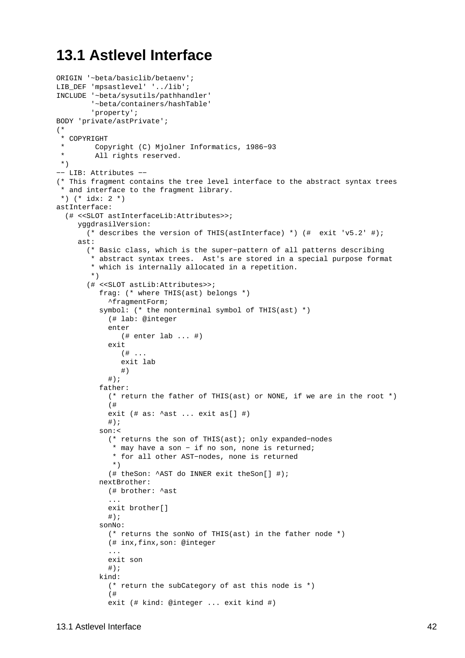## **13.1 Astlevel Interface**

```
ORIGIN '~beta/basiclib/betaenv';
LIB_DEF 'mpsastlevel' '../lib';
INCLUDE '~beta/sysutils/pathhandler'
          '~beta/containers/hashTable'
          'property';
BODY 'private/astPrivate';
(*
  * COPYRIGHT
         Copyright (C) Mjolner Informatics, 1986-93
  * All rights reserved.
  *)
−− LIB: Attributes −−
(* This fragment contains the tree level interface to the abstract syntax trees
  * and interface to the fragment library.
  *) (* idx: 2 *)
astInterface:
   (# <<SLOT astInterfaceLib:Attributes>>;
     yggdrasilVersion:
       (* describes the version of THIS(astInterface) *) (# exit 'v5.2' #);
     ast:
        (* Basic class, which is the super−pattern of all patterns describing
          * abstract syntax trees. Ast's are stored in a special purpose format
         * which is internally allocated in a repetition.
         *)
         (# <<SLOT astLib:Attributes>>;
           frag: (* where THIS(ast) belongs *)
              ^fragmentForm;
           symbol: (* the nonterminal symbol of THIS(ast) *)
              (# lab: @integer
              enter
                 (# enter lab ... #)
              exit
                ( # . . . exit lab
the set of the set of the set of the set of the set of the set of the set of the set of the set of the set of 
             #);
           father:
              (* return the father of THIS(ast) or NONE, if we are in the root *)
              (#
              exit (# as: ^ast ... exit as[] #)
             #);
           son:<
              (* returns the son of THIS(ast); only expanded−nodes
               * may have a son − if no son, none is returned;
               * for all other AST−nodes, none is returned
               *)
              (# theSon: ^AST do INNER exit theSon[] #);
          nextBrother:
              (# brother: ^ast
              ...
              exit brother[]
              #);
           sonNo:
              (* returns the sonNo of THIS(ast) in the father node *)
              (# inx,finx,son: @integer
 ...
              exit son
             #);
          kind:
              (* return the subCategory of ast this node is *)
              (#
              exit (# kind: @integer ... exit kind #)
```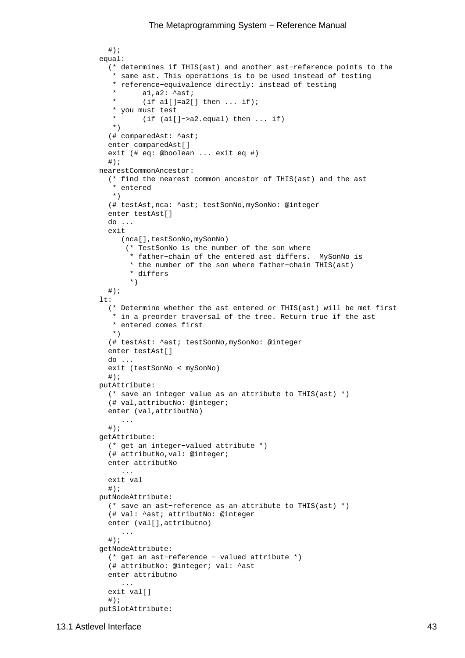```
#);
          equal:
             (* determines if THIS(ast) and another ast−reference points to the
              * same ast. This operations is to be used instead of testing
              * reference−equivalence directly: instead of testing
                    a1, a2: \text{ 'ast;}* (if all] = a2[] then ... if); * you must test
                    (if (a1[]->a2.equal) then ... if)
              *)
             (# comparedAst: ^ast;
            enter comparedAst[]
             exit (# eq: @boolean ... exit eq #)
            #);
          nearestCommonAncestor:
             (* find the nearest common ancestor of THIS(ast) and the ast
              * entered
              *)
             (# testAst,nca: ^ast; testSonNo,mySonNo: @integer
             enter testAst[]
             do ...
             exit
                (nca[],testSonNo,mySonNo)
                 (* TestSonNo is the number of the son where
                  * father−chain of the entered ast differs. MySonNo is
                  * the number of the son where father−chain THIS(ast)
                  * differs
                  *)
            #);
          lt:
             (* Determine whether the ast entered or THIS(ast) will be met first
              * in a preorder traversal of the tree. Return true if the ast
              * entered comes first
              *)
             (# testAst: ^ast; testSonNo,mySonNo: @integer
             enter testAst[]
             do ...
             exit (testSonNo < mySonNo)
            #);
          putAttribute:
             (* save an integer value as an attribute to THIS(ast) *)
             (# val,attributNo: @integer;
             enter (val,attributNo)
                ...
            #);
          getAttribute:
             (* get an integer−valued attribute *)
             (# attributNo,val: @integer;
             enter attributNo
 ...
             exit val
            \#);
          putNodeAttribute:
             (* save an ast−reference as an attribute to THIS(ast) *)
             (# val: ^ast; attributNo: @integer
             enter (val[],attributno)
                ...
            #);
          getNodeAttribute:
             (* get an ast−reference − valued attribute *)
             (# attributNo: @integer; val: ^ast
             enter attributno
                ...
             exit val[]
            \#);
```

```
putSlotAttribute:
```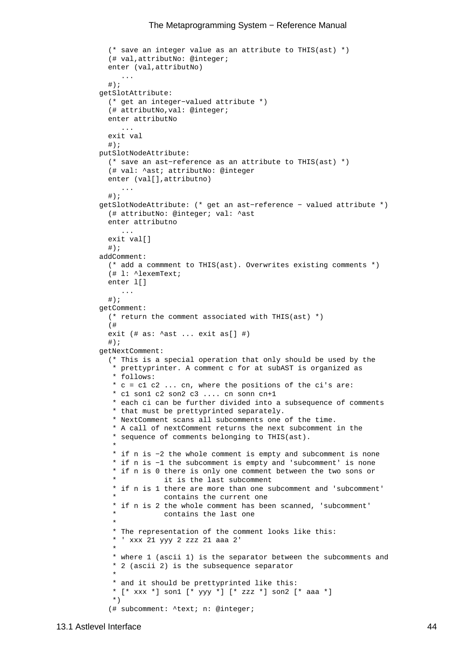```
 (* save an integer value as an attribute to THIS(ast) *)
            (# val,attributNo: @integer;
            enter (val,attributNo)
 ...
           #):
         getSlotAttribute:
            (* get an integer−valued attribute *)
            (# attributNo,val: @integer;
            enter attributNo
               ...
            exit val
           \#);
         putSlotNodeAttribute:
            (* save an ast−reference as an attribute to THIS(ast) *)
            (# val: ^ast; attributNo: @integer
            enter (val[],attributno)
 ...
           \#);
         getSlotNodeAttribute: (* get an ast−reference − valued attribute *)
            (# attributNo: @integer; val: ^ast
            enter attributno
 ...
            exit val[]
           \#);
         addComment:
            (* add a commment to THIS(ast). Overwrites existing comments *)
            (# l: ^lexemText;
            enter l[]
 ...
           \#);
         getComment:
            (* return the comment associated with THIS(ast) *)
            (#
            exit (# as: ^ast ... exit as[] #)
           \#) :
         getNextComment:
            (* This is a special operation that only should be used by the
              * prettyprinter. A comment c for at subAST is organized as
             * follows:
             * c = c1 c2 ... cn, where the positions of the ci's are:
             * c1 son1 c2 son2 c3 .... cn sonn cn+1
             * each ci can be further divided into a subsequence of comments
             * that must be prettyprinted separately.
             * NextComment scans all subcomments one of the time.
             * A call of nextComment returns the next subcomment in the
             * sequence of comments belonging to THIS(ast).
 *
             * if n is −2 the whole comment is empty and subcomment is none
             * if n is −1 the subcomment is empty and 'subcomment' is none
             * if n is 0 there is only one comment between the two sons or
                        it is the last subcomment
             * if n is 1 there are more than one subcomment and 'subcomment'
                        contains the current one
             * if n is 2 the whole comment has been scanned, 'subcomment'
                        contains the last one
 *
             * The representation of the comment looks like this:
             * ' xxx 21 yyy 2 zzz 21 aaa 2'
 *
             * where 1 (ascii 1) is the separator between the subcomments and
             * 2 (ascii 2) is the subsequence separator
 *
             * and it should be prettyprinted like this:
             * [* xxx *] son1 [* yyy *] [* zzz *] son2 [* aaa *]
             *)
            (# subcomment: ^text; n: @integer;
```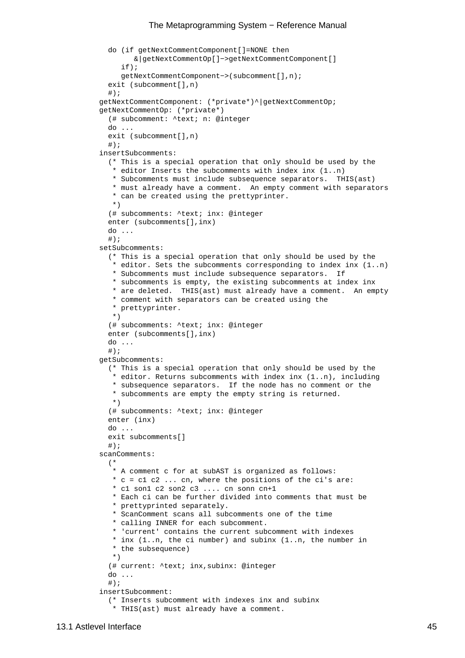#### The Metaprogramming System – Reference Manual

```
 do (if getNextCommentComponent[]=NONE then
         &|getNextCommentOp[]−>getNextCommentComponent[]
      if);
      getNextCommentComponent−>(subcomment[],n);
   exit (subcomment[],n)
   #);
getNextCommentComponent: (*private*)^|getNextCommentOp;
getNextCommentOp: (*private*)
   (# subcomment: ^text; n: @integer
  do ...
 exit (subcomment[].n)
   #);
insertSubcomments:
   (* This is a special operation that only should be used by the
    * editor Inserts the subcomments with index inx (1..n)
    * Subcomments must include subsequence separators. THIS(ast)
    * must already have a comment. An empty comment with separators
    * can be created using the prettyprinter.
   *)
   (# subcomments: ^text; inx: @integer
  enter (subcomments[],inx)
  do ...
 \#) ;
setSubcomments:
   (* This is a special operation that only should be used by the
    * editor. Sets the subcomments corresponding to index inx (1..n)
    * Subcomments must include subsequence separators. If
    * subcomments is empty, the existing subcomments at index inx
    * are deleted. THIS(ast) must already have a comment. An empty
    * comment with separators can be created using the
    * prettyprinter.
   *)
   (# subcomments: ^text; inx: @integer
   enter (subcomments[],inx)
  do ...
 \#);
getSubcomments:
   (* This is a special operation that only should be used by the
    * editor. Returns subcomments with index inx (1..n), including
    * subsequence separators. If the node has no comment or the
    * subcomments are empty the empty string is returned.
   *)
   (# subcomments: ^text; inx: @integer
  enter (inx)
  do ...
  exit subcomments[]
  #);
scanComments:
   (*
    * A comment c for at subAST is organized as follows:
    * c = c1 c2 ... cn, where the positions of the ci's are:
    * c1 son1 c2 son2 c3 .... cn sonn cn+1
    * Each ci can be further divided into comments that must be
    * prettyprinted separately.
    * ScanComment scans all subcomments one of the time
    * calling INNER for each subcomment.
    * 'current' contains the current subcomment with indexes
    * inx (1..n, the ci number) and subinx (1..n, the number in
    * the subsequence)
   *)
   (# current: ^text; inx,subinx: @integer
  do ...
  #);
insertSubcomment:
   (* Inserts subcomment with indexes inx and subinx
     * THIS(ast) must already have a comment.
```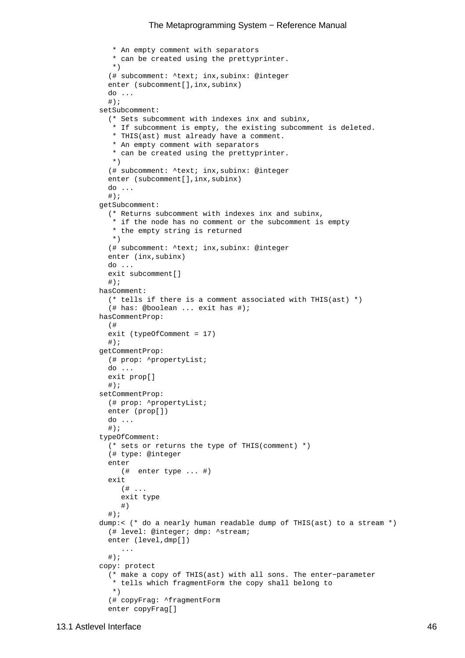```
 * An empty comment with separators
    * can be created using the prettyprinter.
    *)
   (# subcomment: ^text; inx,subinx: @integer
  enter (subcomment[], inx, subinx)
   do ...
  \#);
setSubcomment:
   (* Sets subcomment with indexes inx and subinx,
    * If subcomment is empty, the existing subcomment is deleted.
    * THIS(ast) must already have a comment.
    * An empty comment with separators
    * can be created using the prettyprinter.
    *)
   (# subcomment: ^text; inx,subinx: @integer
  enter (subcomment[], inx, subinx)
   do ...
  #);
getSubcomment:
   (* Returns subcomment with indexes inx and subinx,
    * if the node has no comment or the subcomment is empty
    * the empty string is returned
    *)
   (# subcomment: ^text; inx,subinx: @integer
   enter (inx,subinx)
   do ...
   exit subcomment[]
  #);
hasComment:
   (* tells if there is a comment associated with THIS(ast) *)
   (# has: @boolean ... exit has #);
hasCommentProp:
   (#
   exit (typeOfComment = 17)
  #);
getCommentProp:
   (# prop: ^propertyList;
   do ...
   exit prop[]
  #);
setCommentProp:
   (# prop: ^propertyList;
   enter (prop[])
   do ...
  \#);
typeOfComment:
   (* sets or returns the type of THIS(comment) *)
   (# type: @integer
   enter
      (# enter type ... #)
   exit
      (# ...
      exit type
      #)
  \#);
dump:< (* do a nearly human readable dump of THIS(ast) to a stream *)
   (# level: @integer; dmp: ^stream;
   enter (level,dmp[])
      ...
  #);
copy: protect
   (* make a copy of THIS(ast) with all sons. The enter−parameter
    * tells which fragmentForm the copy shall belong to
    *)
   (# copyFrag: ^fragmentForm
```

```
 enter copyFrag[]
```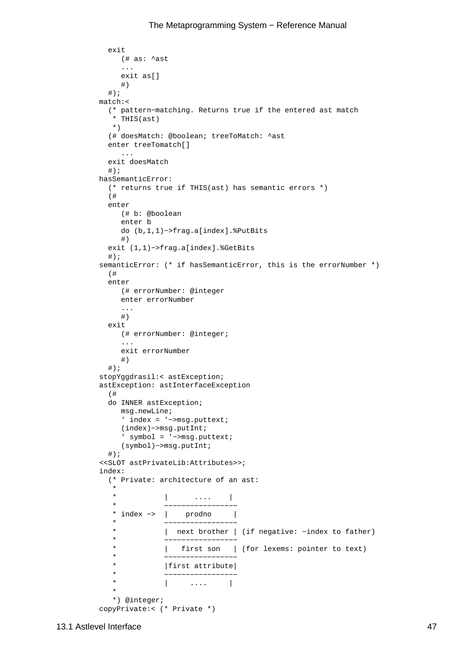```
 exit
               (# as: ^ast
               ...
               exit as[]
               #)
           #);
         match:<
             (* pattern−matching. Returns true if the entered ast match
              * THIS(ast)
             *)
             (# doesMatch: @boolean; treeToMatch: ^ast
            enter treeTomatch[]
 ...
             exit doesMatch
            \#);
         hasSemanticError:
            (* returns true if THIS(ast) has semantic errors *)
            (#
            enter
               (# b: @boolean
               enter b
               do (b,1,1)−>frag.a[index].%PutBits
               #)
            exit (1,1)−>frag.a[index].%GetBits
           \#);
         semanticError: (* if hasSemanticError, this is the errorNumber *)
            (#
            enter
               (# errorNumber: @integer
               enter errorNumber
                ...
               #)
            exit
               (# errorNumber: @integer;
               ...
               exit errorNumber
               #)
            #);
         stopYggdrasil:< astException;
         astException: astInterfaceException
            (#
            do INNER astException;
               msg.newLine;
                ' index = '−>msg.puttext;
               (index)−>msg.putInt;
                ' symbol = '−>msg.puttext;
                (symbol)−>msg.putInt;
           #);
          <<SLOT astPrivateLib:Attributes>>;
         index:
             (* Private: architecture of an ast:
 *
             \star \qquad \qquad .... \qquad \qquad * −−−−−−−−−−−−−−−−−
              * index −> | prodno |
                          * −−−−−−−−−−−−−−−−−
              * | next brother | (if negative: −index to father)
              * −−−−−−−−−−−−−−−−−
              * | first son | (for lexems: pointer to text)
              * −−−−−−−−−−−−−−−−−
                         |first attribute| * −−−−−−−−−−−−−−−−−
                         \parallel \ldots \parallel *
              *) @integer;
         copyPrivate:< (* Private *)
```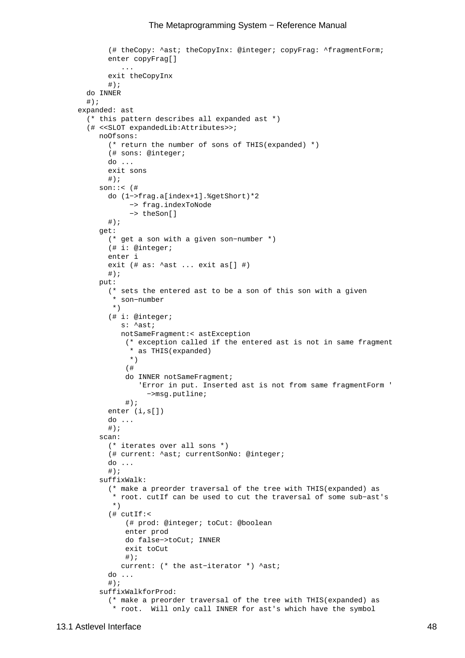```
 (# theCopy: ^ast; theCopyInx: @integer; copyFrag: ^fragmentForm;
             enter copyFrag[]
 ...
             exit theCopyInx
            \#) :
       do INNER
       \#);
     expanded: ast
        (* this pattern describes all expanded ast *)
        (# <<SLOT expandedLib:Attributes>>;
          noOfsons:
             (* return the number of sons of THIS(expanded) *)
             (# sons: @integer;
             do ...
             exit sons
            #);
          son::< (# 
             do (1−>frag.a[index+1].%getShort)*2
                  −> frag.indexToNode
                  −> theSon[]
            #);
          get:
             (* get a son with a given son−number *)
             (# i: @integer;
             enter i
             exit (# as: ^ast ... exit as[] #)
            \#);
          put:
             (* sets the entered ast to be a son of this son with a given
              * son−number
              *)
             (# i: @integer;
                s: ^ast;
                notSameFragment:< astException
                 (* exception called if the entered ast is not in same fragment
                  * as THIS(expanded)
                  *)
                 (#
                 do INNER notSameFragment;
                    'Error in put. Inserted ast is not from same fragmentForm '
                      −>msg.putline;
                \#);
             enter (i,s[])
             do ...
            #);
          scan:
             (* iterates over all sons *)
             (# current: ^ast; currentSonNo: @integer;
             do ...
            \#);
          suffixWalk:
             (* make a preorder traversal of the tree with THIS(expanded) as
              * root. cutIf can be used to cut the traversal of some sub−ast's
              *)
             (# cutIf:<
                 (# prod: @integer; toCut: @boolean
                 enter prod
                 do false−>toCut; INNER
                 exit toCut
                #);
                current: (* the ast−iterator *) ^ast;
             do ...
            #);
          suffixWalkforProd:
             (* make a preorder traversal of the tree with THIS(expanded) as
              * root. Will only call INNER for ast's which have the symbol
```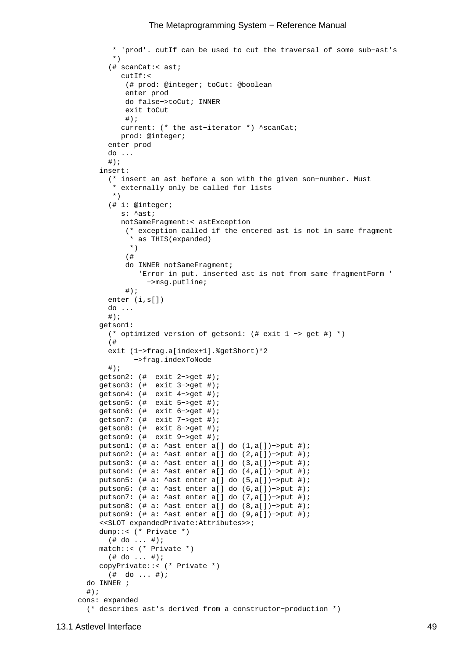```
 * 'prod'. cutIf can be used to cut the traversal of some sub−ast's
         *)
        (# scanCat:< ast;
           cutIf:<
            (# prod: @integer; toCut: @boolean
            enter prod
            do false−>toCut; INNER
            exit toCut
            #);
           current: (* the ast−iterator *) ^scanCat;
           prod: @integer;
        enter prod
        do ...
       \#);
     insert:
        (* insert an ast before a son with the given son−number. Must
         are externally only be called for lists
         *)
        (# i: @integer;
          s: ^ast;
           notSameFragment:< astException
            (* exception called if the entered ast is not in same fragment
             * as THIS(expanded)
             *)
            (#
            do INNER notSameFragment;
               'Error in put. inserted ast is not from same fragmentForm '
                 −>msg.putline;
           #);
        enter (i,s[])
        do ...
        #);
     getson1:
       (* optimized version of getson1: (# exit 1 −> get #) *)
        (#
        exit (1−>frag.a[index+1].%getShort)*2
              −>frag.indexToNode
       #);
     getson2: (# exit 2−>get #);
     getson3: (# exit 3−>get #);
     getson4: (# exit 4−>get #);
     getson5: (# exit 5−>get #);
     getson6: (# exit 6−>get #);
     getson7: (# exit 7−>get #);
    getson8: (# exit 8−>get #);
    getson9: (# exit 9−>get #);
    putson1: (# a: ^ast enter a[] do (1,a[])−>put #);
    putson2: (# a: ^ast enter a[] do (2,a[])−>put #);
    putson3: (# a: ^ast enter a[] do (3,a[])−>put #);
    putson4: (# a: ^ast enter a[] do (4,a[])−>put #);
    putson5: (# a: ^ast enter a[] do (5,a[])−>put #);
    putson6: (# a: ^ast enter a[] do (6,a[])−>put #);
    putson7: (# a: ^ast enter a[] do (7,a[])−>put #);
    putson8: (# a: ^ast enter a[] do (8,a[])−>put #);
    putson9: (# a: ^ast enter a[] do (9,a[])−>put #);
      <<SLOT expandedPrivate:Attributes>>;
    dump::< (* Private *)
       (# do ... #);
    match::< (* Private *)
       (# do ... #);
     copyPrivate::< (* Private *)
       (# do ... #);
  do INNER ;
  #);
cons: expanded
   (* describes ast's derived from a constructor−production *)
```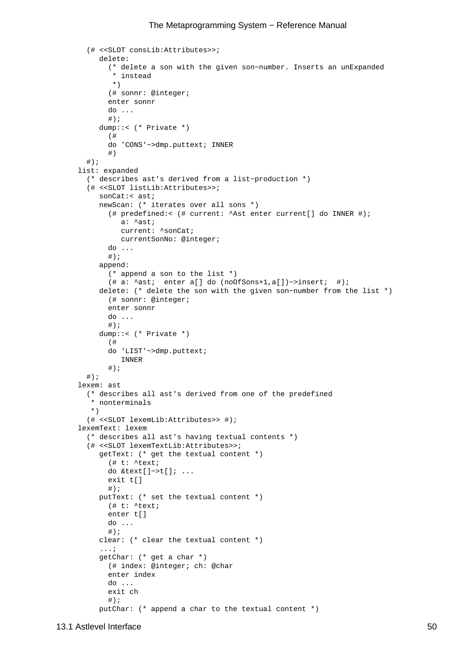```
 (# <<SLOT consLib:Attributes>>;
     delete:
        (* delete a son with the given son−number. Inserts an unExpanded
         * instead
         *)
        (# sonnr: @integer;
        enter sonnr
        do ...
       #);
     dump::< (* Private *)
        (#
        do 'CONS'−>dmp.puttext; INNER
        #)
  \#);
list: expanded
   (* describes ast's derived from a list−production *)
   (# <<SLOT listLib:Attributes>>;
     sonCat:< ast;
     newScan: (* iterates over all sons *)
        (# predefined:< (# current: ^Ast enter current[] do INNER #);
           a: ^ast;
           current: ^sonCat;
           currentSonNo: @integer;
        do ...
       \#);
     append:
        (* append a son to the list *)
        (# a: ^ast; enter a[] do (noOfSons+1,a[])−>insert; #);
     delete: (* delete the son with the given son−number from the list *)
       (# sonnr: @integer;
        enter sonnr
        do ...
       #);
     dump::< (* Private *)
        (#
        do 'LIST'−>dmp.puttext;
          INNER
       #);
  \#);
lexem: ast
   (* describes all ast's derived from one of the predefined
    * nonterminals
   *)
   (# <<SLOT lexemLib:Attributes>> #);
lexemText: lexem
   (* describes all ast's having textual contents *)
   (# <<SLOT lexemTextLib:Attributes>>;
     getText: (* get the textual content *)
        (# t: ^text;
        do &text[]−>t[]; ...
        exit t[]
       \#);
     putText: (* set the textual content *)
       (# t: ^text;
        enter t[]
        do ...
       \#);
     clear: (* clear the textual content *)
      ...;
     getChar: (* get a char *)
        (# index: @integer; ch: @char
        enter index
        do ...
        exit ch
       #);
     putChar: (* append a char to the textual content *)
```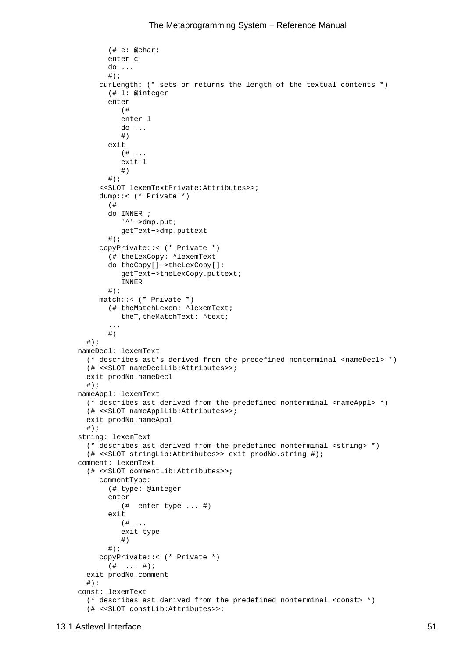```
 (# c: @char;
              enter c
              do ...
             \#);
           curLength: (* sets or returns the length of the textual contents *)
              (# l: @integer
              enter
( \# enter l
                 do ...
                 #)
              exit
                ( # . . . exit l
the set of the set of the set of the set of the set of the set of the set of the set of the set of the set of 
             #);
            <<SLOT lexemTextPrivate:Attributes>>;
           dump::< (* Private *)
              (#
              do INNER ;
                 '^'−>dmp.put;
                 getText−>dmp.puttext
             #);
           copyPrivate::< (* Private *)
              (# theLexCopy: ^lexemText
              do theCopy[]−>theLexCopy[];
                 getText−>theLexCopy.puttext;
                 INNER
             \#);
          match::< (* Private *)
             (# theMatchLexem: ^lexemText;
                theT, theMatchText: ^text;
              ...
              #)
       #);
     nameDecl: lexemText
       (* describes ast's derived from the predefined nonterminal <nameDecl> *)
        (# <<SLOT nameDeclLib:Attributes>>;
        exit prodNo.nameDecl
       #);
     nameAppl: lexemText
        (* describes ast derived from the predefined nonterminal <nameAppl> *)
        (# <<SLOT nameApplLib:Attributes>>;
        exit prodNo.nameAppl
       \#);
     string: lexemText
        (* describes ast derived from the predefined nonterminal <string> *)
        (# <<SLOT stringLib:Attributes>> exit prodNo.string #);
     comment: lexemText
        (# <<SLOT commentLib:Attributes>>;
          commentType:
              (# type: @integer
              enter
                 (# enter type ... #)
              exit
                 (# ...
                 exit type
                 #)
             \#);
          copyPrivate::< (* Private *)
            ( # \dots #); exit prodNo.comment
       \#);
     const: lexemText
        (* describes ast derived from the predefined nonterminal <const> *)
        (# <<SLOT constLib:Attributes>>;
```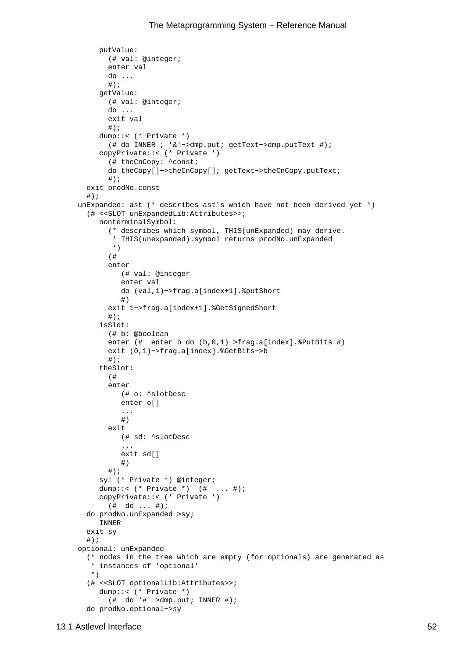```
putValue:
             (# val: @integer;
             enter val
             do ...
            #);
          getValue:
             (# val: @integer;
             do ...
             exit val
            \#);
          dump::< (* Private *)
              (# do INNER ; '&'−>dmp.put; getText−>dmp.putText #);
          copyPrivate::< (* Private *)
              (# theCnCopy: ^const;
             do theCopy[]−>theCnCopy[]; getText−>theCnCopy.putText;
            \#);
        exit prodNo.const
       #);
     unExpanded: ast (* describes ast's which have not been derived yet *)
        (# <<SLOT unExpandedLib:Attributes>>;
          nonterminalSymbol:
              (* describes which symbol, THIS(unExpanded) may derive.
               * THIS(unexpanded).symbol returns prodNo.unExpanded
              *)
             (#
             enter
                (# val: @integer
                 enter val
                do (val,1)−>frag.a[index+1].%putShort
                 #)
             exit 1−>frag.a[index+1].%GetSignedShort
            \# ) \, ;
          isSlot:
             (# b: @boolean
             enter (# enter b do (b,0,1)−>frag.a[index].%PutBits #)
             exit (0,1)−>frag.a[index].%GetBits−>b
              #);
          theSlot:
              (#
              enter
                 (# o: ^slotDesc
                 enter o[]
 ...
the set of the set of the set of the set of the set of the set of the set of the set of the set of the set of 
             exit
                 (# sd: ^slotDesc
 ...
                 exit sd[]
 #)
            \#);
          sy: (* Private *) @integer;
          dump::< (* Private *) (# ... #);
          copyPrivate::< (* Private *)
             (# do ... #);
        do prodNo.unExpanded−>sy;
           INNER
        exit sy
       \#);
     optional: unExpanded
        (* nodes in the tree which are empty (for optionals) are generated as
         * instances of 'optional'
         *)
        (# <<SLOT optionalLib:Attributes>>;
          dump::< (* Private *)
              (# do '#'−>dmp.put; INNER #);
        do prodNo.optional−>sy
```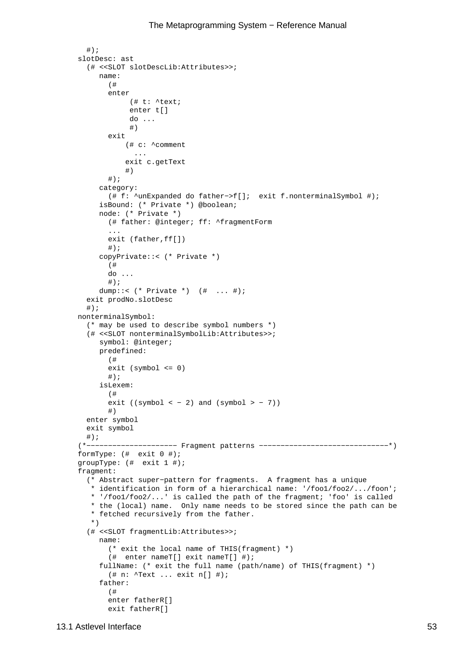```
#);
    slotDesc: ast
        (# <<SLOT slotDescLib:Attributes>>;
          name:
             (#
             enter
                  (# t: ^text;
                  enter t[]
                  do ...
                  #)
             exit
                 (# c: ^comment
 ...
                 exit c.getText
                 #)
            #);
          category:
             (# f: ^unExpanded do father−>f[]; exit f.nonterminalSymbol #);
          isBound: (* Private *) @boolean;
         node: (* Private *)
             (# father: @integer; ff: ^fragmentForm
             ...
             exit (father,ff[])
            \#);
          copyPrivate::< (* Private *)
            (#
             do ...
            \#);
          dump::< (* Private *) (# ... #);
       exit prodNo.slotDesc
      \#);
    nonterminalSymbol:
        (* may be used to describe symbol numbers *)
        (# <<SLOT nonterminalSymbolLib:Attributes>>;
           symbol: @integer;
          predefined:
             (#
             exit (symbol <= 0)
            #);
           isLexem:
             (#
            exit ((symbol < - 2) and (symbol > - 7))
             #)
       enter symbol
       exit symbol
       \#);
      (*−−−−−−−−−−−−−−−−−−−−− Fragment patterns −−−−−−−−−−−−−−−−−−−−−−−−−−−−−−*)
    formType: (# exit 0 #);
    groupType: (# exit 1 #);
    fragment:
        (* Abstract super−pattern for fragments. A fragment has a unique
         * identification in form of a hierarchical name: '/foo1/foo2/.../foon';
        * '/foo1/foo2/...' is called the path of the fragment; 'foo' is called
        * the (local) name. Only name needs to be stored since the path can be
        * fetched recursively from the father.
        *)
        (# <<SLOT fragmentLib:Attributes>>;
         name:
             (* exit the local name of THIS(fragment) *)
             (# enter nameT[] exit nameT[] #);
          fullName: (* exit the full name (path/name) of THIS(fragment) *)
             (# n: ^Text ... exit n[] #);
          father:
             (#
             enter fatherR[]
             exit fatherR[]
```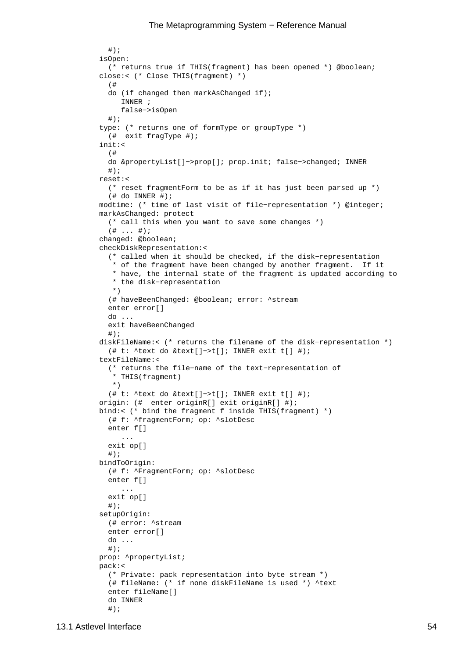```
 #);
          isOpen:
             (* returns true if THIS(fragment) has been opened *) @boolean;
          close:< (* Close THIS(fragment) *)
             (#
             do (if changed then markAsChanged if);
                INNER ;
                false−>isOpen
            #);
          type: (* returns one of formType or groupType *)
             (# exit fragType #);
          init:<
             (#
             do &propertyList[]−>prop[]; prop.init; false−>changed; INNER
            \#);
          reset:<
             (* reset fragmentForm to be as if it has just been parsed up *)
            ( # do INNER #);
          modtime: (* time of last visit of file−representation *) @integer;
          markAsChanged: protect
             (* call this when you want to save some changes *)
            ( # ... #);changed: @boolean;
          checkDiskRepresentation:<
             (* called when it should be checked, if the disk−representation
              * of the fragment have been changed by another fragment. If it
              * have, the internal state of the fragment is updated according to
              * the disk−representation
              *)
             (# haveBeenChanged: @boolean; error: ^stream
             enter error[]
             do ...
             exit haveBeenChanged
             #);
          diskFileName:< (* returns the filename of the disk−representation *)
             (# t: ^text do &text[]−>t[]; INNER exit t[] #);
          textFileName:<
             (* returns the file−name of the text−representation of
              * THIS(fragment)
              *)
             (# t: ^text do &text[]−>t[]; INNER exit t[] #);
          origin: (# enter originR[] exit originR[] #);
         bind:< (* bind the fragment f inside THIS(fragment) *)
             (# f: ^fragmentForm; op: ^slotDesc
             enter f[]
 ...
             exit op[]
            \#);
         bindToOrigin:
             (# f: ^FragmentForm; op: ^slotDesc
             enter f[]
                ...
             exit op[]
            \#);
          setupOrigin:
            (# error: ^stream
             enter error[]
             do ...
            \#);
         prop: ^propertyList;
          pack:<
             (* Private: pack representation into byte stream *)
             (# fileName: (* if none diskFileName is used *) ^text
             enter fileName[]
             do INNER 
            #);
```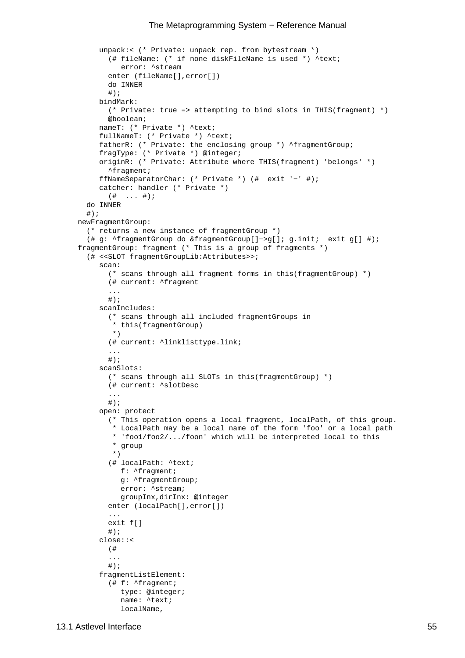```
unpack:< (* Private: unpack rep. from bytestream *)
             (# fileName: (* if none diskFileName is used *) ^text; 
                error: ^stream 
             enter (fileName[],error[]) 
             do INNER 
            #);
          bindMark:
             (* Private: true => attempting to bind slots in THIS(fragment) *)
             @boolean;
          nameT: (* Private *) ^text;
          fullNameT: (* Private *) ^text;
          fatherR: (* Private: the enclosing group *) ^fragmentGroup;
          fragType: (* Private *) @integer;
          originR: (* Private: Attribute where THIS(fragment) 'belongs' *)
             ^fragment;
          ffNameSeparatorChar: (* Private *) (# exit '−' #);
          catcher: handler (* Private *)
            ( # \dots #); do INNER
        #);
     newFragmentGroup:
        (* returns a new instance of fragmentGroup *)
        (# g: ^fragmentGroup do &fragmentGroup[]−>g[]; g.init; exit g[] #);
     fragmentGroup: fragment (* This is a group of fragments *)
        (# <<SLOT fragmentGroupLib:Attributes>>;
          scan:
            (* scans through all fragment forms in this(fragmentGroup) *)
             (# current: ^fragment
             ...
            \# ) \, ;
          scanIncludes:
             (* scans through all included fragmentGroups in
              * this(fragmentGroup)
              *)
             (# current: ^linklisttype.link;
             ...
            \# ) \; ;
          scanSlots:
             (* scans through all SLOTs in this(fragmentGroup) *)
             (# current: ^slotDesc
 ...
            \# ) \, ;
          open: protect
             (* This operation opens a local fragment, localPath, of this group.
              * LocalPath may be a local name of the form 'foo' or a local path
              * 'foo1/foo2/.../foon' which will be interpreted local to this
              * group
              *)
             (# localPath: ^text;
               f: ^fragment;
               g: ^fragmentGroup;
               error: ^stream;
               groupInx,dirInx: @integer
             enter (localPath[],error[])
             ...
             exit f[]
             #);
          close::<
             (#
             ...
            #);
          fragmentListElement:
             (# f: ^fragment;
               type: @integer;
               name: ^text;
               localName,
```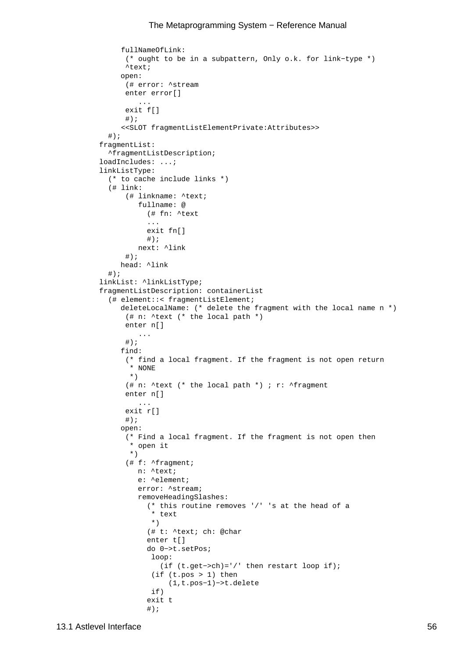```
 fullNameOfLink:
                 (* ought to be in a subpattern, Only o.k. for link−type *)
                 ^text;
               open:
                 (# error: ^stream
                 enter error[]
 ...
                 exit f[]
                \#);
                <<SLOT fragmentListElementPrivate:Attributes>>
            #);
          fragmentList:
             ^fragmentListDescription;
          loadIncludes: ...;
          linkListType:
             (* to cache include links *)
             (# link:
                 (# linkname: ^text;
                    fullname: @
                      (# fn: ^text
                      ...
                      exit fn[]
                     \#);
                    next: ^link
                \#);
               head: ^link
            #);
          linkList: ^linkListType;
          fragmentListDescription: containerList
             (# element::< fragmentListElement;
               deleteLocalName: (* delete the fragment with the local name n *)
                 (# n: ^text (* the local path *)
                 enter n[]
 ...
                #);
               find:
                 (* find a local fragment. If the fragment is not open return
                  * NONE
                  *)
                (# n: \text{text } (* \text{ the local path } *) ; r: \text{fragment} enter n[]
 ...
                 exit r[]
                #);
               open:
                 (* Find a local fragment. If the fragment is not open then
                  * open it
                 *)
                 (# f: ^fragment;
                  n: ^text;
                   e: ^element;
                   error: ^stream;
                   removeHeadingSlashes:
                      (* this routine removes '/' 's at the head of a
                       * text
                       *)
                      (# t: ^text; ch: @char
                      enter t[]
                      do 0−>t.setPos;
                       loop:
                         (if (t.get−>ch)='/' then restart loop if);
                       (if (t.pos > 1) then
                           (1,t.pos−1)−>t.delete
                       if)
                      exit t
                      #);
```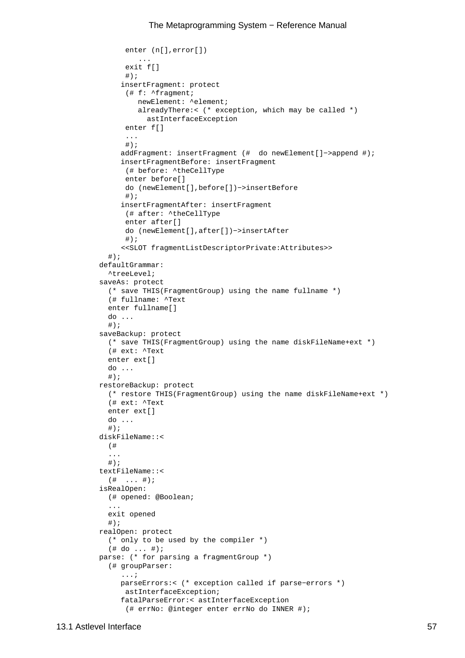```
 enter (n[],error[])
 ...
                 exit f[]
                \#);
               insertFragment: protect
                 (# f: ^fragment;
                   newElement: ^element;
                   alreadyThere:< (* exception, which may be called *)
                      astInterfaceException
                 enter f[]
 ...
                #);
               addFragment: insertFragment (# do newElement[]−>append #);
               insertFragmentBefore: insertFragment
                 (# before: ^theCellType
                 enter before[]
                 do (newElement[],before[])−>insertBefore
                #);
               insertFragmentAfter: insertFragment
                 (# after: ^theCellType
                 enter after[]
                do (newElement[],after[])−>insertAfter
                #);
                <<SLOT fragmentListDescriptorPrivate:Attributes>>
            \#);
          defaultGrammar:
            ^treeLevel;
          saveAs: protect
            (* save THIS(FragmentGroup) using the name fullname *)
            (# fullname: ^Text
            enter fullname[]
            do ...
           #);
          saveBackup: protect
            (* save THIS(FragmentGroup) using the name diskFileName+ext *)
             (# ext: ^Text
            enter ext[]
            do ...
            #);
          restoreBackup: protect
            (* restore THIS(FragmentGroup) using the name diskFileName+ext *)
             (# ext: ^Text
            enter ext[]
            do ...
            #);
         diskFileName::<
            (#
             ...
           \#);
          textFileName::<
           ( # \dots #);isRealOpen:
            (# opened: @Boolean;
             ...
            exit opened
           \#);
         realOpen: protect
             (* only to be used by the compiler *)
             (# do ... #);
         parse: (* for parsing a fragmentGroup *)
             (# groupParser:
                ...;
               parseErrors:< (* exception called if parse−errors *)
                 astInterfaceException;
               fatalParseError:< astInterfaceException
                 (# errNo: @integer enter errNo do INNER #);
```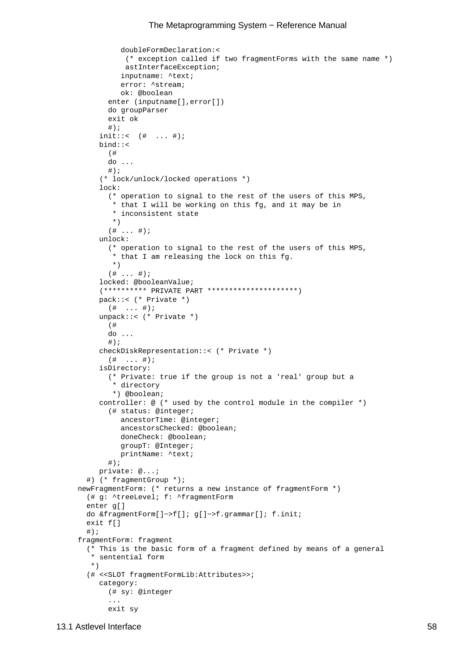```
doubleFormDeclaration:<
            (* exception called if two fragmentForms with the same name *)
            astInterfaceException;
          inputname: ^text;
          error: ^stream;
          ok: @boolean
        enter (inputname[],error[])
        do groupParser
        exit ok
       #);
     init::< (\# \dots \#);
     bind::<
        (#
        do ...
       \#);
      (* lock/unlock/locked operations *)
     lock:
        (* operation to signal to the rest of the users of this MPS,
         * that I will be working on this fg, and it may be in
         * inconsistent state
         *)
       ( # ... #);unlock:
        (* operation to signal to the rest of the users of this MPS,
         * that I am releasing the lock on this fg.
         *)
       ( # ... #);
     locked: @booleanValue;
      (********** PRIVATE PART *********************)
     pack::< (* Private *)
       (# ... #);
     unpack::< (* Private *)
        (# 
        do ...
       \#);
     checkDiskRepresentation::< (* Private *)
       ( # ... #);isDirectory:
        (* Private: true if the group is not a 'real' group but a
         * directory
         *) @boolean;
     controller: @ (* used by the control module in the compiler *)
        (# status: @integer;
          ancestorTime: @integer;
          ancestorsChecked: @boolean;
          doneCheck: @boolean;
          groupT: @Integer;
          printName: ^text;
       #);
     private: @...;
   #) (* fragmentGroup *);
newFragmentForm: (* returns a new instance of fragmentForm *)
   (# g: ^treeLevel; f: ^fragmentForm
   enter g[]
  do &fragmentForm[]−>f[]; g[]−>f.grammar[]; f.init;
  exit f[]
  #);
fragmentForm: fragment
   (* This is the basic form of a fragment defined by means of a general
    * sentential form
   *)
   (# <<SLOT fragmentFormLib:Attributes>>;
     category:
        (# sy: @integer
        ...
        exit sy
```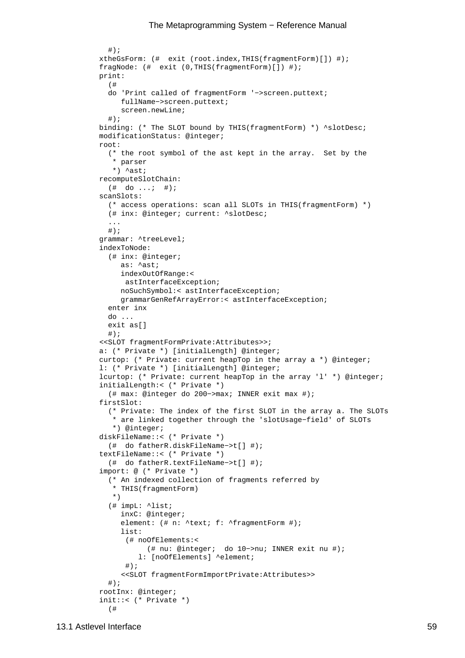```
 #);
xtheGsForm: (# exit (root.index,THIS(fragmentForm)[]) #);
fragNode: (# exit (0,THIS(fragmentForm)[]) #);
print:
   (#
   do 'Print called of fragmentForm '−>screen.puttext;
      fullName−>screen.puttext;
      screen.newLine;
  #);
binding: (* The SLOT bound by THIS(fragmentForm) *) ^slotDesc;
modificationStatus: @integer;
root:
   (* the root symbol of the ast kept in the array. Set by the
    * parser
   *) \lambdaast;
recomputeSlotChain:
  (\# do ...; \#);
scanSlots:
   (* access operations: scan all SLOTs in THIS(fragmentForm) *)
   (# inx: @integer; current: ^slotDesc;
   ...
  #);
grammar: ^treeLevel;
indexToNode:
   (# inx: @integer;
    as: ^ast;
    indexOutOfRange:<
      astInterfaceException;
     noSuchSymbol:< astInterfaceException;
     grammarGenRefArrayError:< astInterfaceException;
   enter inx
   do ...
   exit as[]
   #);
 <<SLOT fragmentFormPrivate:Attributes>>;
a: (* Private *) [initialLength] @integer;
curtop: (* Private: current heapTop in the array a *) @integer;
l: (* Private *) [initialLength] @integer;
lcurtop: (* Private: current heapTop in the array 'l' *) @integer;
initialLength:< (* Private *)
   (# max: @integer do 200−>max; INNER exit max #);
firstSlot:
   (* Private: The index of the first SLOT in the array a. The SLOTs
    * are linked together through the 'slotUsage−field' of SLOTs
    *) @integer;
diskFileName::< (* Private *)
   (# do fatherR.diskFileName−>t[] #);
textFileName::< (* Private *)
   (# do fatherR.textFileName−>t[] #);
import: @ (* Private *)
   (* An indexed collection of fragments referred by
    * THIS(fragmentForm)
    *)
   (# impL: ^list;
     inxC: @integer;
     element: (# n: ^text; f: ^fragmentForm #);
     list:
       (# noOfElements:<
            (# nu: @integer; do 10−>nu; INNER exit nu #);
          l: [noOfElements] ^element;
      \#);
      <<SLOT fragmentFormImportPrivate:Attributes>>
  #);
rootInx: @integer;
init::< (* Private *)
   (#
```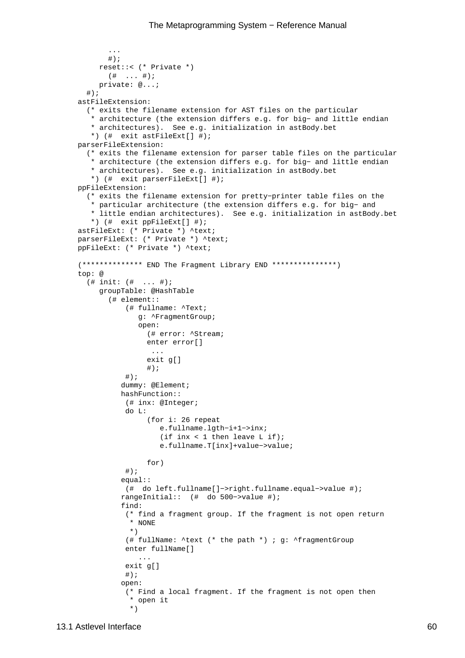```
 ...
           #);
         reset::< (* Private *)
            (# ... #);
         private: @...;
      #);
    astFileExtension:
       (* exits the filename extension for AST files on the particular
         * architecture (the extension differs e.g. for big− and little endian
        * architectures). See e.g. initialization in astBody.bet
        *) (# exit astFileExt[] #);
    parserFileExtension:
       (* exits the filename extension for parser table files on the particular
         * architecture (the extension differs e.g. for big− and little endian
        * architectures). See e.g. initialization in astBody.bet
        *) (# exit parserFileExt[] #);
    ppFileExtension:
       (* exits the filename extension for pretty−printer table files on the
         particular architecture (the extension differs e.g. for big- and
         * little endian architectures). See e.g. initialization in astBody.bet
        *) (# exit ppFileExt[] #);
    astFileExt: (* Private *) ^text;
    parserFileExt: (* Private *) ^text;
    ppFileExt: (* Private *) ^text;
     (************** END The Fragment Library END ***************)
    top: @
       (# init: (# ... #);
         groupTable: @HashTable
            (# element::
                 (# fullname: ^Text;
                   g: ^FragmentGroup;
                   open:
                      (# error: ^Stream;
                     enter error[]
 ...
                     exit g[]
 #);
                 #);
               dummy: @Element;
               hashFunction::
                (# inx: @Integer;
                do L:
                      (for i: 26 repeat
                         e.fullname.lgth−i+1−>inx;
                        (if inx < 1 then leave L if);
                        e.fullname.T[inx]+value−>value;
                     for)
               #);
               equal::
                (# do left.fullname[]−>right.fullname.equal−>value #);
               rangeInitial:: (# do 500−>value #);
               find:
                 (* find a fragment group. If the fragment is not open return
                 * NONE
                 *)
                 (# fullName: ^text (* the path *) ; g: ^fragmentGroup
                enter fullName[]
                   ...
                exit g[]
               \#);
               open:
                 (* Find a local fragment. If the fragment is not open then
                * open it<br>*)
 *)
```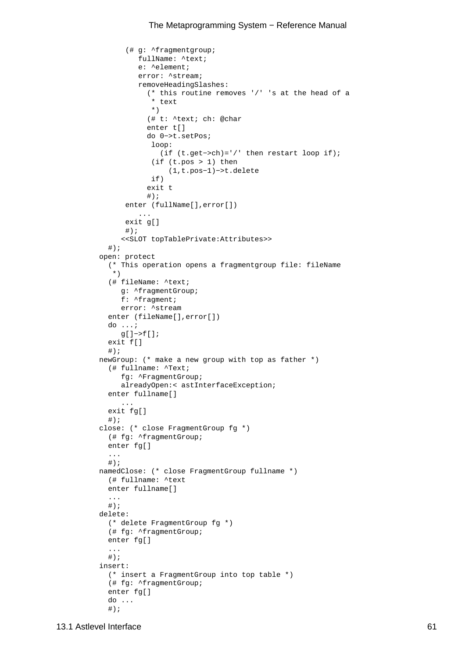```
 (# g: ^fragmentgroup;
                    fullName: ^text;
                     e: ^element;
                     error: ^stream;
                     removeHeadingSlashes:
                       (* this routine removes '/' 's at the head of a
                      * text<br>*)
 *)
                       (# t: ^text; ch: @char
                       enter t[]
                       do 0−>t.setPos;
                        loop:
                          (if (t.get−>ch)='/' then restart loop if);
                       (if (t.pos > 1) then (1,t.pos−1)−>t.delete
                       if)
                       exit t
                      #);
                 enter (fullName[],error[])
                    ...
                 exit g[]
                \# ) \, ;
                <<SLOT topTablePrivate:Attributes>>
            #);
          open: protect
             (* This operation opens a fragmentgroup file: fileName
              *)
             (# fileName: ^text;
                g: ^fragmentGroup;
                f: ^fragment;
                error: ^stream
            enter (fileName[], error[])
             do ...;
                g[]−>f[];
             exit f[]
            \#);
          newGroup: (* make a new group with top as father *)
             (# fullname: ^Text;
                fg: ^FragmentGroup;
                alreadyOpen:< astInterfaceException;
             enter fullname[]
 ...
             exit fg[]
            \#);
          close: (* close FragmentGroup fg *)
             (# fg: ^fragmentGroup;
             enter fg[]
             ...
            #);
          namedClose: (* close FragmentGroup fullname *)
             (# fullname: ^text
             enter fullname[]
             ...
            \# ) \; ;
          delete:
             (* delete FragmentGroup fg *)
             (# fg: ^fragmentGroup;
             enter fg[]
             ...
            #);
          insert:
             (* insert a FragmentGroup into top table *)
             (# fg: ^fragmentGroup;
             enter fg[]
             do ...
            #);
```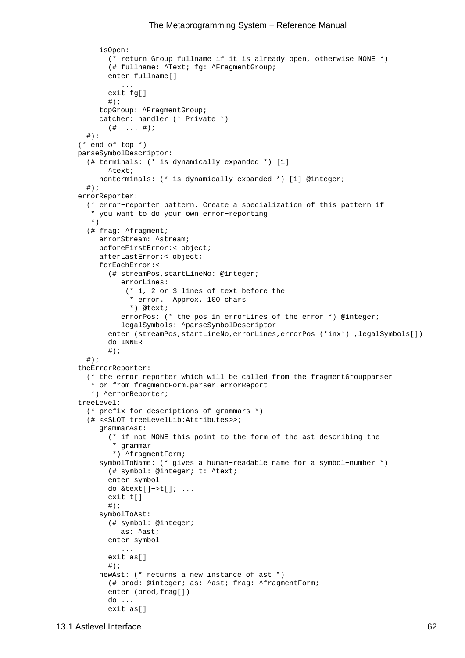```
isOpen:
             (* return Group fullname if it is already open, otherwise NONE *)
             (# fullname: ^Text; fg: ^FragmentGroup;
             enter fullname[]
 ...
             exit fg[]
            \#);
          topGroup: ^FragmentGroup;
          catcher: handler (* Private *)
             (# ... #);
      #);
      (* end of top *)
    parseSymbolDescriptor:
        (# terminals: (* is dynamically expanded *) [1]
             ^text;
         nonterminals: (* is dynamically expanded *) [1] @integer;
       #);
    errorReporter:
        (* error−reporter pattern. Create a specialization of this pattern if
         * you want to do your own error−reporting
        *)
        (# frag: ^fragment;
         errorStream: ^stream;
         beforeFirstError:< object;
         afterLastError:< object;
          forEachError:<
             (# streamPos,startLineNo: @integer;
                errorLines:
                 (* 1, 2 or 3 lines of text before the
                  * error. Approx. 100 chars
                  *) @text;
                errorPos: (* the pos in errorLines of the error *) @integer;
                legalSymbols: ^parseSymbolDescriptor
             enter (streamPos,startLineNo,errorLines,errorPos (*inx*) ,legalSymbols[])
             do INNER
            \#);
       \#);
    theErrorReporter:
        (* the error reporter which will be called from the fragmentGroupparser
         or from fragmentForm.parser.errorReport
         *) ^errorReporter;
    treeLevel:
        (* prefix for descriptions of grammars *)
        (# <<SLOT treeLevelLib:Attributes>>;
          grammarAst:
             (* if not NONE this point to the form of the ast describing the
              * grammar
              *) ^fragmentForm;
          symbolToName: (* gives a human−readable name for a symbol−number *)
             (# symbol: @integer; t: ^text;
             enter symbol
             do &text[]−>t[]; ...
             exit t[]
            \#);
          symbolToAst:
             (# symbol: @integer;
              as: ^ast;
             enter symbol
                ...
             exit as[]
            \#);
          newAst: (* returns a new instance of ast *)
            (# prod: @integer; as: ^ast; frag: ^fragmentForm;
            enter (prod, frag[])
             do ...
             exit as[]
```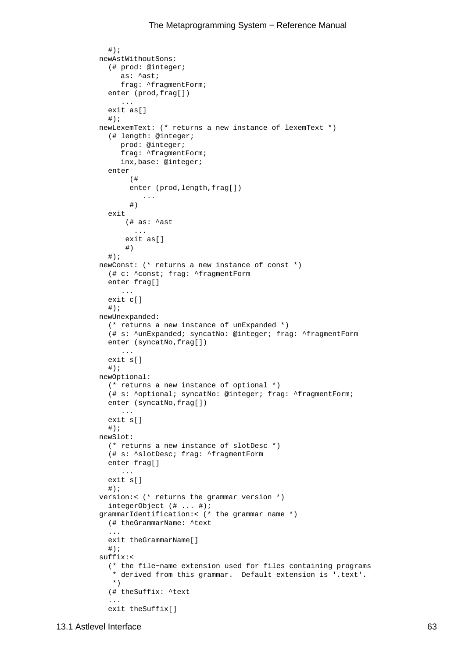```
#);
         newAstWithoutSons:
            (# prod: @integer;
              as: ^ast;
              frag: ^fragmentForm;
           enter (prod, frag[])
               ...
            exit as[]
           #);
         newLexemText: (* returns a new instance of lexemText *)
            (# length: @integer;
              prod: @integer;
              frag: ^fragmentForm;
              inx,base: @integer;
            enter
( \#enter (prod, length, frag[])
 ...
                 #)
            exit
                (# as: ^ast
 ...
                exit as[]
                #)
           #);
         newConst: (* returns a new instance of const *)
            (# c: ^const; frag: ^fragmentForm
            enter frag[]
               ...
            exit c[]
           \#);
         newUnexpanded:
            (* returns a new instance of unExpanded *)
            (# s: ^unExpanded; syncatNo: @integer; frag: ^fragmentForm
           enter (syncatNo, fraq[])
               ...
            exit s[]
           #);
         newOptional:
            (* returns a new instance of optional *)
            (# s: ^optional; syncatNo: @integer; frag: ^fragmentForm;
           enter (syncatNo, frag[])
 ...
            exit s[]
           #);
         newSlot:
            (* returns a new instance of slotDesc *)
            (# s: ^slotDesc; frag: ^fragmentForm
            enter frag[]
 ...
            exit s[]
           \#);
         version:< (* returns the grammar version *)
            integerObject (# ... #);
         grammarIdentification:< (* the grammar name *)
            (# theGrammarName: ^text
            ...
            exit theGrammarName[]
           \#);
         suffix:<
            (* the file−name extension used for files containing programs
             * derived from this grammar. Default extension is '.text'.
             *)
            (# theSuffix: ^text
 ...
            exit theSuffix[]
```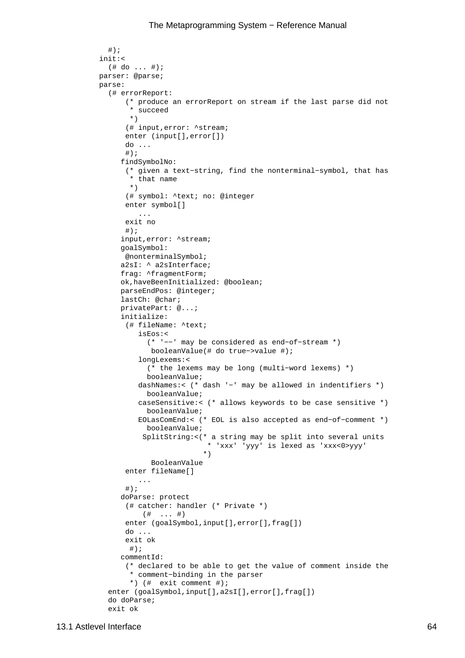```
\#);
          init:<
            (# do ... #);
         parser: @parse;
         parse:
             (# errorReport:
                 (* produce an errorReport on stream if the last parse did not
                  * succeed
                 *)
                 (# input,error: ^stream;
                enter (input[], error[])
                 do ...
                \#);
               findSymbolNo:
                 (* given a text−string, find the nonterminal−symbol, that has
                  that name
                 *)
                 (# symbol: ^text; no: @integer
                 enter symbol[]
                  ...
                 exit no
                \#);
               input,error: ^stream;
               goalSymbol:
                @nonterminalSymbol;
               a2sI: ^ a2sInterface;
               frag: ^fragmentForm;
               ok,haveBeenInitialized: @boolean;
               parseEndPos: @integer;
               lastCh: @char;
               privatePart: @...;
               initialize:
                 (# fileName: ^text;
                    isEos:<
                      (* '−−' may be considered as end−of−stream *) 
                       booleanValue(# do true−>value #);
                    longLexems:<
                      (* the lexems may be long (multi−word lexems) *)
                      booleanValue;
                    dashNames:< (* dash '−' may be allowed in indentifiers *)
                      booleanValue;
                    caseSensitive:< (* allows keywords to be case sensitive *)
                      booleanValue;
                    EOLasComEnd:< (* EOL is also accepted as end−of−comment *)
                      booleanValue;
                     SplitString:<(* a string may be split into several units 
                                    * 'xxx' 'yyy' is lexed as 'xxx<0>yyy'
\rightarrow )
                       BooleanValue
                 enter fileName[]
 ...
                \#);
               doParse: protect
                 (# catcher: handler (* Private *)
                     (# ... #)
                enter (goalSymbol, input[], error[], frag[])
                do ...
                 exit ok
                 #);
               commentId:
                 (* declared to be able to get the value of comment inside the
                  * comment−binding in the parser
                  *) (# exit comment #);
            enter (goalSymbol,input[],a2sI[],error[],frag[])
             do doParse;
             exit ok
```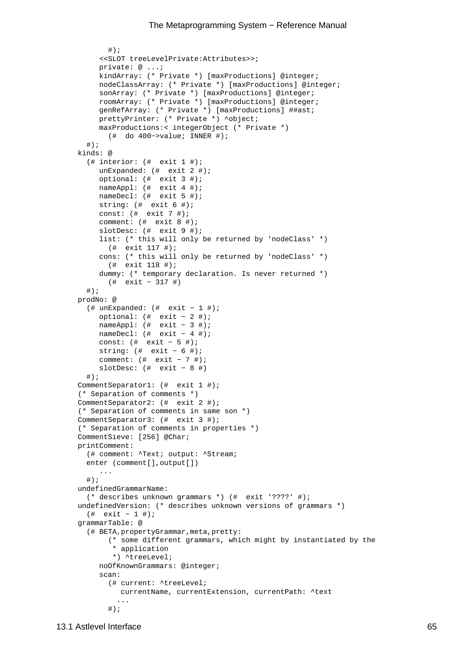```
 #);
           <<SLOT treeLevelPrivate:Attributes>>;
         private: @ ...;
         kindArray: (* Private *) [maxProductions] @integer;
         nodeClassArray: (* Private *) [maxProductions] @integer;
         sonArray: (* Private *) [maxProductions] @integer;
         roomArray: (* Private *) [maxProductions] @integer;
         genRefArray: (* Private *) [maxProductions] ##ast;
         prettyPrinter: (* Private *) ^object;
         maxProductions:< integerObject (* Private *)
             (# do 400−>value; INNER #);
       #);
    kinds: @
        (# interior: (# exit 1 #);
          unExpanded: (# exit 2 #);
          optional: (# exit 3 #);
         nameAppl: (# exit 4 #);
         nameDecl: (\# \text{ exit } 5 \#);string: (# exit 6 #);
         const: (\# \text{ exit } 7 \#);
         comment: (# exit 8 #);
         slotDesc: (# exit 9 #);
         list: (* this will only be returned by 'nodeClass' *)
            (# exit 117 #);
          cons: (* this will only be returned by 'nodeClass' *)
            (# exit 118 #);
         dummy: (* temporary declaration. Is never returned *)
            (# exit − 317 #)
      #);
    prodNo: @
       (# unExpanded: (# exit − 1 #);
         optional: (# exit − 2 #);
         nameAppl: (# exit − 3 #);
         nameDecl: (# exit − 4 #);
         const: (# exit − 5 #);
         string: (# exit − 6 #);
         comment: (# exit − 7 #);
         slotDesc: (# exit − 8 #)
      \#);
    CommentSeparator1: (# exit 1 #);
     (* Separation of comments *)
    CommentSeparator2: (# exit 2 #);
     (* Separation of comments in same son *)
    CommentSeparator3: (# exit 3 #);
     (* Separation of comments in properties *)
    CommentSieve: [256] @Char;
    printComment:
       (# comment: ^Text; output: ^Stream;
      enter (comment[], output[])
 ...
      \#);
    undefinedGrammarName:
       (* describes unknown grammars *) (# exit '????' #);
    undefinedVersion: (* describes unknown versions of grammars *)
       (# exit − 1 #);
    grammarTable: @
       (# BETA,propertyGrammar,meta,pretty:
             (* some different grammars, which might by instantiated by the
              * application
              *) ^treeLevel;
         noOfKnownGrammars: @integer;
          scan:
             (# current: ^treeLevel;
               currentName, currentExtension, currentPath: ^text
 ...
```

```
#);
```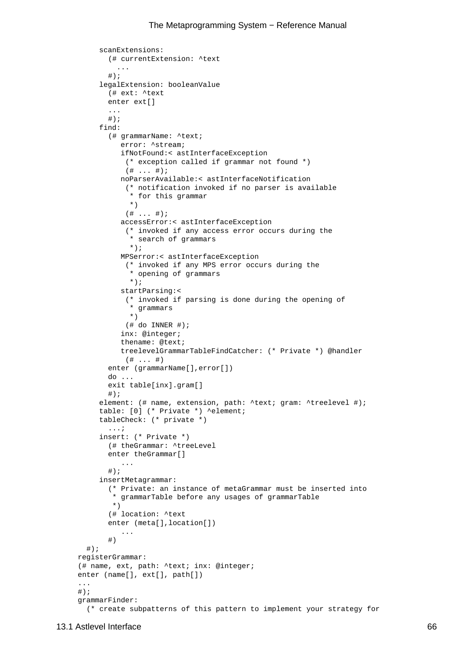```
scanExtensions:
             (# currentExtension: ^text
 ...
            \#);
          legalExtension: booleanValue
             (# ext: ^text
             enter ext[]
             ...
            #);
          find:
             (# grammarName: ^text;
               error: ^stream;
               ifNotFound:< astInterfaceException
                 (* exception called if grammar not found *)
                ( # ... #);noParserAvailable:< astInterfaceNotification
                 (* notification invoked if no parser is available
                  * for this grammar
                  *)
                ( # ... #);accessError:< astInterfaceException
                 (* invoked if any access error occurs during the
                  * search of grammars
                  *);
               MPSerror:< astInterfaceException
                 (* invoked if any MPS error occurs during the
                  * opening of grammars
                  *);
               startParsing:<
                 (* invoked if parsing is done during the opening of
                  * grammars
                  *)
                ( # do INNER #);
               inx: @integer;
               thename: @text;
               treelevelGrammarTableFindCatcher: (* Private *) @handler
                ( # \dots #)enter (grammarName[], error[])
             do ...
             exit table[inx].gram[]
             #);
          element: (# name, extension, path: ^text; gram: ^treelevel #);
          table: [0] (* Private *) ^element;
          tableCheck: (* private *)
             ...;
          insert: (* Private *)
             (# theGrammar: ^treeLevel
             enter theGrammar[]
                ...
            \#);
          insertMetagrammar:
             (* Private: an instance of metaGrammar must be inserted into
              * grammarTable before any usages of grammarTable
              *)
             (# location: ^text
            enter (meta[], location[])
                ...
             #)
       \#);
    registerGrammar:
     (# name, ext, path: ^text; inx: @integer;
    enter (name[], ext[], path[])
     ...
    #);
    grammarFinder:
        (* create subpatterns of this pattern to implement your strategy for
```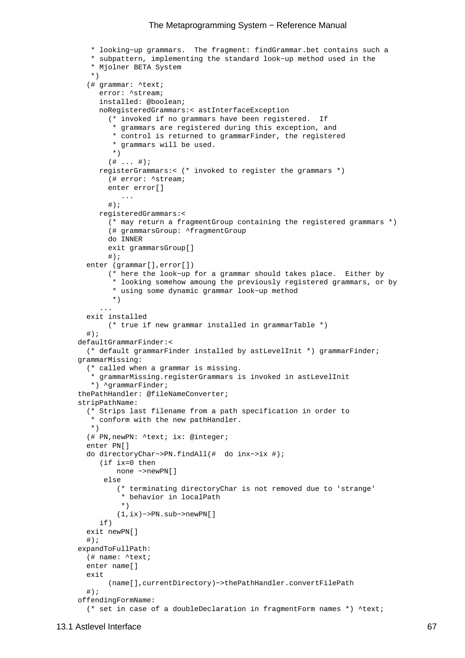#### The Metaprogramming System – Reference Manual

```
 * looking−up grammars. The fragment: findGrammar.bet contains such a
         * subpattern, implementing the standard look−up method used in the
         * Mjolner BETA System
        *)
        (# grammar: ^text;
         error: ^stream;
          installed: @boolean;
         noRegisteredGrammars:< astInterfaceException
             (* invoked if no grammars have been registered. If
              * grammars are registered during this exception, and
              * control is returned to grammarFinder, the registered
              * grammars will be used.
              *)
            ( # ... #);registerGrammars:< (* invoked to register the grammars *)
             (# error: ^stream;
             enter error[]
 ...
            \#);
         registeredGrammars:<
             (* may return a fragmentGroup containing the registered grammars *)
             (# grammarsGroup: ^fragmentGroup
            do INNER
            exit grammarsGroup[]
           \#);
      enter (grammar[], error[])
             (* here the look−up for a grammar should takes place. Either by
              * looking somehow amoung the previously registered grammars, or by
              * using some dynamic grammar look−up method
              *)
 ...
       exit installed
             (* true if new grammar installed in grammarTable *)
       #);
    defaultGrammarFinder:<
       (* default grammarFinder installed by astLevelInit *) grammarFinder;
    grammarMissing:
       (* called when a grammar is missing.
         * grammarMissing.registerGrammars is invoked in astLevelInit
         *) ^grammarFinder;
    thePathHandler: @fileNameConverter;
    stripPathName:
       (* Strips last filename from a path specification in order to
         * conform with the new pathHandler.
        *)
       (# PN,newPN: ^text; ix: @integer;
       enter PN[]
       do directoryChar−>PN.findAll(# do inx−>ix #);
           (if ix=0 then
              none −>newPN[]
            else
               (* terminating directoryChar is not removed due to 'strange'
                * behavior in localPath
 *)
               (1,ix)−>PN.sub−>newPN[]
           if)
       exit newPN[]
      #);
    expandToFullPath:
       (# name: ^text;
       enter name[]
       exit
             (name[],currentDirectory)−>thePathHandler.convertFilePath
      \#);
    offendingFormName:
        (* set in case of a doubleDeclaration in fragmentForm names *) ^text;
```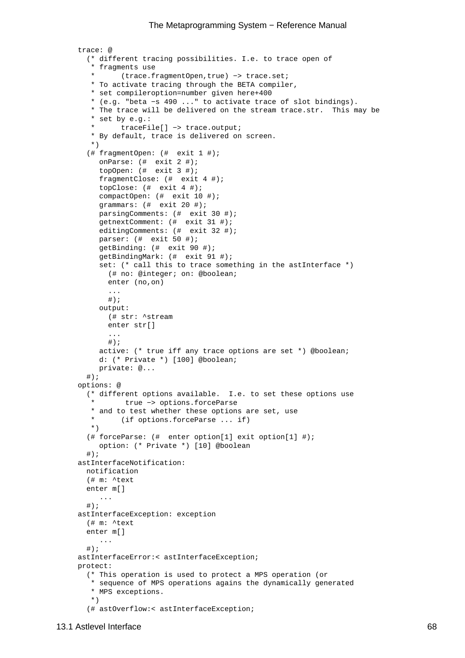```
trace: @
        (* different tracing possibilities. I.e. to trace open of
        * fragments use
              (trace.fragmentOpen,true) -> trace.set;
        * To activate tracing through the BETA compiler,
        * set compileroption=number given here+400
        * (e.g. "beta −s 490 ..." to activate trace of slot bindings).
        * The trace will be delivered on the stream trace.str. This may be
        * set by e.g.:
              traceFile[] -> trace.output;
        * By default, trace is delivered on screen.
        *)
        (# fragmentOpen: (# exit 1 #);
         onParse: (# exit 2 #);
          topOpen: (# exit 3 #);
          fragmentClose: (# exit 4 #);
          topClose: (# exit 4 #);
         compactOpen: (# exit 10 #);
         grammars: (# exit 20 #);
         parsingComments: (# exit 30 #);
         getnextComment: (# exit 31 #);
         editingComments: (# exit 32 #);
         parser: (# exit 50 #);
         getBinding: (# exit 90 #);
         getBindingMark: (# exit 91 #);
         set: (* call this to trace something in the astInterface *)
            (# no: @integer; on: @boolean;
            enter (no,on)
             ...
           \#);
         output:
            (# str: ^stream
            enter str[]
             ...
           \#);
          active: (* true iff any trace options are set *) @boolean;
         d: (* Private *) [100] @boolean;
         private: @...
      #);
    options: @
       (* different options available. I.e. to set these options use
               true -> options.forceParse
        * and to test whether these options are set, use
              (if options.forceParse ... if)
        *)
        (# forceParse: (# enter option[1] exit option[1] #);
         option: (* Private *) [10] @boolean
       #);
    astInterfaceNotification:
       notification
       (# m: ^text
       enter m[]
           ...
      \#);
    astInterfaceException: exception
       (# m: ^text
       enter m[]
 ...
      \#);
    astInterfaceError:< astInterfaceException;
    protect:
       (* This operation is used to protect a MPS operation (or
         * sequence of MPS operations agains the dynamically generated
        * MPS exceptions.
        *)
        (# astOverflow:< astInterfaceException;
```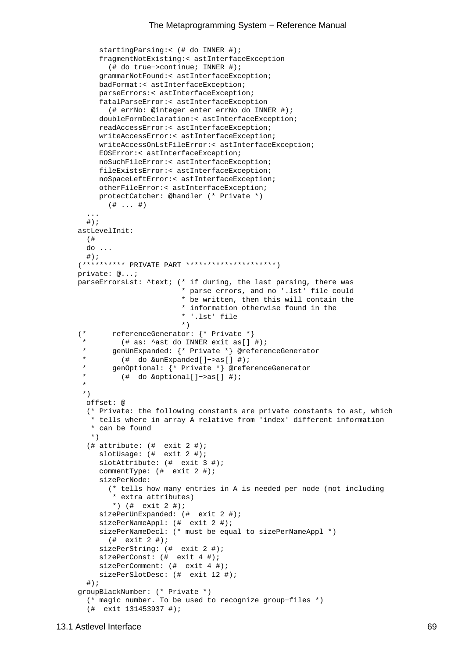#### The Metaprogramming System – Reference Manual

```
startingParsing:< (# do INNER #);
         fragmentNotExisting:< astInterfaceException
             (# do true−>continue; INNER #);
         grammarNotFound:< astInterfaceException;
         badFormat:< astInterfaceException;
         parseErrors:< astInterfaceException;
         fatalParseError:< astInterfaceException
             (# errNo: @integer enter errNo do INNER #);
         doubleFormDeclaration:< astInterfaceException;
         readAccessError:< astInterfaceException;
         writeAccessError:< astInterfaceException;
         writeAccessOnLstFileError:< astInterfaceException;
         EOSError:< astInterfaceException;
         noSuchFileError:< astInterfaceException;
         fileExistsError:< astInterfaceException;
         noSpaceLeftError:< astInterfaceException;
         otherFileError:< astInterfaceException;
         protectCatcher: @handler (* Private *)
             (# ... #)
      #);
    astLevelInit:
       (#
       do ...
      #);
     (********** PRIVATE PART *********************)
    private: @...;
    parseErrorsLst: ^text; (* if during, the last parsing, there was
                              * parse errors, and no '.lst' file could
                              * be written, then this will contain the
                              * information otherwise found in the
                              * '.lst' file
\rightarrow )
     (* referenceGenerator: {* Private *}
              (# as: \text{`ast do INNER exit as[] } #);
             * genUnExpanded: {* Private *} @referenceGenerator
               * (# do &unExpanded[]−>as[] #);
            genOptional: {* Private *} @referenceGenerator
               * (# do &optional[]−>as[] #);
*
      *)
      offset: @
       (* Private: the following constants are private constants to ast, which
        tells where in array A relative from 'index' different information
        * can be found
        *)
      (\# attribute: (\# exit 2 \#);
         slotUsage: (# exit 2 #);
         slotAttribute: (# exit 3 #);
         commentType: (# exit 2 #);
         sizePerNode:
             (* tells how many entries in A is needed per node (not including
              * extra attributes)
             *) (# exit 2 #);
         sizePerUnExpanded: (# exit 2 #);
         sizePerNameAppl: (# exit 2 #);
         sizePerNameDecl: (* must be equal to sizePerNameAppl *)
            (\# exit 2 \#);
         sizePerString: (# exit 2 #);
         sizePerConst: (# exit 4 #);
         sizePerComment: (# exit 4 #);
         sizePerSlotDesc: (# exit 12 #);
      #);
    groupBlackNumber: (* Private *)
        (* magic number. To be used to recognize group−files *)
        (# exit 131453937 #);
```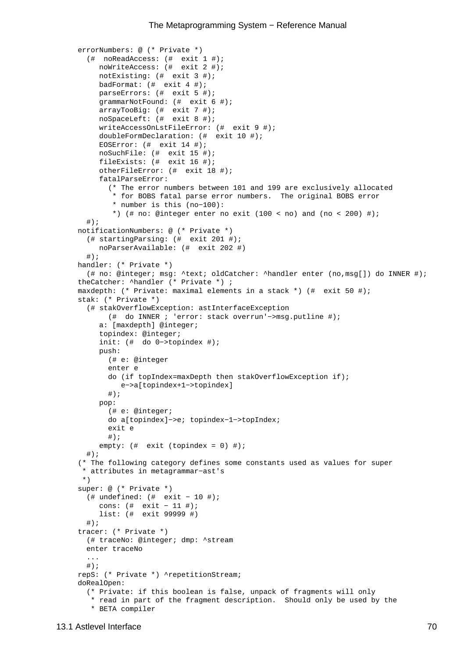```
errorNumbers: @ (* Private *)
   (# noReadAccess: (# exit 1 #);
     noWriteAccess: (# exit 2 #);
     notExisting: (# exit 3 #);
     badFormat: (# exit 4 #);
     parseErrors: (# exit 5 #);
     grammarNotFound: (# exit 6 #);
     arrayTooBig: (# exit 7 #);
     noSpaceLeft: (# exit 8 #);
     writeAccessOnLstFileError: (# exit 9 #);
     doubleFormDeclaration: (# exit 10 #);
     EOSError: (# exit 14 #);
     noSuchFile: (# exit 15 #);
     fileExists: (# exit 16 #);
     otherFileError: (# exit 18 #);
     fatalParseError:
        (* The error numbers between 101 and 199 are exclusively allocated
         * for BOBS fatal parse error numbers. The original BOBS error
         * number is this (no−100):
        *) (# no: @integer enter no exit (100 < no) and (no < 200) #);
   #);
notificationNumbers: @ (* Private *)
   (# startingParsing: (# exit 201 #);
     noParserAvailable: (# exit 202 #)
  \#);
handler: (* Private *)
   (# no: @integer; msg: ^text; oldCatcher: ^handler enter (no,msg[]) do INNER #);
theCatcher: ^handler (* Private *) ;
maxdepth: (* Private: maximal elements in a stack *) (# exit 50 #);
stak: (* Private *)
   (# stakOverflowException: astInterfaceException
       (# do INNER ; 'error: stack overrun'−>msg.putline #);
     a: [maxdepth] @integer;
     topindex: @integer;
     init: (# do 0−>topindex #);
     push:
        (# e: @integer
        enter e
        do (if topIndex=maxDepth then stakOverflowException if);
           e−>a[topindex+1−>topindex]
       \#) :
     pop:
        (# e: @integer;
        do a[topindex]−>e; topindex−1−>topIndex;
        exit e
        #);
     empty: (# exit (topindex = 0) #);
   #);
 (* The following category defines some constants used as values for super
  * attributes in metagrammar−ast's
  *)
super: @ (* Private *)
   (# undefined: (# exit − 10 #);
     cons: (# exit − 11 #);
     list: (# exit 99999 #)
  \#);
tracer: (* Private *)
   (# traceNo: @integer; dmp: ^stream
   enter traceNo
   ...
 #);
repS: (* Private *) ^repetitionStream;
doRealOpen:
   (* Private: if this boolean is false, unpack of fragments will only
    * read in part of the fragment description. Should only be used by the
    * BETA compiler
```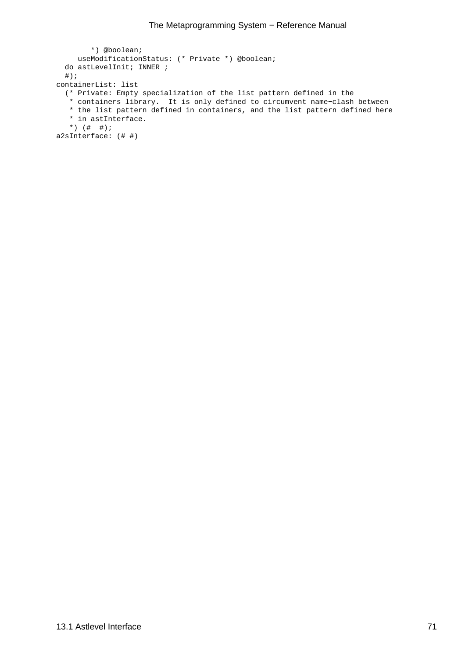```
 *) @boolean;
    useModificationStatus: (* Private *) @boolean;
  do astLevelInit; INNER ;
 \#);
containerList: list
   (* Private: Empty specialization of the list pattern defined in the
    * containers library. It is only defined to circumvent name−clash between
    * the list pattern defined in containers, and the list pattern defined here
    * in astInterface.
   * ) ( # ) ;
a2sInterface: (# #)
```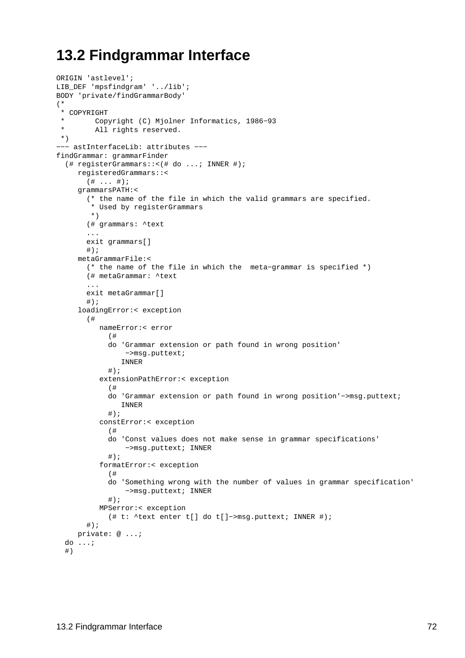## **13.2 Findgrammar Interface**

```
ORIGIN 'astlevel';
LIB_DEF 'mpsfindgram' '../lib';
BODY 'private/findGrammarBody'
(*
 * COPYRIGHT
  * Copyright (C) Mjolner Informatics, 1986−93
  * All rights reserved.
 *)
−−− astInterfaceLib: attributes −−−
findGrammar: grammarFinder
   (# registerGrammars::<(# do ...; INNER #);
    registeredGrammars::<
       (# ... #);
     grammarsPATH:<
        (* the name of the file in which the valid grammars are specified.
         * Used by registerGrammars 
         *)
        (# grammars: ^text
        ...
        exit grammars[]
       \#);
     metaGrammarFile:<
        (* the name of the file in which the meta−grammar is specified *)
        (# metaGrammar: ^text
        ...
        exit metaGrammar[]
       \#);
     loadingError:< exception
        (#
           nameError:< error
             (#
             do 'Grammar extension or path found in wrong position'
                 −>msg.puttext;
               INNER
            \#);
           extensionPathError:< exception
             (#
             do 'Grammar extension or path found in wrong position'−>msg.puttext;
               INNER
            \#);
           constError:< exception
             (#
             do 'Const values does not make sense in grammar specifications'
                 −>msg.puttext; INNER
            \#);
           formatError:< exception
             (#
             do 'Something wrong with the number of values in grammar specification'
                 −>msg.puttext; INNER
            #);
           MPSerror:< exception
             (# t: ^text enter t[] do t[]−>msg.puttext; INNER #);
       #);
    private: @ ...;
  do ...;
   #)
```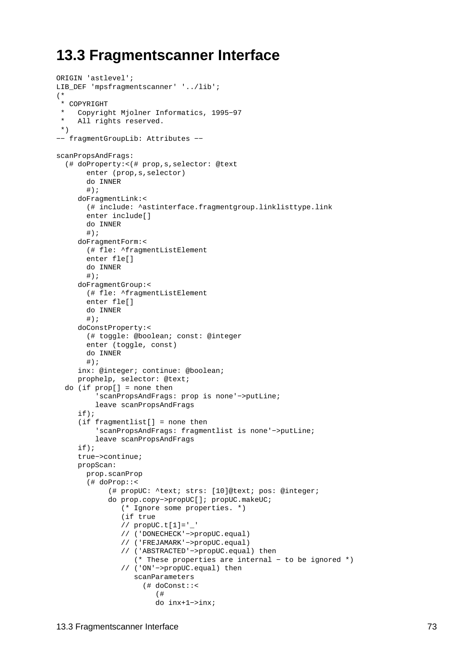# **13.3 Fragmentscanner Interface**

```
ORIGIN 'astlevel';
LIB_DEF 'mpsfragmentscanner' '../lib';
(*
 * COPYRIGHT
    Copyright Mjolner Informatics, 1995−97
    All rights reserved.
 *)
−− fragmentGroupLib: Attributes −−
scanPropsAndFrags:
   (# doProperty:<(# prop,s,selector: @text
        enter (prop,s,selector)
        do INNER
       \#);
     doFragmentLink:<
        (# include: ^astinterface.fragmentgroup.linklisttype.link
        enter include[]
        do INNER
       #);
     doFragmentForm:<
        (# fle: ^fragmentListElement
        enter fle[]
        do INNER
       #);
     doFragmentGroup:<
        (# fle: ^fragmentListElement
        enter fle[]
        do INNER
        #);
     doConstProperty:<
        (# toggle: @boolean; const: @integer
        enter (toggle, const)
        do INNER
       \#);
     inx: @integer; continue: @boolean;
     prophelp, selector: @text;
   do (if prop[] = none then
          'scanPropsAndFrags: prop is none'−>putLine;
          leave scanPropsAndFrags
      if);
      (if fragmentlist[] = none then
          'scanPropsAndFrags: fragmentlist is none'−>putLine;
          leave scanPropsAndFrags
      if);
      true−>continue;
     propScan:
       prop.scanProp
        (# doProp::<
             (# propUC: ^text; strs: [10]@text; pos: @integer;
             do prop.copy−>propUC[]; propUC.makeUC;
                (* Ignore some properties. *)
                (if true
               // propUC.t[1]=' // ('DONECHECK'−>propUC.equal)
                // ('FREJAMARK'−>propUC.equal)
                // ('ABSTRACTED'−>propUC.equal) then
                    (* These properties are internal − to be ignored *)
                // ('ON'−>propUC.equal) then
                   scanParameters
                      (# doConst::<
( # )
                        do inx+1−>inx;
```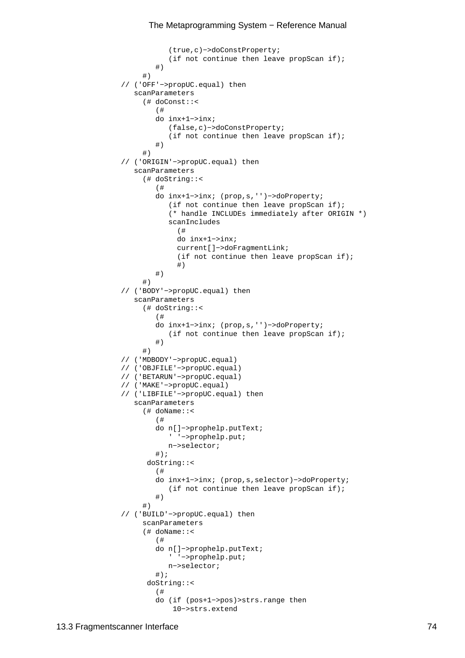### The Metaprogramming System - Reference Manual

```
 (true,c)−>doConstProperty;
                     (if not continue then leave propScan if);
 #)
 #)
            // ('OFF'−>propUC.equal) then
               scanParameters
                 (# doConst::<
( \# do inx+1−>inx;
                     (false,c)−>doConstProperty;
                    (if not continue then leave propScan if);
 #)
 #)
            // ('ORIGIN'−>propUC.equal) then
               scanParameters
                 (# doString::<
( \# do inx+1−>inx; (prop,s,'')−>doProperty;
                     (if not continue then leave propScan if);
                     (* handle INCLUDEs immediately after ORIGIN *)
                     scanIncludes
( \# do inx+1−>inx;
                       current[]−>doFragmentLink;
                       (if not continue then leave propScan if);
 #)
 #)
 #)
            // ('BODY'−>propUC.equal) then
               scanParameters
                 (# doString::<
( # )
                   do inx+1−>inx; (prop,s,'')−>doProperty;
                     (if not continue then leave propScan if);
 #)
 #)
            // ('MDBODY'−>propUC.equal)
            // ('OBJFILE'−>propUC.equal)
            // ('BETARUN'−>propUC.equal)
            // ('MAKE'−>propUC.equal)
            // ('LIBFILE'−>propUC.equal) then
               scanParameters
                 (# doName::<
( # )
                   do n[]−>prophelp.putText;
                     ' '−>prophelp.put;
                     n−>selector;
                  #);
                 doString::<
( # )
                   do inx+1−>inx; (prop,s,selector)−>doProperty;
                     (if not continue then leave propScan if);
 #)
 #)
            // ('BUILD'−>propUC.equal) then
                 scanParameters
                 (# doName::<
( \# do n[]−>prophelp.putText;
                      ' '−>prophelp.put;
                     n−>selector;
                  #);
                 doString::<
( # )
                   do (if (pos+1−>pos)>strs.range then
                      10−>strs.extend
```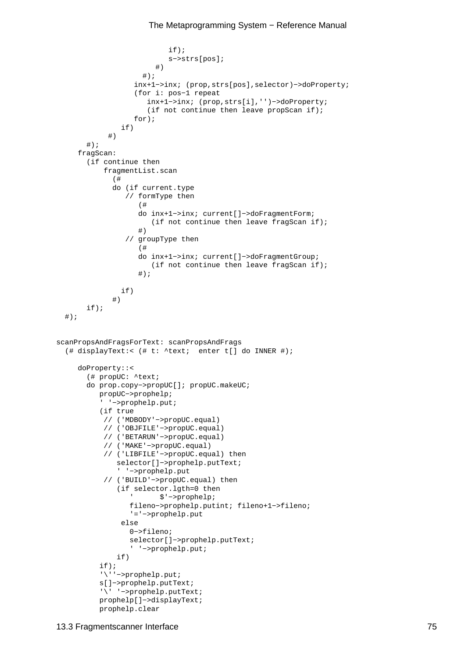```
 if);
                           s−>strs[pos];
 #)
                     #);
                   inx+1−>inx; (prop,strs[pos],selector)−>doProperty;
                   (for i: pos−1 repeat
                      inx+1−>inx; (prop,strs[i],'')−>doProperty;
                      (if not continue then leave propScan if);
                   for);
                if)
             #)
       #);
     fragScan:
        (if continue then
            fragmentList.scan
              (#
              do (if current.type
                 // formType then
 (#
                    do inx+1−>inx; current[]−>doFragmentForm;
                       (if not continue then leave fragScan if);
# )
                 // groupType then
(#
                    do inx+1−>inx; current[]−>doFragmentGroup;
                       (if not continue then leave fragScan if);
                   #);
                if)
              #)
       if);
  #);
scanPropsAndFragsForText: scanPropsAndFrags
   (# displayText:< (# t: ^text; enter t[] do INNER #);
     doProperty::<
        (# propUC: ^text;
        do prop.copy−>propUC[]; propUC.makeUC;
           propUC−>prophelp;
           ' '−>prophelp.put;
           (if true
            // ('MDBODY'−>propUC.equal)
            // ('OBJFILE'−>propUC.equal)
            // ('BETARUN'−>propUC.equal)
            // ('MAKE'−>propUC.equal)
            // ('LIBFILE'−>propUC.equal) then
               selector[]−>prophelp.putText;
               ' '−>prophelp.put
            // ('BUILD'−>propUC.equal) then
               (if selector.lgth=0 then
                  ' $'−>prophelp;
                  fileno−>prophelp.putint; fileno+1−>fileno;
                  '='−>prophelp.put
                else
                  0−>fileno;
                  selector[]−>prophelp.putText;
                  ' '−>prophelp.put;
               if)
           if);
           '\''−>prophelp.put;
           s[]−>prophelp.putText;
           '\' '−>prophelp.putText;
           prophelp[]−>displayText;
           prophelp.clear
```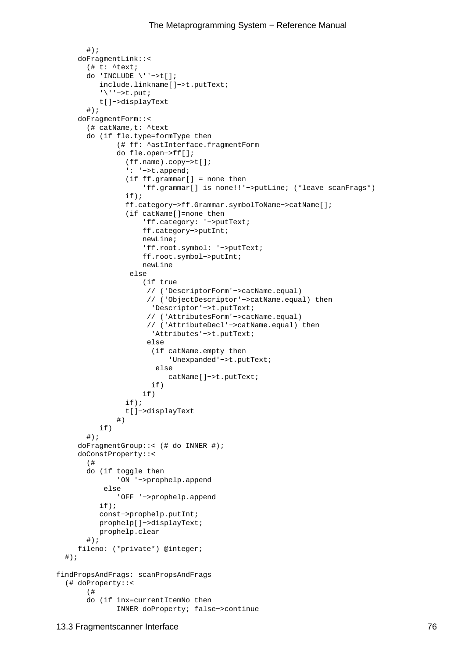```
#);
     doFragmentLink::<
        (# t: ^text;
        do 'INCLUDE \''−>t[];
           include.linkname[]−>t.putText;
           '\''−>t.put;
           t[]−>displayText
       #);
     doFragmentForm::<
        (# catName,t: ^text
        do (if fle.type=formType then
                (# ff: ^astInterface.fragmentForm
               do fle.open−>ff[];
                  (ff.name).copy−>t[];
                  ': '−>t.append;
                  (if ff.grammar[] = none then
                      'ff.grammar[] is none!!'−>putLine; (*leave scanFrags*)
                  if);
                  ff.category−>ff.Grammar.symbolToName−>catName[];
                  (if catName[]=none then
                      'ff.category: '−>putText;
                      ff.category−>putInt;
                      newLine;
                      'ff.root.symbol: '−>putText;
                      ff.root.symbol−>putInt;
                      newLine
                   else
                      (if true
                       // ('DescriptorForm'−>catName.equal)
                       // ('ObjectDescriptor'−>catName.equal) then
                        'Descriptor'−>t.putText;
                       // ('AttributesForm'−>catName.equal)
                       // ('AttributeDecl'−>catName.equal) then
                        'Attributes'−>t.putText;
                       else
                        (if catName.empty then
                             'Unexpanded'−>t.putText;
                         else
                            catName[]−>t.putText;
                        if)
                      if)
                  if);
                  t[]−>displayText
 #)
           if)
       #);
     doFragmentGroup::< (# do INNER #);
     doConstProperty::<
        (#
        do (if toggle then
               'ON '−>prophelp.append
            else
                'OFF '−>prophelp.append
           if);
           const−>prophelp.putInt;
           prophelp[]−>displayText;
           prophelp.clear
        #);
     fileno: (*private*) @integer;
  #);
findPropsAndFrags: scanPropsAndFrags
   (# doProperty::<
        (#
        do (if inx=currentItemNo then
               INNER doProperty; false−>continue
```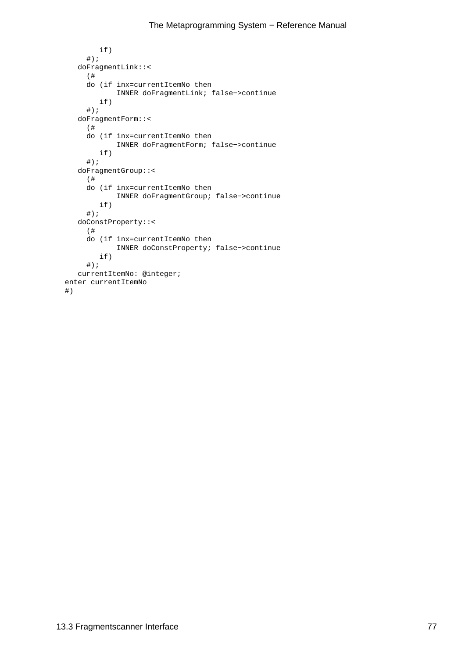```
 if)
     #);
   doFragmentLink::<
      (#
      do (if inx=currentItemNo then
              INNER doFragmentLink; false−>continue
         if)
     #);
   doFragmentForm::<
      (#
      do (if inx=currentItemNo then
              INNER doFragmentForm; false−>continue
         if)
     #);
   doFragmentGroup::<
      (#
      do (if inx=currentItemNo then
              INNER doFragmentGroup; false−>continue
         if)
     #);
   doConstProperty::<
      (#
      do (if inx=currentItemNo then
              INNER doConstProperty; false−>continue
         if)
     #);
   currentItemNo: @integer;
 enter currentItemNo
 #)
```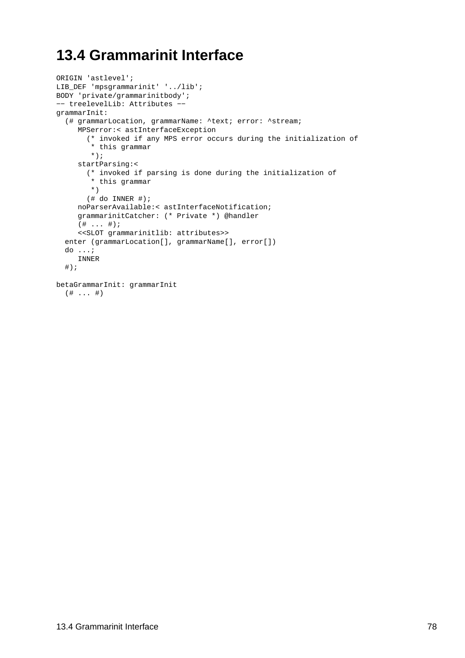# **13.4 Grammarinit Interface**

```
ORIGIN 'astlevel';
LIB_DEF 'mpsgrammarinit' '../lib';
BODY 'private/grammarinitbody';
−− treelevelLib: Attributes −−
grammarInit:
   (# grammarLocation, grammarName: ^text; error: ^stream;
     MPSerror:< astInterfaceException
        (* invoked if any MPS error occurs during the initialization of 
         * this grammar
        *);
     startParsing:< 
        (* invoked if parsing is done during the initialization of
         * this grammar
         *)
        (# do INNER #);
     noParserAvailable:< astInterfaceNotification;
     grammarinitCatcher: (* Private *) @handler
      (# ... #);
      <<SLOT grammarinitlib: attributes>> 
  enter (grammarLocation[], grammarName[], error[])
   do ...;
      INNER
  #);
betaGrammarInit: grammarInit
  ( # . . . #)
```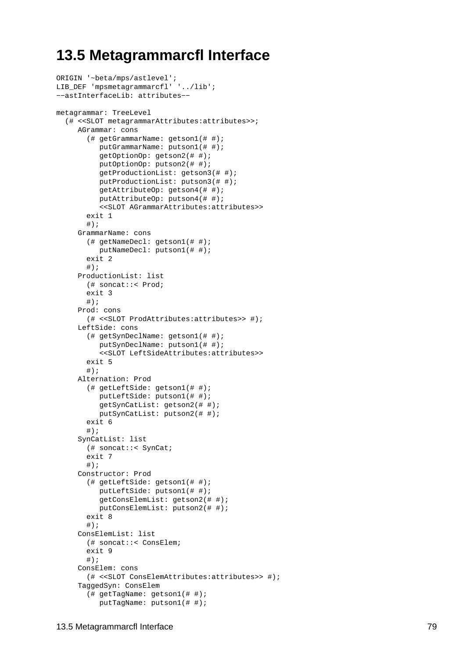## **13.5 Metagrammarcfl Interface**

```
ORIGIN '~beta/mps/astlevel';
LIB_DEF 'mpsmetagrammarcfl' '../lib';
−−astInterfaceLib: attributes−−
metagrammar: TreeLevel
   (# <<SLOT metagrammarAttributes:attributes>>;
     AGrammar: cons
        (# getGrammarName: getson1(# #);
           putGrammarName: putson1(# #);
           getOptionOp: getson2(# #);
           putOptionOp: putson2(# #);
           getProductionList: getson3(# #);
           putProductionList: putson3(# #);
           getAttributeOp: getson4(# #);
           putAttributeOp: putson4(# #);
           <<SLOT AGrammarAttributes:attributes>> 
        exit 1
       #);
     GrammarName: cons
        (# getNameDecl: getson1(# #);
           putNameDecl: putson1(# #);
        exit 2
       #);
     ProductionList: list
        (# soncat::< Prod;
        exit 3
       #);
     Prod: cons
        (# <<SLOT ProdAttributes:attributes>> #);
     LeftSide: cons
        (# getSynDeclName: getson1(# #);
           putSynDeclName: putson1(# #);
           <<SLOT LeftSideAttributes:attributes>> 
        exit 5
       #);
     Alternation: Prod
        (# getLeftSide: getson1(# #);
           putLeftSide: putson1(# #);
           getSynCatList: getson2(# #);
           putSynCatList: putson2(# #);
        exit 6
       #);
     SynCatList: list
        (# soncat::< SynCat;
        exit 7
       #);
     Constructor: Prod
        (# getLeftSide: getson1(# #);
           putLeftSide: putson1(# #);
           getConsElemList: getson2(# #);
           putConsElemList: putson2(# #);
        exit 8
       #);
     ConsElemList: list
        (# soncat::< ConsElem;
        exit 9
       #);
     ConsElem: cons
        (# <<SLOT ConsElemAttributes:attributes>> #);
     TaggedSyn: ConsElem
        (# getTagName: getson1(# #);
           putTagName: putson1(# #);
```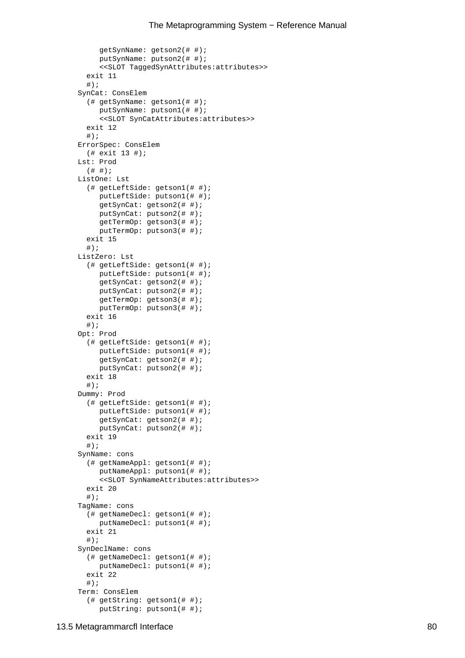```
 getSynName: getson2(# #);
      putSynName: putson2(# #);
      <<SLOT TaggedSynAttributes:attributes>> 
   exit 11
  \#);
SynCat: ConsElem
   (# getSynName: getson1(# #);
      putSynName: putson1(# #);
      <<SLOT SynCatAttributes:attributes>> 
   exit 12
   #);
ErrorSpec: ConsElem
   (# exit 13 #);
Lst: Prod
   (# #);
ListOne: Lst
   (# getLeftSide: getson1(# #);
      putLeftSide: putson1(# #);
      getSynCat: getson2(# #);
      putSynCat: putson2(# #);
      getTermOp: getson3(# #);
      putTermOp: putson3(# #);
   exit 15
  \#);
ListZero: Lst
   (# getLeftSide: getson1(# #);
      putLeftSide: putson1(# #);
      getSynCat: getson2(# #);
      putSynCat: putson2(# #);
      getTermOp: getson3(# #);
      putTermOp: putson3(# #);
   exit 16
  \# ) \; ;
Opt: Prod
   (# getLeftSide: getson1(# #);
      putLeftSide: putson1(# #);
      getSynCat: getson2(# #);
      putSynCat: putson2(# #);
   exit 18
  #);
Dummy: Prod
   (# getLeftSide: getson1(# #);
      putLeftSide: putson1(# #);
      getSynCat: getson2(# #);
      putSynCat: putson2(# #);
   exit 19
  #);
SynName: cons
   (# getNameAppl: getson1(# #);
      putNameAppl: putson1(# #);
      <<SLOT SynNameAttributes:attributes>> 
   exit 20
  \#);
TagName: cons
   (# getNameDecl: getson1(# #);
      putNameDecl: putson1(# #);
   exit 21
  \#) ;
SynDeclName: cons
   (# getNameDecl: getson1(# #);
      putNameDecl: putson1(# #);
   exit 22
  #);
Term: ConsElem
   (# getString: getson1(# #);
      putString: putson1(# #);
```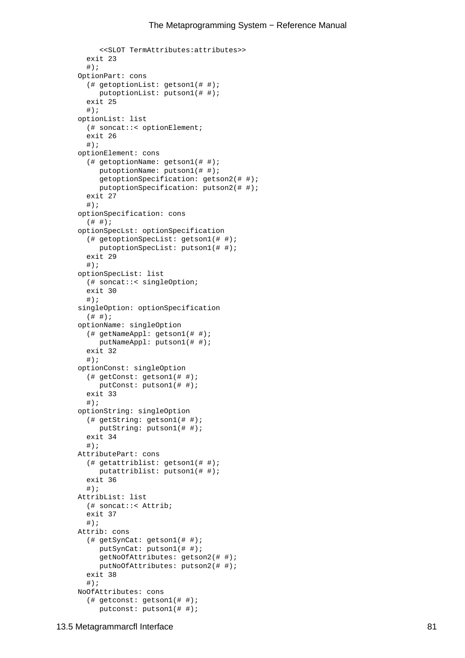```
 <<SLOT TermAttributes:attributes>> 
   exit 23
  \#);
OptionPart: cons
   (# getoptionList: getson1(# #);
      putoptionList: putson1(# #);
   exit 25
  #);
optionList: list
   (# soncat::< optionElement;
   exit 26
  #);
optionElement: cons
   (# getoptionName: getson1(# #);
      putoptionName: putson1(# #);
      getoptionSpecification: getson2(# #);
      putoptionSpecification: putson2(# #);
   exit 27
  \#);
optionSpecification: cons
   (# #);
optionSpecLst: optionSpecification
   (# getoptionSpecList: getson1(# #);
      putoptionSpecList: putson1(# #);
  exit 29
  #);
optionSpecList: list
   (# soncat::< singleOption;
   exit 30
 \#);
singleOption: optionSpecification
  (# #);
optionName: singleOption
   (# getNameAppl: getson1(# #);
      putNameAppl: putson1(# #);
  exit 32
  #);
optionConst: singleOption
   (# getConst: getson1(# #);
      putConst: putson1(# #);
   exit 33
  \#);
optionString: singleOption
   (# getString: getson1(# #);
     putString: putson1(# #);
  exit 34
  \#);
AttributePart: cons
   (# getattriblist: getson1(# #);
     putattriblist: putson1(# #);
   exit 36
  \#);
AttribList: list
   (# soncat::< Attrib;
  exit 37
 \#);
Attrib: cons
   (# getSynCat: getson1(# #);
      putSynCat: putson1(# #);
      getNoOfAttributes: getson2(# #);
      putNoOfAttributes: putson2(# #);
   exit 38
  #);
NoOfAttributes: cons
   (# getconst: getson1(# #);
      putconst: putson1(# #);
```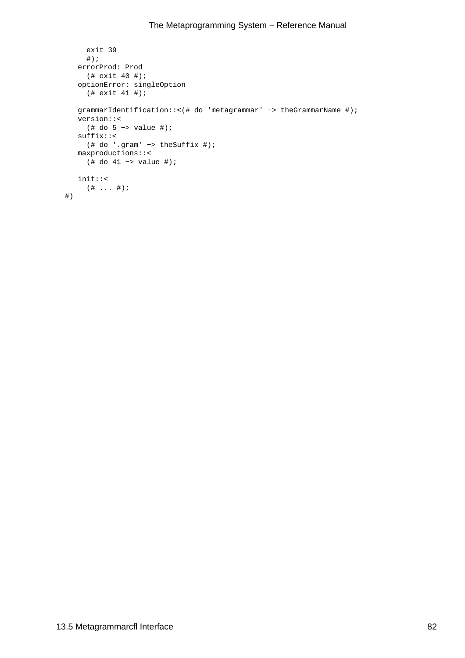```
 exit 39
    \#);
  errorProd: Prod
     (# exit 40 #);
  optionError: singleOption
     (# exit 41 #);
  grammarIdentification::<(# do 'metagrammar' -> theGrammarName #);
  version::<
     (# do 5 −> value #);
  suffix::<
     (# do '.gram' −> theSuffix #);
  maxproductions::<
     (# do 41 −> value #);
  init::<
    ( # ... #); #)
```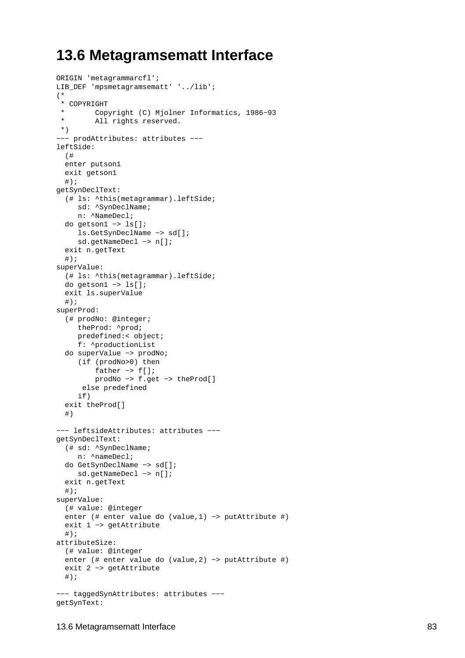## **13.6 Metagramsematt Interface**

```
ORIGIN 'metagrammarcfl';
LIB_DEF 'mpsmetagramsematt' '../lib';
(*
  * COPYRIGHT
         * Copyright (C) Mjolner Informatics, 1986−93
         All rights reserved.
  *)
−−− prodAttributes: attributes −−−
leftSide: 
  (# 
   enter putson1
   exit getson1
  \#);
getSynDeclText: 
   (# ls: ^this(metagrammar).leftSide;
     sd: ^SynDeclName;
     n: ^NameDecl;
   do getson1 −> ls[];
      ls.GetSynDeclName −> sd[];
      sd.getNameDecl −> n[];
   exit n.getText
  \#);
superValue: 
   (# ls: ^this(metagrammar).leftSide;
   do getson1 −> ls[];
   exit ls.superValue
  #);
superProd: 
   (# prodNo: @integer;
      theProd: ^prod;
      predefined:< object;
     f: ^productionList
   do superValue −> prodNo;
      (if (prodNo>0) then
          father −> f[];
          prodNo −> f.get −> theProd[]
       else predefined
      if)
   exit theProd[]
   #)
−−− leftsideAttributes: attributes −−−
getSynDeclText: 
  (# sd: ^SynDeclName;
      n: ^nameDecl;
   do GetSynDeclName −> sd[];
      sd.getNameDecl −> n[];
   exit n.getText
  #);
superValue: 
   (# value: @integer
   enter (# enter value do (value,1) −> putAttribute #)
   exit 1 −> getAttribute
  \#);
attributeSize: 
   (# value: @integer
   enter (# enter value do (value,2) −> putAttribute #)
   exit 2 −> getAttribute
  #);
−−− taggedSynAttributes: attributes −−−
getSynText:
```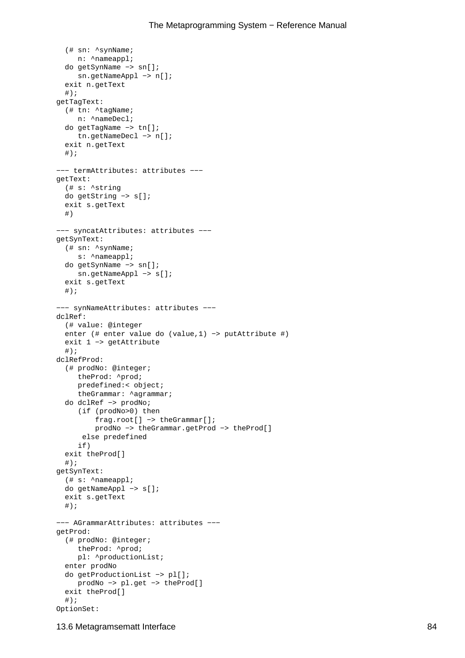```
 (# sn: ^synName;
     n: ^nameappl;
   do getSynName −> sn[];
      sn.getNameAppl −> n[];
   exit n.getText
  \#);
getTagText: 
   (# tn: ^tagName;
      n: ^nameDecl;
   do getTagName −> tn[];
      tn.getNameDecl −> n[];
   exit n.getText
  #);
−−− termAttributes: attributes −−−
getText: 
   (# s: ^string
   do getString −> s[];
   exit s.getText
   #)
−−− syncatAttributes: attributes −−−
getSynText: 
   (# sn: ^synName;
    s: ^{\circ}nameappl;
   do getSynName −> sn[];
      sn.getNameAppl −> s[];
   exit s.getText
  \#);
−−− synNameAttributes: attributes −−−
dclRef: 
   (# value: @integer
   enter (# enter value do (value,1) −> putAttribute #)
   exit 1 −> getAttribute
  #);
dclRefProd: 
   (# prodNo: @integer;
      theProd: ^prod;
      predefined:< object;
     theGrammar: ^agrammar;
   do dclRef −> prodNo;
      (if (prodNo>0) then
         frag.root[] -> theGrammar[];
          prodNo −> theGrammar.getProd −> theProd[]
       else predefined
      if)
   exit theProd[] 
  \#);
getSynText: 
   (# s: ^nameappl;
   do getNameAppl −> s[];
   exit s.getText
  #);
−−− AGrammarAttributes: attributes −−−
getProd: 
   (# prodNo: @integer;
      theProd: ^prod;
      pl: ^productionList;
   enter prodNo
   do getProductionList −> pl[];
      prodNo −> pl.get −> theProd[] 
   exit theProd[] 
  \# ) \, ;
```
OptionSet: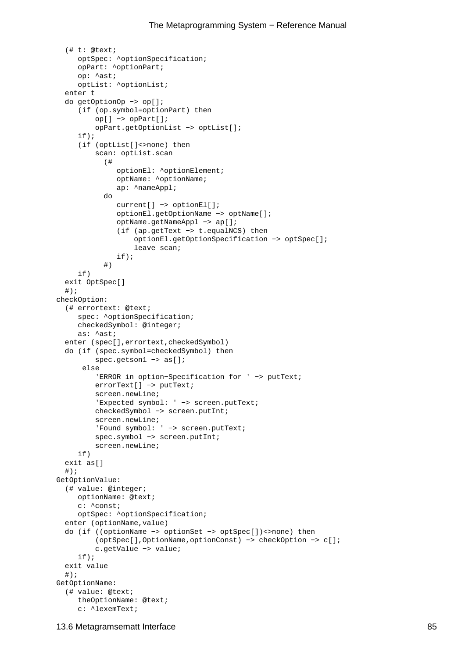```
 (# t: @text;
      optSpec: ^optionSpecification;
      opPart: ^optionPart;
      op: ^ast;
      optList: ^optionList;
   enter t
   do getOptionOp −> op[];
      (if (op.symbol=optionPart) then
          op[] −> opPart[];
          opPart.getOptionList −> optList[];
      if);
      (if (optList[]<>none) then
          scan: optList.scan
             (#
                optionEl: ^optionElement;
                optName: ^optionName;
               ap: ^{\wedge}nameAppl;
            do
                current[] −> optionEl[];
                optionEl.getOptionName −> optName[];
                optName.getNameAppl −> ap[];
                (if (ap.getText −> t.equalNCS) then
                    optionEl.getOptionSpecification −> optSpec[];
                    leave scan;
                if);
             #)
      if)
   exit OptSpec[]
  \#);
checkOption: 
   (# errortext: @text;
      spec: ^optionSpecification;
      checkedSymbol: @integer;
      as: ^ast;
  enter (spec[], errortext, checkedSymbol)
   do (if (spec.symbol=checkedSymbol) then
         spec.getson1 -> as[];
       else
           'ERROR in option−Specification for ' −> putText;
          errorText[] −> putText;
          screen.newLine;
           'Expected symbol: ' −> screen.putText;
          checkedSymbol −> screen.putInt;
          screen.newLine;
          'Found symbol: ' −> screen.putText;
          spec.symbol −> screen.putInt;
          screen.newLine;
      if)
   exit as[]
  \#);
GetOptionValue: 
   (# value: @integer;
      optionName: @text;
      c: ^const;
      optSpec: ^optionSpecification;
  enter (optionName, value)
   do (if ((optionName −> optionSet −> optSpec[])<>none) then
           (optSpec[],OptionName,optionConst) −> checkOption −> c[];
          c.getValue −> value;
      if);
   exit value
  \#);
GetOptionName: 
   (# value: @text;
      theOptionName: @text;
      c: ^lexemText;
```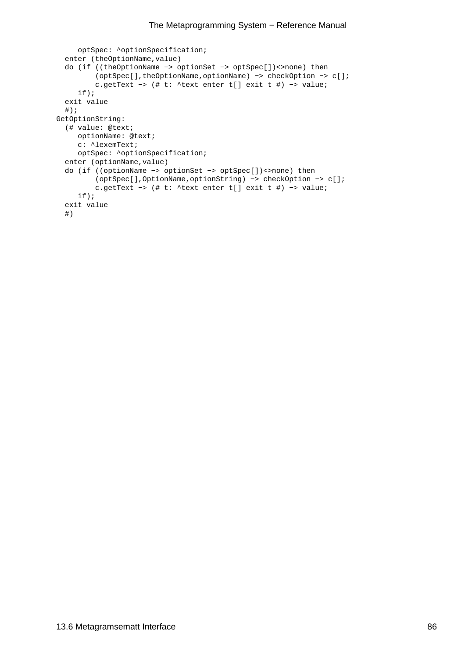```
 optSpec: ^optionSpecification;
  enter (theOptionName, value)
   do (if ((theOptionName −> optionSet −> optSpec[])<>none) then
          (optSpec[],theOptionName,optionName) −> checkOption −> c[];
          c.getText −> (# t: ^text enter t[] exit t #) −> value;
      if);
   exit value
  #);
GetOptionString: 
   (# value: @text;
      optionName: @text;
      c: ^lexemText;
      optSpec: ^optionSpecification;
  enter (optionName, value)
   do (if ((optionName −> optionSet −> optSpec[])<>none) then
          (optSpec[],OptionName,optionString) −> checkOption −> c[];
          c.getText −> (# t: ^text enter t[] exit t #) −> value;
      if);
   exit value
   #)
```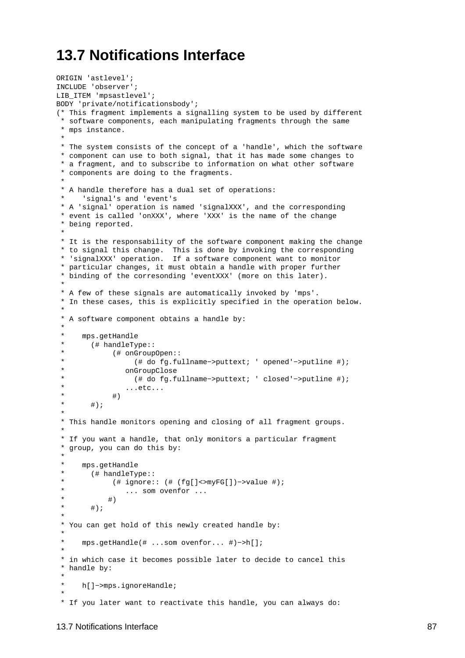### **13.7 Notifications Interface**

```
ORIGIN 'astlevel';
INCLUDE 'observer';
LIB_ITEM 'mpsastlevel';
BODY 'private/notificationsbody';
(* This fragment implements a signalling system to be used by different
  * software components, each manipulating fragments through the same
  * mps instance.
 *
  * The system consists of the concept of a 'handle', which the software
  * component can use to both signal, that it has made some changes to
  * a fragment, and to subscribe to information on what other software
  * components are doing to the fragments.
 *
  * A handle therefore has a dual set of operations:
     'signal's and 'event's
  * A 'signal' operation is named 'signalXXX', and the corresponding
  * event is called 'onXXX', where 'XXX' is the name of the change
  * being reported.
 *
  * It is the responsability of the software component making the change
 * to signal this change. This is done by invoking the corresponding
 * 'signalXXX' operation. If a software component want to monitor
  * particular changes, it must obtain a handle with proper further
  * binding of the corresonding 'eventXXX' (more on this later).
 *
  * A few of these signals are automatically invoked by 'mps'.
  * In these cases, this is explicitly specified in the operation below.
 *
  * A software component obtains a handle by:
 *
     mps.getHandle * (# handleType::
              * (# onGroupOpen::
                   * (# do fg.fullname−>puttext; ' opened'−>putline #);
  * onGroupClose
  * (# do fg.fullname−>puttext; ' closed'−>putline #);
  * ...etc...
             #)
        \#) ;
 *
  * This handle monitors opening and closing of all fragment groups.
 *
  * If you want a handle, that only monitors a particular fragment
  * group, you can do this by:
 *
     mps.qetHandle
       (# handleType::
             * (# ignore:: (# (fg[]<>myFG[])−>value #);
                ... som ovenfor ...
             * #)
        #);
 *
  * You can get hold of this newly created handle by:
 *
       * mps.getHandle(# ...som ovenfor... #)−>h[];
 *
  * in which case it becomes possible later to decide to cancel this
  * handle by:
 *
     h[]->mps.ignoreHandle;
 *
  * If you later want to reactivate this handle, you can always do:
```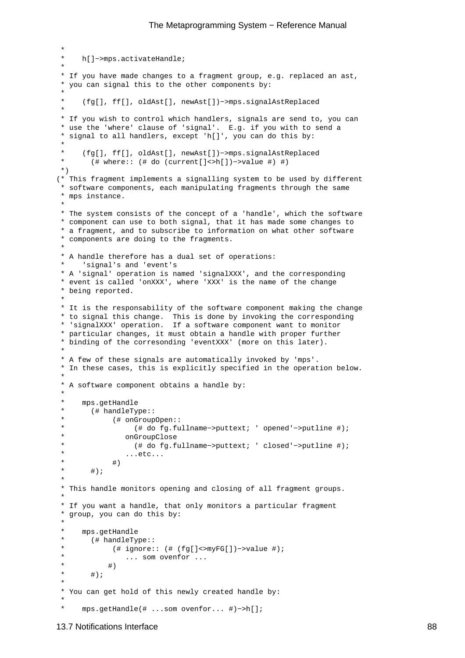```
 *
 * h[]−>mps.activateHandle;
 *
 * If you have made changes to a fragment group, e.g. replaced an ast,
 * you can signal this to the other components by:
 *
      (fg[], ff[], oldAst[], newAst[])->mps.signalAstReplaced
 *
 * If you wish to control which handlers, signals are send to, you can
  use the 'where' clause of 'signal'. E.g. if you with to send a
  signal to all handlers, except 'h[]', you can do this by:
 *
      (fg[], ff[], oldAst[], newAst[])->mps.signalAstReplaced
         * (# where:: (# do (current[]<>h[])−>value #) #)
 *)
(* This fragment implements a signalling system to be used by different
 * software components, each manipulating fragments through the same
 * mps instance.
 *
 * The system consists of the concept of a 'handle', which the software
 * component can use to both signal, that it has made some changes to
 * a fragment, and to subscribe to information on what other software
 * components are doing to the fragments.
 *
 * A handle therefore has a dual set of operations:
     'signal's and 'event's
 * A 'signal' operation is named 'signalXXX', and the corresponding
 * event is called 'onXXX', where 'XXX' is the name of the change
 * being reported.
 *
 * It is the responsability of the software component making the change
 * to signal this change. This is done by invoking the corresponding
 * 'signalXXX' operation. If a software component want to monitor
 * particular changes, it must obtain a handle with proper further
 * binding of the corresonding 'eventXXX' (more on this later).
 *
 * A few of these signals are automatically invoked by 'mps'.
 * In these cases, this is explicitly specified in the operation below.
 *
 * A software component obtains a handle by:
 *
     mps.getHandle
        * (# handleType::
              * (# onGroupOpen::
                   * (# do fg.fullname−>puttext; ' opened'−>putline #);
                onGroupClose
                   * (# do fg.fullname−>puttext; ' closed'−>putline #);
                 * ...etc...
             #)
        #);
 *
 * This handle monitors opening and closing of all fragment groups.
 *
 * If you want a handle, that only monitors a particular fragment
 * group, you can do this by:
 *
     mps.getHandle
         * (# handleType::
              * (# ignore:: (# (fg[]<>myFG[])−>value #);
                ... som ovenfor ...
            #)
       #);
 *
 * You can get hold of this newly created handle by:
 *
      * mps.getHandle(# ...som ovenfor... #)−>h[];
```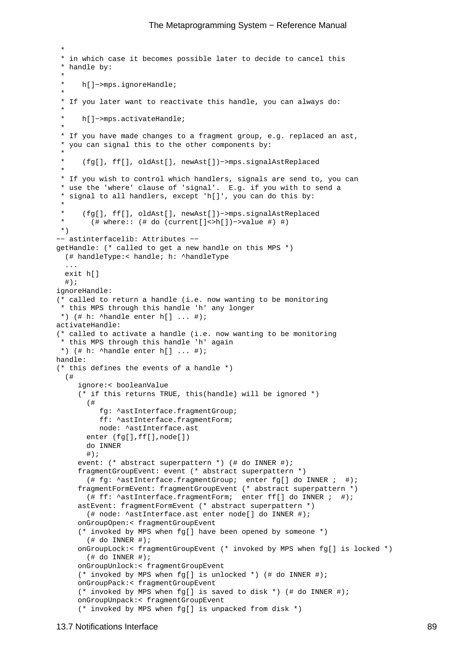```
 *
  * in which case it becomes possible later to decide to cancel this
  * handle by:
 *
      h[]->mps.ignoreHandle;
 *
  * If you later want to reactivate this handle, you can always do:
 *
      h[]->mps.activateHandle;
 *
  * If you have made changes to a fragment group, e.g. replaced an ast,
  you can signal this to the other components by:
 *
       * (fg[], ff[], oldAst[], newAst[])−>mps.signalAstReplaced
 *
  * If you wish to control which handlers, signals are send to, you can
  * use the 'where' clause of 'signal'. E.g. if you with to send a
  * signal to all handlers, except 'h[]', you can do this by:
 *
       * (fg[], ff[], oldAst[], newAst[])−>mps.signalAstReplaced
  * (# where:: (# do (current[]<>h[])−>value #) #)
  *)
−− astinterfacelib: Attributes −−
getHandle: (* called to get a new handle on this MPS *)
   (# handleType:< handle; h: ^handleType
   ...
  exit h[]
  #);
ignoreHandle:
(* called to return a handle (i.e. now wanting to be monitoring
  * this MPS through this handle 'h' any longer
 *) (# h: ^handle enter h[] ... #);
activateHandle:
(* called to activate a handle (i.e. now wanting to be monitoring
  * this MPS through this handle 'h' again
 *) (# h: \lambdahandle enter h[] ... #);
handle:
(* this defines the events of a handle *)
   (#
     ignore:< booleanValue
      (* if this returns TRUE, this(handle) will be ignored *)
        (#
           fg: ^astInterface.fragmentGroup;
           ff: ^astInterface.fragmentForm;
           node: ^astInterface.ast
       enter (fg[],ff[],node[])
        do INNER
       #);
     event: (* abstract superpattern *) (# do INNER #);
     fragmentGroupEvent: event (* abstract superpattern *)
        (# fg: ^astInterface.fragmentGroup; enter fg[] do INNER ; #);
     fragmentFormEvent: fragmentGroupEvent (* abstract superpattern *)
        (# ff: ^astInterface.fragmentForm; enter ff[] do INNER ; #);
     astEvent: fragmentFormEvent (* abstract superpattern *)
        (# node: ^astInterface.ast enter node[] do INNER #);
     onGroupOpen:< fragmentGroupEvent
      (* invoked by MPS when fg[] have been opened by someone *)
       ( # do INNER #);
     onGroupLock:< fragmentGroupEvent (* invoked by MPS when fg[] is locked *)
       ( # do INNER #);
     onGroupUnlock:< fragmentGroupEvent
      (* invoked by MPS when fg[] is unlocked *) (# do INNER #);
     onGroupPack:< fragmentGroupEvent
     (* invoked by MPS when fg[] is saved to disk *) (# do INNER #);
     onGroupUnpack:< fragmentGroupEvent
      (* invoked by MPS when fg[] is unpacked from disk *)
```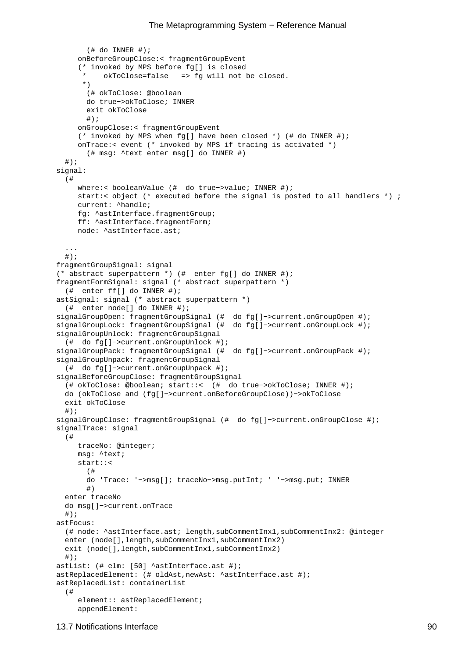```
( # do INNER #);
     onBeforeGroupClose:< fragmentGroupEvent
      (* invoked by MPS before fg[] is closed
       * okToClose=false => fg will not be closed.
       *)
        (# okToClose: @boolean
       do true−>okToClose; INNER
       exit okToClose
        #);
     onGroupClose:< fragmentGroupEvent
     (* invoked by MPS when fq[] have been closed *) (# do INNER #);
     onTrace:< event (* invoked by MPS if tracing is activated *)
        (# msg: ^text enter msg[] do INNER #)
  #);
signal:
   (#
     where:< booleanValue (# do true−>value; INNER #);
     start:< object (* executed before the signal is posted to all handlers *) ;
     current: ^handle;
    fg: ^astInterface.fragmentGroup;
    ff: ^astInterface.fragmentForm;
    node: ^astInterface.ast;
   ...
  #);
fragmentGroupSignal: signal
(* abstract superpattern *) (# enter fg[] do INNER #);
fragmentFormSignal: signal (* abstract superpattern *)
   (# enter ff[] do INNER #);
astSignal: signal (* abstract superpattern *)
   (# enter node[] do INNER #);
signalGroupOpen: fragmentGroupSignal (# do fg[]−>current.onGroupOpen #);
signalGroupLock: fragmentGroupSignal (# do fg[]−>current.onGroupLock #);
signalGroupUnlock: fragmentGroupSignal
   (# do fg[]−>current.onGroupUnlock #);
signalGroupPack: fragmentGroupSignal (# do fg[]−>current.onGroupPack #);
signalGroupUnpack: fragmentGroupSignal
   (# do fg[]−>current.onGroupUnpack #);
signalBeforeGroupClose: fragmentGroupSignal
   (# okToClose: @boolean; start::< (# do true−>okToClose; INNER #); 
  do (okToClose and (fg[]−>current.onBeforeGroupClose))−>okToClose
  exit okToClose
  #);
signalGroupClose: fragmentGroupSignal (# do fg[]−>current.onGroupClose #);
signalTrace: signal
   (#
     traceNo: @integer;
    msg: ^text;
     start::< 
       (# 
       do 'Trace: '−>msg[]; traceNo−>msg.putInt; ' '−>msg.put; INNER
       #)
   enter traceNo
  do msg[]−>current.onTrace
   #);
astFocus:
   (# node: ^astInterface.ast; length,subCommentInx1,subCommentInx2: @integer
 enter (node[], length, subCommentInx1, subCommentInx2)
 exit (node[],length,subCommentInx1,subCommentInx2)
  #);
astList: (# elm: [50] ^astInterface.ast #);
astReplacedElement: (# oldAst,newAst: ^astInterface.ast #);
astReplacedList: containerList
   (#
     element:: astReplacedElement;
     appendElement:
```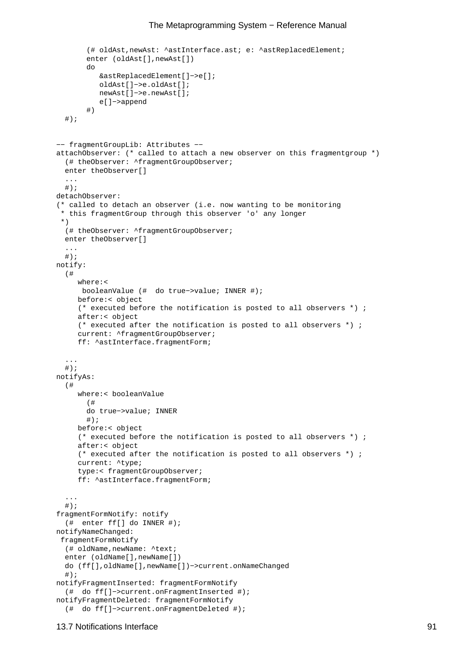```
 (# oldAst,newAst: ^astInterface.ast; e: ^astReplacedElement; 
       enter (oldAst[], newAst[])
        do
           &astReplacedElement[]−>e[];
           oldAst[]−>e.oldAst[];
           newAst[]−>e.newAst[];
           e[]−>append
        #)
  #);
−− fragmentGroupLib: Attributes −−
attachObserver: (* called to attach a new observer on this fragmentgroup *)
 (# theObserver: ^fragmentGroupObserver; 
   enter theObserver[]
   ...
   #);
detachObserver:
(* called to detach an observer (i.e. now wanting to be monitoring
  * this fragmentGroup through this observer 'o' any longer
  *)
   (# theObserver: ^fragmentGroupObserver; 
  enter theObserver[]
   ...
  #);
notify:
   (#
     where:<
      booleanValue (# do true−>value; INNER #);
     before:< object
      (* executed before the notification is posted to all observers *) ;
     after:< object
      (* executed after the notification is posted to all observers *) ;
     current: ^fraqmentGroupObserver;
     ff: ^astInterface.fragmentForm;
   ...
  #);
notifyAs:
   (#
     where:< booleanValue
        (# 
        do true−>value; INNER
       \#);
     before:< object
      (* executed before the notification is posted to all observers *) ;
     after:< object
     (* executed after the notification is posted to all observers *) ;
     current: ^type;
     type:< fragmentGroupObserver;
     ff: ^astInterface.fragmentForm;
   ...
  #);
fragmentFormNotify: notify
   (# enter ff[] do INNER #);
notifyNameChanged:
  fragmentFormNotify
   (# oldName,newName: ^text; 
  enter (oldName[], newName[])
  do (ff[],oldName[],newName[])−>current.onNameChanged
  #);
notifyFragmentInserted: fragmentFormNotify
   (# do ff[]−>current.onFragmentInserted #);
notifyFragmentDeleted: fragmentFormNotify
   (# do ff[]−>current.onFragmentDeleted #);
```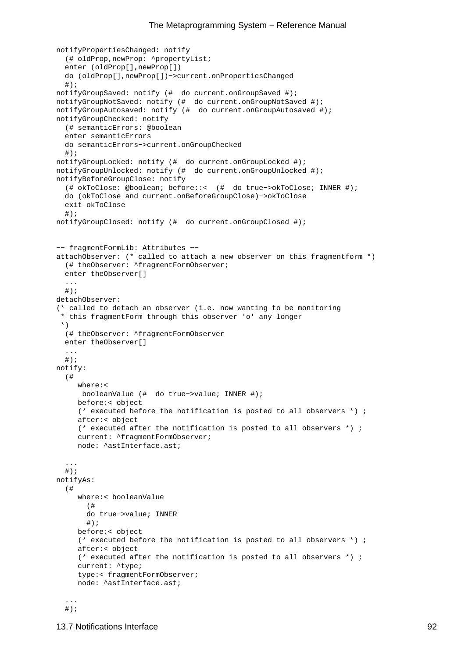```
notifyPropertiesChanged: notify
   (# oldProp,newProp: ^propertyList; 
   enter (oldProp[],newProp[])
   do (oldProp[],newProp[])−>current.onPropertiesChanged
   #);
notifyGroupSaved: notify (# do current.onGroupSaved #);
notifyGroupNotSaved: notify (# do current.onGroupNotSaved #);
notifyGroupAutosaved: notify (# do current.onGroupAutosaved #);
notifyGroupChecked: notify
   (# semanticErrors: @boolean
   enter semanticErrors
  do semanticErrors−>current.onGroupChecked
  #);
notifyGroupLocked: notify (# do current.onGroupLocked #);
notifyGroupUnlocked: notify (# do current.onGroupUnlocked #);
notifyBeforeGroupClose: notify
   (# okToClose: @boolean; before::< (# do true−>okToClose; INNER #); 
  do (okToClose and current.onBeforeGroupClose)−>okToClose
  exit okToClose
   #);
notifyGroupClosed: notify (# do current.onGroupClosed #);
−− fragmentFormLib: Attributes −−
attachObserver: (* called to attach a new observer on this fragmentform *)
   (# theObserver: ^fragmentFormObserver; 
  enter theObserver[]
   ...
 #);
detachObserver:
(* called to detach an observer (i.e. now wanting to be monitoring
  * this fragmentForm through this observer 'o' any longer
  *)
   (# theObserver: ^fragmentFormObserver
  enter theObserver[]
   ...
  #);
notify:
   (#
     where:<
       booleanValue (# do true−>value; INNER #);
     before:< object
      (* executed before the notification is posted to all observers *) ;
     after:< object
     (* executed after the notification is posted to all observers *) ;
     current: ^fragmentFormObserver;
     node: ^astInterface.ast;
   ...
  \#);
notifyAs:
   (#
     where:< booleanValue
        (# 
        do true−>value; INNER
        #);
     before:< object
      (* executed before the notification is posted to all observers *) ;
     after:< object
     (* executed after the notification is posted to all observers *) ;
     current: ^type;
     type:< fragmentFormObserver;
     node: ^astInterface.ast;
```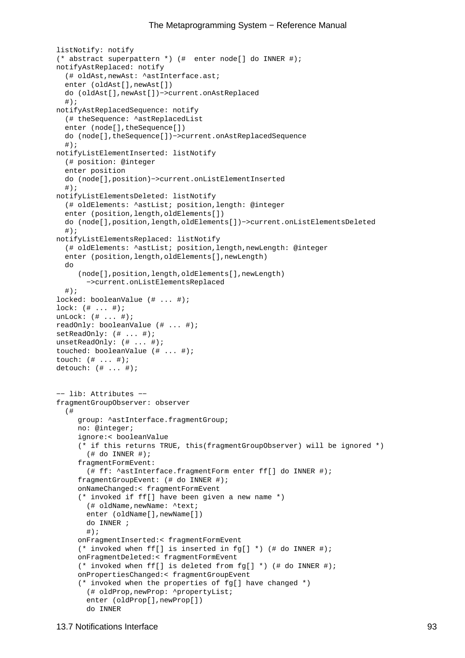```
listNotify: notify
(* abstract superpattern *) (# enter node[] do INNER #);
notifyAstReplaced: notify
   (# oldAst,newAst: ^astInterface.ast; 
  enter (oldAst[], newAst[])
  do (oldAst[],newAst[])−>current.onAstReplaced
  #);
notifyAstReplacedSequence: notify
   (# theSequence: ^astReplacedList
  enter (node[], theSequence[])
   do (node[],theSequence[])−>current.onAstReplacedSequence
   #);
notifyListElementInserted: listNotify
   (# position: @integer
   enter position
   do (node[],position)−>current.onListElementInserted
   #);
notifyListElementsDeleted: listNotify
   (# oldElements: ^astList; position,length: @integer
  enter (position, length, oldElements[])
  do (node[],position,length,oldElements[])−>current.onListElementsDeleted
   #);
notifyListElementsReplaced: listNotify
   (# oldElements: ^astList; position,length,newLength: @integer
  enter (position, length, oldElements[], newLength)
   do
      (node[],position,length,oldElements[],newLength)
        −>current.onListElementsReplaced
  #);
locked: booleanValue (# ... #);
lock: (# ... #);
unLock: (# ... #);
readOnly: booleanValue (# ... #);
setReadOnly: (# ... #);
unsetReadOnly: (# ... #);
touched: booleanValue (# ... #);
touch: (# ... #);
detouch: (# ... #);
−− lib: Attributes −−
fragmentGroupObserver: observer
   (#
     group: ^astInterface.fragmentGroup;
     no: @integer;
     ignore:< booleanValue
      (* if this returns TRUE, this(fragmentGroupObserver) will be ignored *)
       ( # do INNER #);
     fragmentFormEvent:
        (# ff: ^astInterface.fragmentForm enter ff[] do INNER #);
     fragmentGroupEvent: (# do INNER #);
     onNameChanged:< fragmentFormEvent
      (* invoked if ff[] have been given a new name *)
        (# oldName,newName: ^text; 
       enter (oldName[], newName[])
        do INNER ; 
       \#);
     onFragmentInserted:< fragmentFormEvent
      (* invoked when ff[] is inserted in fg[] *) (# do INNER #);
     onFragmentDeleted:< fragmentFormEvent
      (* invoked when ff[] is deleted from fg[] *) (# do INNER #);
     onPropertiesChanged:< fragmentGroupEvent
      (* invoked when the properties of fg[] have changed *)
        (# oldProp,newProp: ^propertyList; 
        enter (oldProp[],newProp[])
        do INNER
```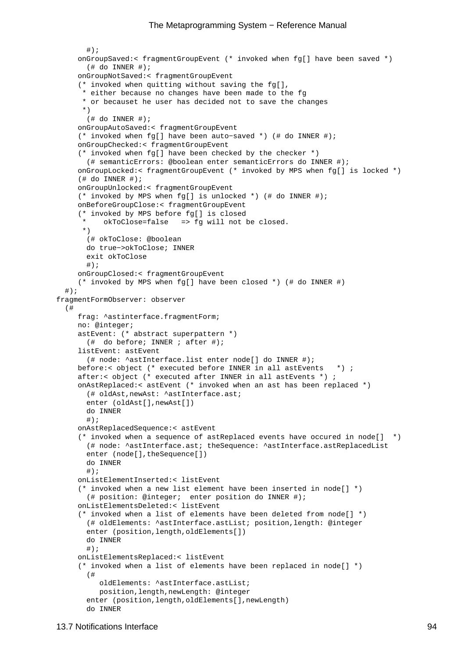#### The Metaprogramming System – Reference Manual

```
 #);
     onGroupSaved:< fragmentGroupEvent (* invoked when fg[] have been saved *)
       ( # do INNER # );
     onGroupNotSaved:< fragmentGroupEvent 
      (* invoked when quitting without saving the fg[], 
       * either because no changes have been made to the fg 
       * or becauset he user has decided not to save the changes
       *)
       ( # do INNER # );
     onGroupAutoSaved:< fragmentGroupEvent
      (* invoked when fg[] have been auto−saved *) (# do INNER #);
     onGroupChecked:< fragmentGroupEvent
      (* invoked when fg[] have been checked by the checker *)
        (# semanticErrors: @boolean enter semanticErrors do INNER #);
     onGroupLocked:< fragmentGroupEvent (* invoked by MPS when fg[] is locked *)
     ( # do INNER #);
     onGroupUnlocked:< fragmentGroupEvent
      (* invoked by MPS when fg[] is unlocked *) (# do INNER #);
     onBeforeGroupClose:< fragmentGroupEvent
      (* invoked by MPS before fg[] is closed
           okToClose=false => fg will not be closed.
       *)
        (# okToClose: @boolean
        do true−>okToClose; INNER
        exit okToClose
       \#);
     onGroupClosed:< fragmentGroupEvent
      (* invoked by MPS when fg[] have been closed *) (# do INNER #)
  #);
fragmentFormObserver: observer
   (#
     frag: ^astinterface.fragmentForm;
    no: @integer;
     astEvent: (* abstract superpattern *)
        (# do before; INNER ; after #);
     listEvent: astEvent
        (# node: ^astInterface.list enter node[] do INNER #);
     before:< object (* executed before INNER in all astEvents *) ;
     after:< object (* executed after INNER in all astEvents *) ;
     onAstReplaced:< astEvent (* invoked when an ast has been replaced *)
        (# oldAst,newAst: ^astInterface.ast; 
       enter (oldAst[], newAst[])
        do INNER
       #);
     onAstReplacedSequence:< astEvent
      (* invoked when a sequence of astReplaced events have occured in node[] *)
        (# node: ^astInterface.ast; theSequence: ^astInterface.astReplacedList
       enter (node[], theSequence[])
        do INNER
       \#);
     onListElementInserted:< listEvent
      (* invoked when a new list element have been inserted in node[] *)
        (# position: @integer; enter position do INNER #);
     onListElementsDeleted:< listEvent
      (* invoked when a list of elements have been deleted from node[] *)
        (# oldElements: ^astInterface.astList; position,length: @integer
       enter (position, length, oldElements[])
        do INNER
       \# ) \, ;
     onListElementsReplaced:< listEvent
      (* invoked when a list of elements have been replaced in node[] *)
        (#
           oldElements: ^astInterface.astList;
           position,length,newLength: @integer
       enter (position, length, oldElements[], newLength)
        do INNER
```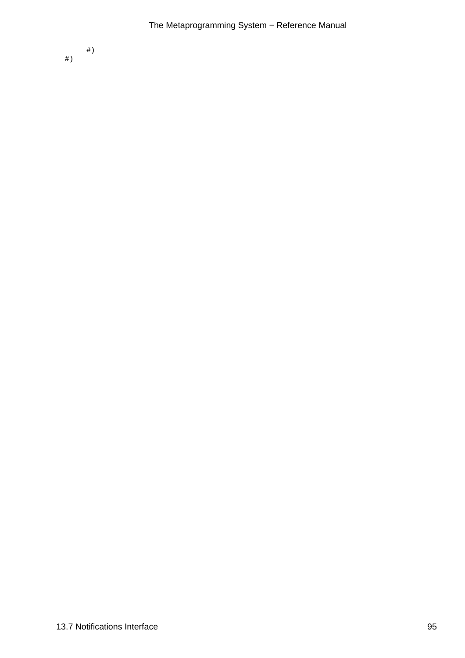#)

 $\#$  )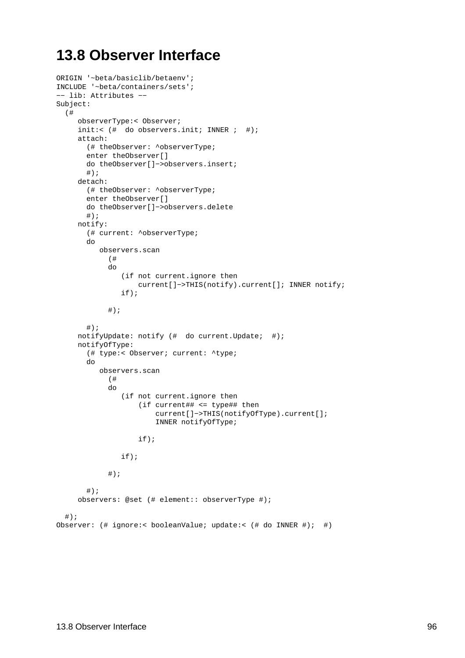### **13.8 Observer Interface**

```
ORIGIN '~beta/basiclib/betaenv';
INCLUDE '~beta/containers/sets';
−− lib: Attributes −−
Subject:
   (#
     observerType:< Observer;
     init:< (\# do observers.init; INNER ; #);
     attach:
        (# theObserver: ^observerType; 
        enter theObserver[]
        do theObserver[]−>observers.insert; 
       \#);
     detach:
        (# theObserver: ^observerType; 
        enter theObserver[]
        do theObserver[]−>observers.delete
       #);
     notify:
        (# current: ^observerType; 
        do
           observers.scan
              (# 
             do
                 (if not current.ignore then
                     current[]−>THIS(notify).current[]; INNER notify; 
                 if);
             #);
       \#);
     notifyUpdate: notify (# do current.Update; #);
     notifyOfType:
        (# type:< Observer; current: ^type; 
        do
           observers.scan
             (# 
             do
                 (if not current.ignore then
                     (if current## <= type## then
                         current[]−>THIS(notifyOfType).current[];
                         INNER notifyOfType;
                     if);
                if);
            #);
       #);
     observers: @set (# element:: observerType #);
  #);
Observer: (# ignore:< booleanValue; update:< (# do INNER #); #)
```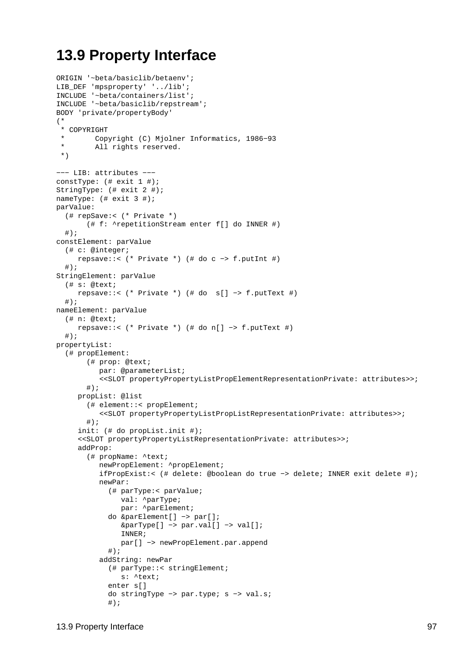### **13.9 Property Interface**

```
ORIGIN '~beta/basiclib/betaenv';
LIB_DEF 'mpsproperty' '../lib';
INCLUDE '~beta/containers/list';
INCLUDE '~beta/basiclib/repstream';
BODY 'private/propertyBody'
(*
  * COPYRIGHT
         Copyright (C) Mjolner Informatics, 1986-93
  * All rights reserved.
  *)
−−− LIB: attributes −−−
constType: (# exit 1 #); 
StringType: (# exit 2 #); 
nameType: (# exit 3 #);
parValue: 
   (# repSave:< (* Private *) 
        (# f: ^repetitionStream enter f[] do INNER #)
  #);
constElement: parValue
   (# c: @integer;
     repsave::< (* Private *) (# do c −> f.putInt #)
  #);
StringElement: parValue
   (# s: @text;
     repsave::< (* Private *) (# do s[] −> f.putText #)
  #);
nameElement: parValue
  (\# n: \text{ after})repsave::< (* Private *) (# do n[] −> f.putText #)
   #);
propertyList: 
   (# propElement: 
        (# prop: @text;
          par: @parameterList;
           <<SLOT propertyPropertyListPropElementRepresentationPrivate: attributes>>;
       #);
     propList: @list
        (# element::< propElement;
           <<SLOT propertyPropertyListPropListRepresentationPrivate: attributes>>;
       #);
     init: (# do propList.init #);
      <<SLOT propertyPropertyListRepresentationPrivate: attributes>>;
     addProp: 
        (# propName: ^text;
          newPropElement: ^propElement;
          ifPropExist:< (# delete: @boolean do true −> delete; INNER exit delete #);
          newPar: 
             (# parType:< parValue;
               val: ^parType;
                par: ^parElement;
             do &parElement[] −> par[]; 
                 &parType[] −> par.val[] −> val[];
                 INNER; 
               par[] -> newPropElement.par.append
            #);
          addString: newPar
             (# parType::< stringElement;
                s: ^text;
             enter s[]
             do stringType −> par.type; s −> val.s;
            \# ) \; ;
```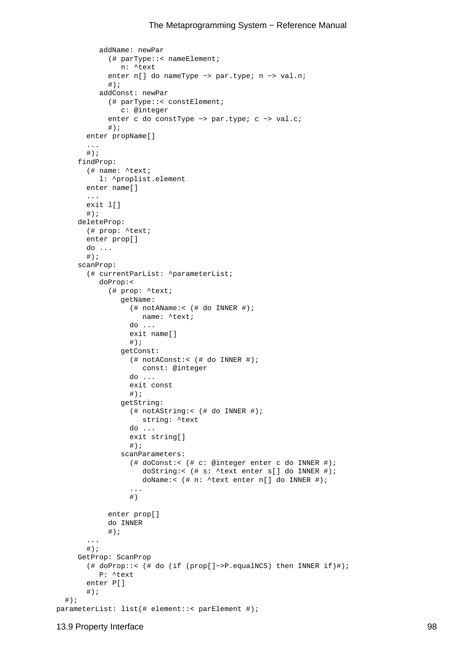```
addName: newPar
              (# parType::< nameElement;
                n: ^text
             enter n[] do nameType −> par.type; n −> val.n;
             \#);
          addConst: newPar
              (# parType::< constElement;
                 c: @integer
              enter c do constType −> par.type; c −> val.c;
             #);
        enter propName[]
        ...
       #);
     findProp: 
        (# name: ^text;
          l: ^proplist.element
        enter name[]
        ...
        exit l[]
       \#);
     deleteProp: 
        (# prop: ^text;
        enter prop[]
        do ...
       \#);
     scanProp: 
        (# currentParList: ^parameterList;
          doProp:< 
             (# prop: ^text;
                getName: 
                   (# notAName:< (# do INNER #);
                      name: ^text;
                   do ...
                   exit name[]
                  \#);
                getConst: 
                   (# notAConst:< (# do INNER #);
                      const: @integer
                   do ...
                   exit const
                   #);
                getString: 
                   (# notAString:< (# do INNER #);
                     string: ^text
                   do ...
                   exit string[]
                  \#);
                scanParameters: 
                   (# doConst:< (# c: @integer enter c do INNER #);
                      doString:< (# s: ^text enter s[] do INNER #);
                      doName:< (# n: ^text enter n[] do INNER #);
                   ...
                   #)
             enter prop[]
             do INNER
            \# ) \, ;
        ...
       \#);
     GetProp: ScanProp
        (# doProp::< (# do (if (prop[]−>P.equalNCS) then INNER if)#);
          P: ^text
        enter P[]
       #);
  \#);
parameterList: list(# element::< parElement #);
```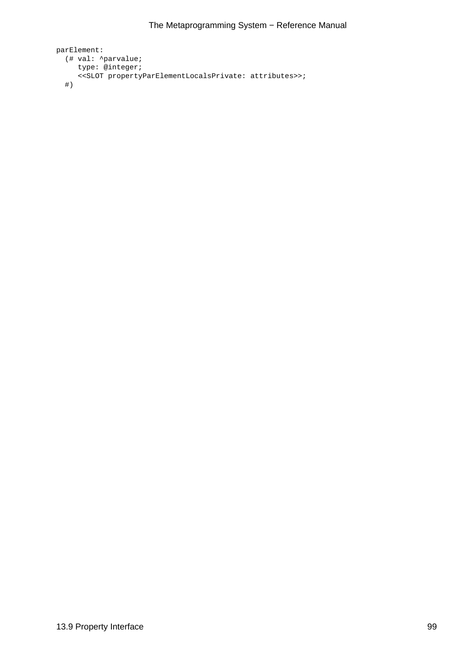```
parElement: 
   (# val: ^parvalue;
     type: @integer;
      <<SLOT propertyParElementLocalsPrivate: attributes>>;
   #)
```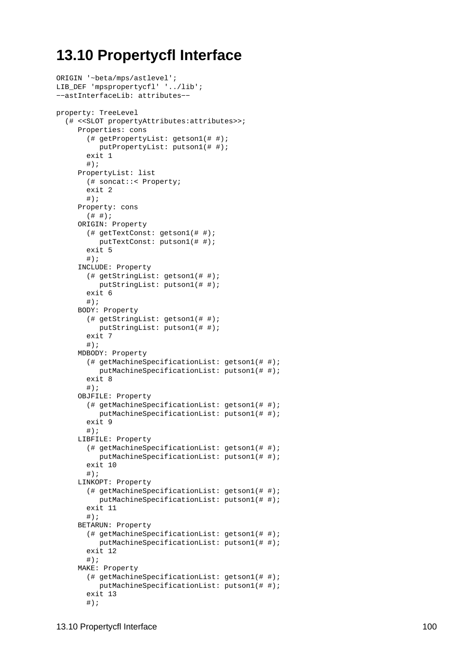## **13.10 Propertycfl Interface**

```
ORIGIN '~beta/mps/astlevel';
LIB_DEF 'mpspropertycfl' '../lib';
−−astInterfaceLib: attributes−−
property: TreeLevel
   (# <<SLOT propertyAttributes:attributes>>;
     Properties: cons
        (# getPropertyList: getson1(# #);
           putPropertyList: putson1(# #);
        exit 1
       #);
     PropertyList: list
        (# soncat::< Property;
        exit 2
       \#);
     Property: cons
        (# #);
     ORIGIN: Property
        (# getTextConst: getson1(# #);
           putTextConst: putson1(# #);
        exit 5
       \#);
     INCLUDE: Property
        (# getStringList: getson1(# #);
           putStringList: putson1(# #);
        exit 6
       #);
     BODY: Property
        (# getStringList: getson1(# #);
           putStringList: putson1(# #);
        exit 7
       #);
     MDBODY: Property
        (# getMachineSpecificationList: getson1(# #);
           putMachineSpecificationList: putson1(# #);
        exit 8
       #);
     OBJFILE: Property
        (# getMachineSpecificationList: getson1(# #);
           putMachineSpecificationList: putson1(# #);
       evit 9#);
     LIBFILE: Property
        (# getMachineSpecificationList: getson1(# #);
           putMachineSpecificationList: putson1(# #);
        exit 10
       \#);
     LINKOPT: Property
        (# getMachineSpecificationList: getson1(# #);
           putMachineSpecificationList: putson1(# #);
        exit 11
       #);
     BETARUN: Property
        (# getMachineSpecificationList: getson1(# #);
           putMachineSpecificationList: putson1(# #);
        exit 12
       \#);
     MAKE: Property
        (# getMachineSpecificationList: getson1(# #);
           putMachineSpecificationList: putson1(# #);
        exit 13
       \# ) \, ;
```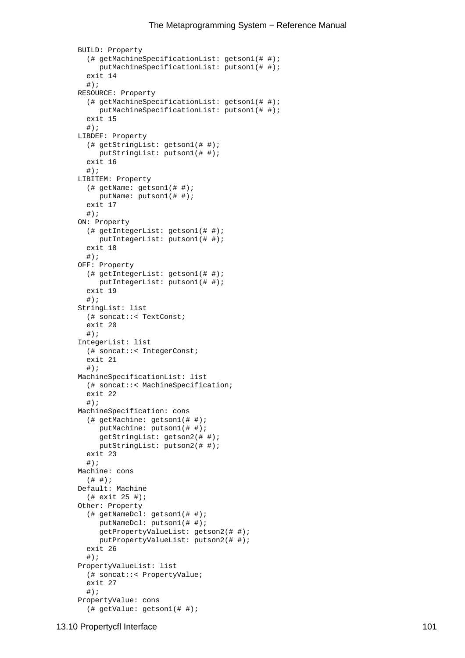```
BUILD: Property
   (# getMachineSpecificationList: getson1(# #);
      putMachineSpecificationList: putson1(# #);
   exit 14
  \#);
RESOURCE: Property
   (# getMachineSpecificationList: getson1(# #);
      putMachineSpecificationList: putson1(# #);
   exit 15
  #);
LIBDEF: Property
   (# getStringList: getson1(# #);
      putStringList: putson1(# #);
   exit 16
  #);
LIBITEM: Property
   (# getName: getson1(# #);
      putName: putson1(# #);
   exit 17
   #);
ON: Property
   (# getIntegerList: getson1(# #);
      putIntegerList: putson1(# #);
   exit 18
  \#);
OFF: Property
   (# getIntegerList: getson1(# #);
      putIntegerList: putson1(# #);
   exit 19
  \#);
StringList: list
   (# soncat::< TextConst;
   exit 20
  \# ) \, ;
IntegerList: list
   (# soncat::< IntegerConst;
   exit 21
  #);
MachineSpecificationList: list
   (# soncat::< MachineSpecification;
   exit 22
  \#);
MachineSpecification: cons
   (# getMachine: getson1(# #);
      putMachine: putson1(# #);
      getStringList: getson2(# #);
      putStringList: putson2(# #);
   exit 23
  \#);
Machine: cons
   (# #);
Default: Machine
   (# exit 25 #);
Other: Property
   (# getNameDcl: getson1(# #);
      putNameDcl: putson1(# #);
      getPropertyValueList: getson2(# #);
      putPropertyValueList: putson2(# #);
   exit 26
  #);
PropertyValueList: list
   (# soncat::< PropertyValue;
   exit 27
  #);
PropertyValue: cons
   (# getValue: getson1(# #);
```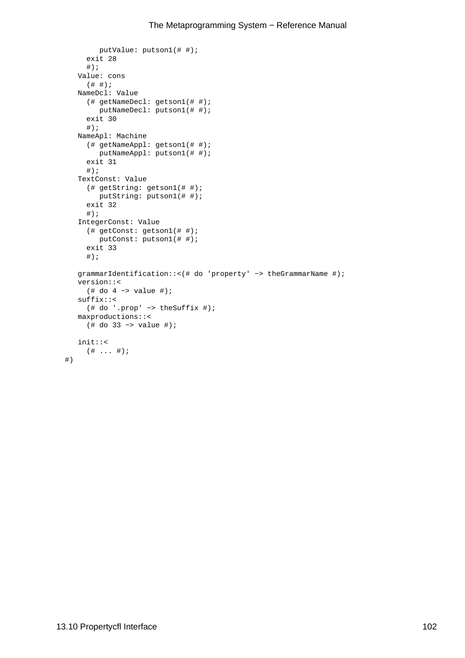```
 putValue: putson1(# #);
      exit 28
     \#);
   Value: cons
      (# #);
  NameDcl: Value
      (# getNameDecl: getson1(# #);
        putNameDecl: putson1(# #);
      exit 30
     \#);
   NameApl: Machine
      (# getNameAppl: getson1(# #);
         putNameAppl: putson1(# #);
      exit 31
     \#);
   TextConst: Value
      (# getString: getson1(# #);
        putString: putson1(# #);
      exit 32
     \#);
   IntegerConst: Value
      (# getConst: getson1(# #);
        putConst: putson1(# #);
      exit 33
     \#);
   grammarIdentification::<(# do 'property' −> theGrammarName #);
   version::<
     (# do 4 −> value #);
   suffix::<
     (# do '.prop' −> theSuffix #);
  maxproductions::<
      (# do 33 −> value #);
   init::<
     (# ... #);
 #)
```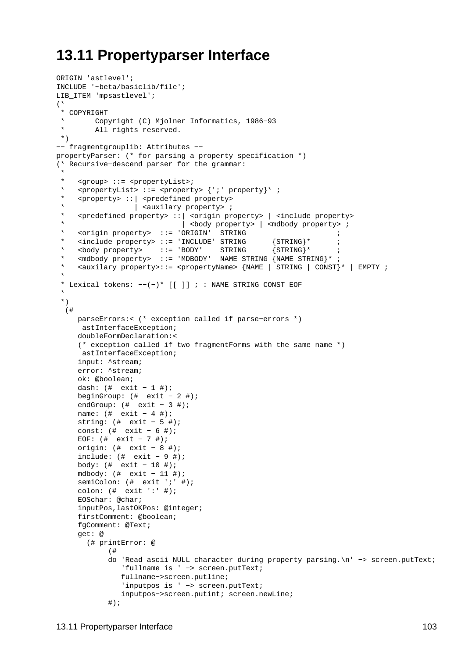## **13.11 Propertyparser Interface**

```
ORIGIN 'astlevel';
INCLUDE '~beta/basiclib/file';
LIB_ITEM 'mpsastlevel';
(*
  * COPYRIGHT
        Copyright (C) Mjolner Informatics, 1986-93
        All rights reserved.
 *)
−− fragmentgrouplib: Attributes −−
propertyParser: (* for parsing a property specification *)
(* Recursive−descend parser for the grammar:
 * 
  * <group> ::= <propertyList>;
  * <propertyList> ::= <property> {';' property}* ;
      * <property> ::| <predefined property>
                 \vert <auxilary property> ;
  * <predefined property> ::| <origin property> | <include property>
                            | <br/>body property> | <mdbody property> ;
      * <origin property> ::= 'ORIGIN' STRING ;
     \{ * <body property> ::= 'BODY' STRING {STRING}* ;
 * <mdbody property> ::= 'MDBODY' NAME STRING {NAME STRING}* ;
     \{auxiliary property\}::= <propertyName> \{NAME \mid STRING \mid CONST\}* | EMPTY ;
 * 
  * Lexical tokens: −−(−)* [[ ]] ; : NAME STRING CONST EOF
 * 
  *)
   (#
    parseErrors:< (* exception called if parse−errors *)
      astInterfaceException;
     doubleFormDeclaration:<
      (* exception called if two fragmentForms with the same name *)
      astInterfaceException;
     input: ^stream;
     error: ^stream;
     ok: @boolean;
     dash: (# exit − 1 #);
    beginGroup: (# exit − 2 #);
     endGroup: (# exit − 3 #);
    name: (# exit − 4 #);
     string: (# exit − 5 #);
     const: (# exit − 6 #);
     EOF: (# exit − 7 #);
     origin: (# exit − 8 #);
     include: (# exit − 9 #);
    body: (# exit − 10 #);
     mdbody: (# exit − 11 #);
     semiColon: (\# \text{exit '}; ' \#);colon: (# exit ':' #);
     EOSchar: @char;
     inputPos,lastOKPos: @integer;
     firstComment: @boolean;
     fgComment: @Text;
     get: @
        (# printError: @
             (# 
            do 'Read ascii NULL character during property parsing.\n' −> screen.putText;
                'fullname is ' −> screen.putText;
                fullname−>screen.putline; 
                'inputpos is ' −> screen.putText;
                inputpos−>screen.putint; screen.newLine;
            #);
```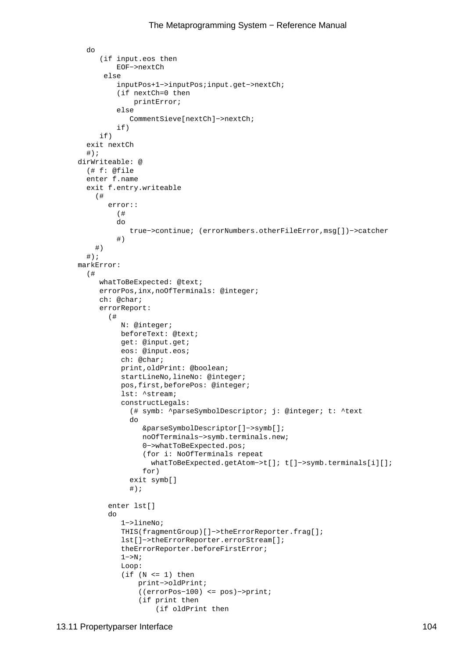```
 do
            (if input.eos then
                 EOF−>nextCh
             else
                 inputPos+1−>inputPos;input.get−>nextCh;
                 (if nextCh=0 then
                     printError;
                 else
                    CommentSieve[nextCh]−>nextCh;
                 if)
            if)
        exit nextCh
       #);
     dirWriteable: @
        (# f: @file
        enter f.name
        exit f.entry.writeable
           (#
              error:: 
                 (# 
                 do
                    true−>continue; (errorNumbers.otherFileError,msg[])−>catcher
                 #)
           #)
       #);
     markError:
        (#
            whatToBeExpected: @text;
            errorPos,inx,noOfTerminals: @integer;
            ch: @char;
            errorReport:
              (#
                  N: @integer;
                 beforeText: @text;
                  get: @input.get;
                  eos: @input.eos;
                  ch: @char;
                  print,oldPrint: @boolean;
                 startLineNo, lineNo: @integer;
                  pos,first,beforePos: @integer;
                  lst: ^stream;
                  constructLegals:
                    (# symb: ^parseSymbolDescriptor; j: @integer; t: ^text
do de la contrado do de la contrado de la contrado de la contrado de la contrado de la contrado de la contrado
                        &parseSymbolDescriptor[]−>symb[];
                        noOfTerminals−>symb.terminals.new;
                        0−>whatToBeExpected.pos;
                        (for i: NoOfTerminals repeat
                          whatToBeExpected.getAtom−>t[]; t[]−>symb.terminals[i][]; 
                        for)
                    exit symb[]
                   #);
              enter lst[]
              do
                  1−>lineNo;
                  THIS(fragmentGroup)[]−>theErrorReporter.frag[];
                  lst[]−>theErrorReporter.errorStream[];
                  theErrorReporter.beforeFirstError;
                  1−>N;
                  Loop:
                 (if (N \leq 1) then print−>oldPrint;
                       ((errorPos−100) <= pos)−>print;
                       (if print then
                           (if oldPrint then
```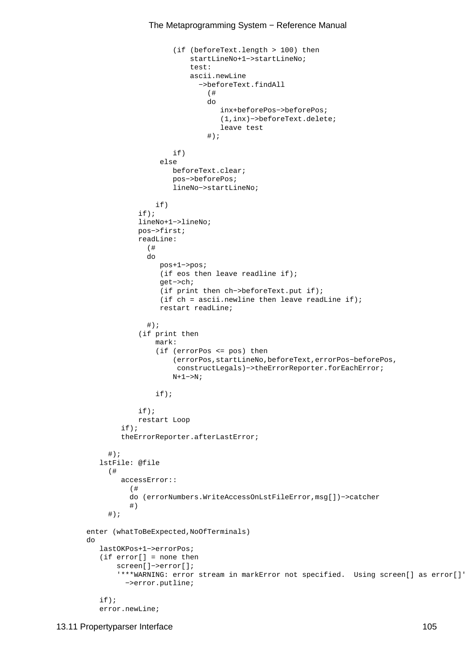### The Metaprogramming System - Reference Manual

```
 (if (beforeText.length > 100) then
                                  startLineNo+1−>startLineNo;
                                  test:
                                  ascii.newLine
                                     −>beforeText.findAll
( \#do de la contradición de la contradición de la contradición de la contradición de la contradición de la contra
                                          inx+beforePos−>beforePos;
                                          (1,inx)−>beforeText.delete;
                                          leave test
\#);
 if)
                           else
                              beforeText.clear;
                              pos−>beforePos;
                              lineNo−>startLineNo;
                          if)
                     if);
                     lineNo+1−>lineNo;
                     pos−>first;
                     readLine:
( \#do de la contrado do de la contrado do la contrado do la contrado do la contrado do la contrado do la contrado
                          pos+1−>pos;
                           (if eos then leave readline if);
                          get−>ch;
                           (if print then ch−>beforeText.put if);
                          (if ch = ascii.newline then leave readLine if);
                          restart readLine;
                      #);
                     (if print then
                         mark:
                          (if (errorPos <= pos) then
                              (errorPos,startLineNo,beforeText,errorPos−beforePos,
                               constructLegals)−>theErrorReporter.forEachError;
                             N+1->N; if);
                     if);
                     restart Loop
                 if);
                 theErrorReporter.afterLastError;
            \#);
           lstFile: @file
             (#
                 accessError:: 
( # do (errorNumbers.WriteAccessOnLstFileError,msg[])−>catcher
                   #)
            #);
        enter (whatToBeExpected,NoOfTerminals)
        do
           lastOKPos+1−>errorPos;
           (if error[] = none then
                screen[]−>error[];
                '***WARNING: error stream in markError not specified. Using screen[] as error[]'
                  −>error.putline;
           if);
```

```
 error.newLine;
```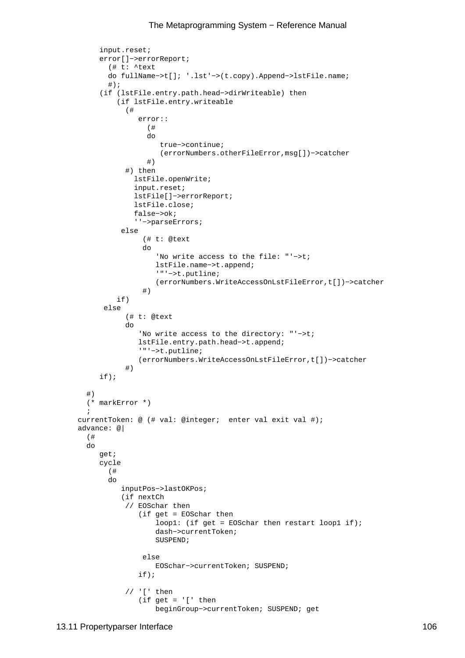```
 input.reset;
              error[]−>errorReport;
                (# t: ^text
                do fullName−>t[]; '.lst'−>(t.copy).Append−>lstFile.name; 
               \#);
              (if (lstFile.entry.path.head−>dirWriteable) then
                   (if lstFile.entry.writeable
                      (#
                          error:: 
( \#do de la contrado de la contrado de la contrado de la contrado de la contrado de la contrado de la contrado de
                                true−>continue;
                                (errorNumbers.otherFileError,msg[])−>catcher
 #)
                      #) then
                        lstFile.openWrite;
                        input.reset;
                        lstFile[]−>errorReport;
                        lstFile.close;
                        false−>ok;
                         ''−>parseErrors;
                    else
                           (# t: @text
do de la contrado do de la contrado do la contrado do la contrado do la contrado do la contrado do la contrado
                               'No write access to the file: "'−>t;
                               lstFile.name−>t.append;
                               '"'−>t.putline;
                               (errorNumbers.WriteAccessOnLstFileError,t[])−>catcher
 #)
                   if)
               else
                      (# t: @text
do de la contrado do de la contrado de la contrado de la contrado de la contrado de la contrado de la contrado
                          'No write access to the directory: "'−>t;
                          lstFile.entry.path.head−>t.append;
                          '"'−>t.putline;
                          (errorNumbers.WriteAccessOnLstFileError,t[])−>catcher
the set of the set of the set of the set of the set of the set of the set of the set of the set of the set of 
              if);
          #)
          (* markError *)
          ;
      currentToken: @ (# val: @integer; enter val exit val #);
      advance: @|
          (# 
         do
              get;
              cycle
                (# 
                do
                    inputPos−>lastOKPos;
                    (if nextCh
                      // EOSchar then
                          (if get = EOSchar then
                              loop1: (if get = EOSchar then restart loop1 if);
                               dash−>currentToken;
                              SUSPEND;
                           else
                               EOSchar−>currentToken; SUSPEND; 
                          if);
                      // '[' then
                         (if get = '[ then
                               beginGroup−>currentToken; SUSPEND; get
```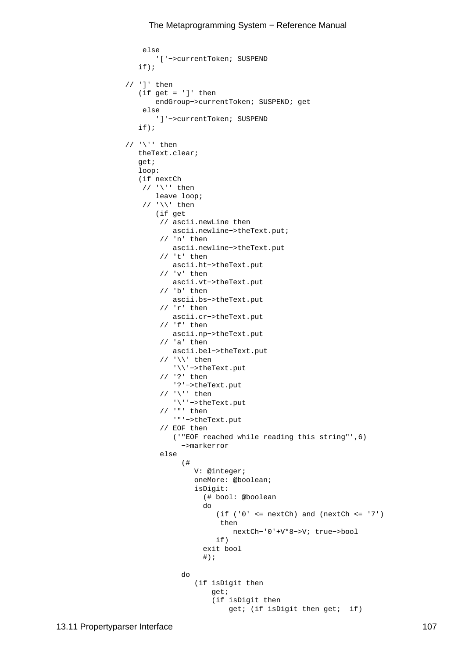```
 else
                            '['−>currentToken; SUSPEND
                       if);
                    // ']' then
                      (if get = '']' then endGroup−>currentToken; SUSPEND; get
                         else
                            ']'−>currentToken; SUSPEND
                       if);
                    // '\'' then
                       theText.clear;
                       get;
                       loop:
                       (if nextCh
                       // '\\'' then
                            leave loop; 
                        // '\vee then
                            (if get
                             // ascii.newLine then
                                 ascii.newline−>theText.put; 
                             // 'n' then
                                 ascii.newline−>theText.put
                             // 't' then
                                 ascii.ht−>theText.put
                             // 'v' then
                                 ascii.vt−>theText.put
                             // 'b' then
                                 ascii.bs−>theText.put
                            // 'r' then
                                ascii.cr−>theText.put
                             // 'f' then
                                ascii.np−>theText.put
                             // 'a' then
                                 ascii.bel−>theText.put
                            // '\backslash\backslash' then
                                 '\\'−>theText.put
                             // '?' then
                                 '?'−>theText.put
                            // '\\ ' ' then
                                 '\''−>theText.put
                            // '"' then
                                 '"'−>theText.put
                             // EOF then
                                 ('"EOF reached while reading this string"',6)
                                   −>markerror
                             else
( \# V: @integer;
                                       oneMore: @boolean;
                                       isDigit:
                                         (# bool: @boolean
do de la contradición de la contradición de la contradición de la contradición de la contradición de la contra
                                            (if ('0' < = nextCh) and (nextCh < = '7')then we have a state of the state of the state of the state of the state of the state of the state of the state of the state of the state of the state of the state of the state of the state of the state of the state of the
                                                 nextCh−'0'+V*8−>V; true−>bool
 if)
                                          exit bool
\#);
 do
                                       (if isDigit then
                                            get;
                                            (if isDigit then
                                                 get; (if isDigit then get; if)
```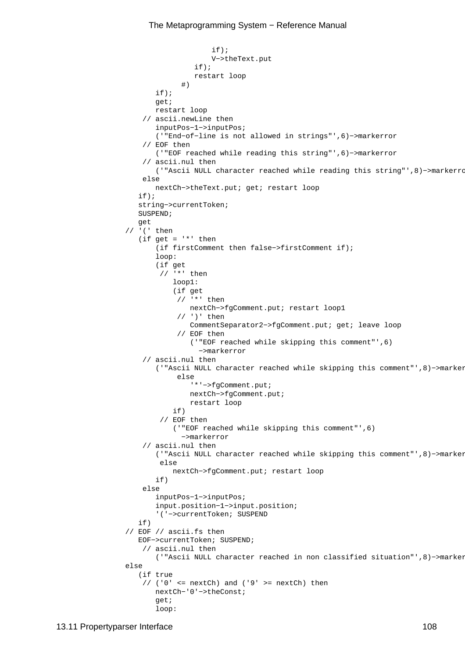#### The Metaprogramming System – Reference Manual

```
if);
                                   V−>theText.put
if);
                                restart loop
\# )
                       if);
                       get;
                       restart loop
                    // ascii.newLine then
                       inputPos−1−>inputPos;
                       ('"End−of−line is not allowed in strings"',6)−>markerror
                    // EOF then
                       ('"EOF reached while reading this string"',6)−>markerror
                    // ascii.nul then
                       ('"Ascii NULL character reached while reading this string"',8)−>markerror
                    else
                       nextCh−>theText.put; get; restart loop
                   if);
                   string−>currentToken;
                   SUSPEND;
                   get
                // '(' then
                  (if get = ' *' then (if firstComment then false−>firstComment if);
                       loop:
                       (if get
                       // '*' then
                           loop1:
                           (if get
                            // '*' then
                              nextCh−>fgComment.put; restart loop1
                            // ')' then
                              CommentSeparator2−>fgComment.put; get; leave loop
                            // EOF then
                               ('"EOF reached while skipping this comment"',6)
                                 −>markerror
                    // ascii.nul then
                       ('"Ascii NULL character reached while skipping this comment"',8)−>markerror
 else
                               '*'−>fgComment.put;
                              nextCh−>fgComment.put;
                               restart loop
 if)
                        // EOF then
                           ('"EOF reached while skipping this comment"',6)
                             −>markerror
                    // ascii.nul then
                       ('"Ascii NULL character reached while skipping this comment"',8)−>markerror
                        else
                           nextCh−>fgComment.put; restart loop
                       if)
                    else
                       inputPos−1−>inputPos;
                       input.position−1−>input.position;
                       '('−>currentToken; SUSPEND
                   if)
                // EOF // ascii.fs then
                   EOF−>currentToken; SUSPEND; 
                    // ascii.nul then
                       ('"Ascii NULL character reached in non classified situation"',8)−>markerror
                else
                   (if true
                   //('0' <= nextCh) and ('9' >= nextCh) then
                       nextCh−'0'−>theConst;
                       get;
                       loop:
```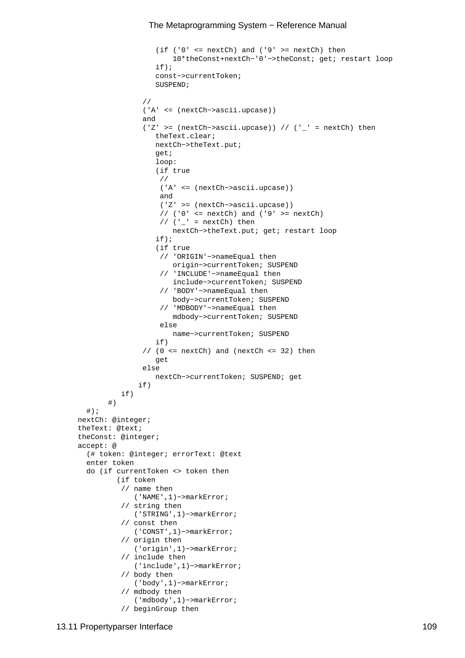#### The Metaprogramming System – Reference Manual

```
(if ('0' < = nextCh) and ('9' > = nextCh) then
                           10*theConst+nextCh−'0'−>theConst; get; restart loop
                       if);
                       const−>currentToken;
                       SUSPEND;
 //
                    ('A' <= (nextCh−>ascii.upcase))
 and
                    ('Z' >= (nextCh−>ascii.upcase)) // ('_' = nextCh) then
                       theText.clear;
                       nextCh−>theText.put;
                       get;
                       loop:
                       (if true
 //
                        ('A' <= (nextCh−>ascii.upcase))
 and
                        ('Z' >= (nextCh−>ascii.upcase))
                       // ('0' <= nextCh) and ('9' >= nextCh)// (')' = nextCh) then nextCh−>theText.put; get; restart loop
                       if);
                       (if true
                        // 'ORIGIN'−>nameEqual then
                           origin−>currentToken; SUSPEND
                        // 'INCLUDE'−>nameEqual then
                           include−>currentToken; SUSPEND
                        // 'BODY'−>nameEqual then
                           body−>currentToken; SUSPEND
                        // 'MDBODY'−>nameEqual then
                           mdbody−>currentToken; SUSPEND
                        else
                           name−>currentToken; SUSPEND
 if)
                   // (0 \leq nextCh) and (nextCh \leq 32) then
                       get
                    else
                       nextCh−>currentToken; SUSPEND; get
                   if)
               if)
            #)
      \#);
    nextCh: @integer;
    theText: @text;
    theConst: @integer;
    accept: @
       (# token: @integer; errorText: @text
       enter token
       do (if currentToken <> token then
              (if token
               // name then
                  ('NAME',1)−>markError; 
               // string then
                  ('STRING',1)−>markError; 
               // const then
                  ('CONST',1)−>markError; 
               // origin then
                  ('origin',1)−>markError; 
               // include then
                  ('include',1)−>markError; 
               // body then
                  ('body',1)−>markError; 
               // mdbody then
                  ('mdbody',1)−>markError;
```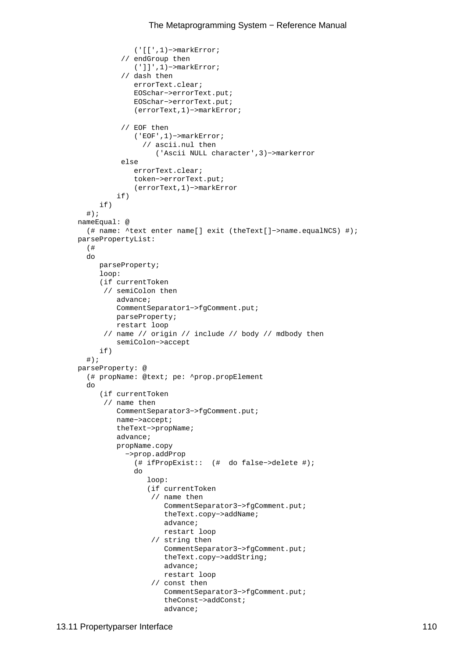```
 ('[[',1)−>markError; 
            // endGroup then
               (']]',1)−>markError; 
            // dash then
               errorText.clear;
               EOSchar−>errorText.put;
               EOSchar−>errorText.put;
               (errorText,1)−>markError;
            // EOF then
               ('EOF',1)−>markError; 
                 // ascii.nul then
                     ('Ascii NULL character',3)−>markerror
            else
               errorText.clear;
               token−>errorText.put;
               (errorText,1)−>markError
          if)
      if)
  #);
nameEqual: @
   (# name: ^text enter name[] exit (theText[]−>name.equalNCS) #);
parsePropertyList:
   (# 
   do
      parseProperty;
      loop:
      (if currentToken
       // semiColon then
          advance;
          CommentSeparator1−>fgComment.put;
          parseProperty;
          restart loop
       // name // origin // include // body // mdbody then
          semiColon−>accept
      if)
  #);
parseProperty: @
   (# propName: @text; pe: ^prop.propElement
   do
      (if currentToken
       // name then
          CommentSeparator3−>fgComment.put;
          name−>accept;
          theText−>propName;
          advance;
          propName.copy
             −>prop.addProp
               (# ifPropExist:: (# do false−>delete #); 
               do
                  loop:
                  (if currentToken
                   // name then
                      CommentSeparator3−>fgComment.put;
                      theText.copy−>addName;
                      advance;
                      restart loop
                    // string then
                      CommentSeparator3−>fgComment.put;
                      theText.copy−>addString;
                      advance;
                      restart loop
                    // const then
                       CommentSeparator3−>fgComment.put;
                       theConst−>addConst;
                      advance;
```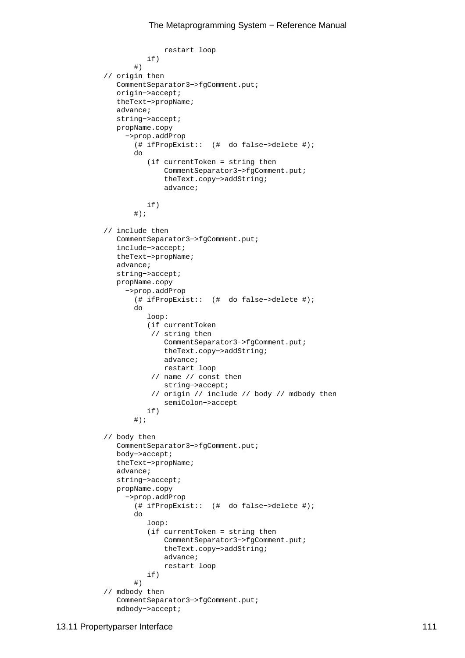```
restart loop<br>if)
 if)
                   #)
            // origin then
               CommentSeparator3−>fgComment.put;
               origin−>accept;
               theText−>propName;
               advance;
               string−>accept;
               propName.copy
                 −>prop.addProp
                   (# ifPropExist:: (# do false−>delete #); 
                   do
                       (if currentToken = string then
                           CommentSeparator3−>fgComment.put;
                           theText.copy−>addString;
                           advance;
                       if)
                  #);
            // include then
               CommentSeparator3−>fgComment.put;
               include−>accept;
               theText−>propName;
               advance;
               string−>accept;
               propName.copy
                 −>prop.addProp
                   (# ifPropExist:: (# do false−>delete #); 
                   do
                      loop:
                       (if currentToken
                        // string then
                           CommentSeparator3−>fgComment.put;
                           theText.copy−>addString;
                           advance;
                           restart loop
                        // name // const then
                           string−>accept; 
                        // origin // include // body // mdbody then
                           semiColon−>accept
                       if)
                  #);
            // body then
               CommentSeparator3−>fgComment.put;
               body−>accept;
               theText−>propName;
               advance;
               string−>accept;
               propName.copy
                 −>prop.addProp
                   (# ifPropExist:: (# do false−>delete #); 
                   do
                       loop:
                       (if currentToken = string then
                           CommentSeparator3−>fgComment.put;
                           theText.copy−>addString;
                          advance;
                           restart loop
                       if)
 #)
            // mdbody then
               CommentSeparator3−>fgComment.put;
```

```
 mdbody−>accept;
```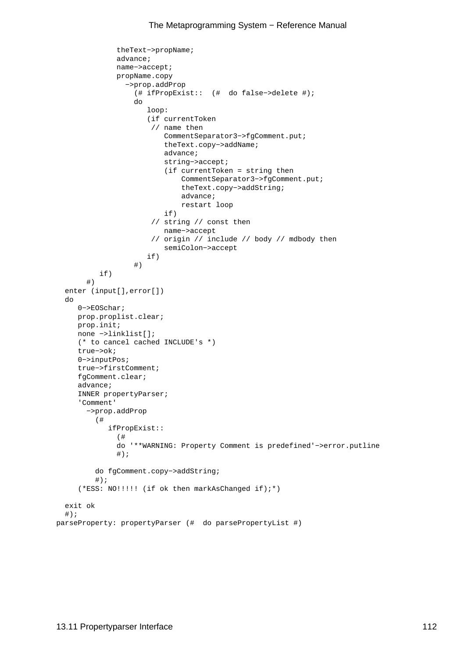```
 theText−>propName;
               advance;
               name−>accept;
               propName.copy
                 −>prop.addProp
                   (# ifPropExist:: (# do false−>delete #); 
                   do
                       loop:
                       (if currentToken
                        // name then
                           CommentSeparator3−>fgComment.put;
                           theText.copy−>addName;
                           advance;
                           string−>accept;
                           (if currentToken = string then
                               CommentSeparator3−>fgComment.put;
                               theText.copy−>addString;
                               advance;
                               restart loop
 if)
                        // string // const then
                           name−>accept
                        // origin // include // body // mdbody then
                           semiColon−>accept
                      if)
 #)
           if)
        #)
  enter (input[],error[])
  do
     0−>EOSchar;
     prop.proplist.clear;
     prop.init;
     none −>linklist[];
      (* to cancel cached INCLUDE's *)
      true−>ok;
      0−>inputPos;
      true−>firstComment;
      fgComment.clear;
      advance;
      INNER propertyParser;
      'Comment'
        −>prop.addProp
          (#
             ifPropExist:: 
               (# 
               do '**WARNING: Property Comment is predefined'−>error.putline
               #);
          do fgComment.copy−>addString; 
         \#);
      (*ESS: NO!!!!! (if ok then markAsChanged if);*)
   exit ok
   #);
parseProperty: propertyParser (# do parsePropertyList #)
```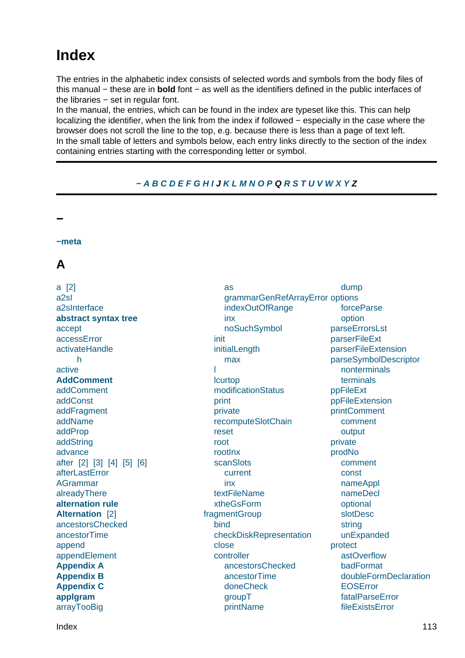# **Index**

The entries in the alphabetic index consists of selected words and symbols from the body files of this manual – these are in **bold** font – as well as the identifiers defined in the public interfaces of the libraries  $-$  set in regular font.

In the manual, the entries, which can be found in the index are typeset like this. This can help localizing the identifier, when the link from the index if followed – especially in the case where the browser does not scroll the line to the top, e.g. because there is less than a page of text left. In the small table of letters and symbols below, each entry links directly to the section of the index containing entries starting with the corresponding letter or symbol.

#### - A B C D E F G H I J K L M N O P Q R S T U V W X Y Z

#### $-meta$ A a [2] **as** dump  $a2sl$ grammarGenRefArrayError options a2sInterface indexOutOfRange forceParse abstract syntax tree option inx noSuchSymbol parseErrorsLst accept accessError parserFileExt init activateHandle initialLength parserFileExtension parseSymbolDescriptor h. max active Ť nonterminals **AddComment Icurtop terminals** addComment modificationStatus ppFileExt addConst ppFileExtension print addFragment private printComment addName recomputeSlotChain comment addProp reset output addString root private advance rootlnx prodNo after [2] [3] [4] [5] [6] scanSlots comment afterLastError current const **AGrammar** nameAppl inx alreadyThere textFileName nameDecl alternation rule xtheGsForm optional **Alternation** [2] slotDesc fragmentGroup ancestorsChecked bind string ancestorTime checkDiskRepresentation unExpanded append close protect appendElement controller astOverflow **Appendix A** ancestorsChecked **hadFormat Appendix B** ancestorTime doubleFormDeclaration **Appendix C** doneCheck **EOSError**

 $groupT$ 

printName

Index

applgram

arrayTooBig

fatalParseError

fileExistsError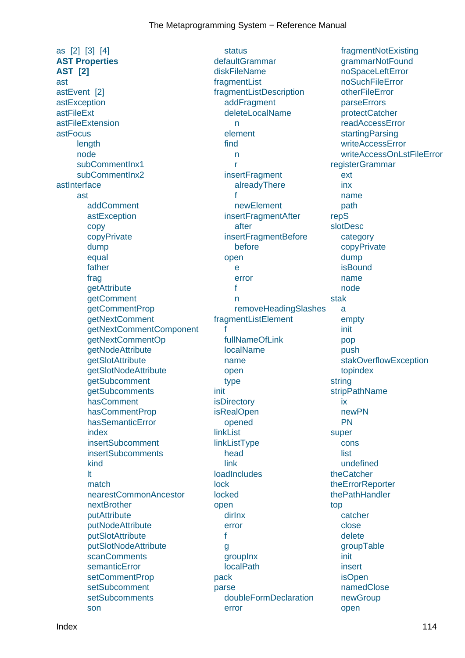as [2] [3] [4] **AST Properties AST [2]** ast astEvent [2] astException astFileExt astFileExtension astFocus length node subCommentInx1 subCommentInx2 astInterface ast addComment astException copy copyPrivate dump equal father frag getAttribute **getComment** getCommentProp **getNextComment** getNextCommentComponent getNextCommentOp **getNodeAttribute getSlotAttribute getSlotNodeAttribute getSubcomment** getSubcomments hasComment hasCommentProp hasSemanticError index insertSubcomment **insertSubcomments** kind It match nearestCommonAncestor nextBrother putAttribute putNodeAttribute putSlotAttribute putSlotNodeAttribute **scanComments** semanticError setCommentProp setSubcomment setSubcomments son

**status** defaultGrammar diskFileName fragmentList fragmentListDescription addFragment deleteLocalName n. element find 'n r insertFragment alreadyThere f newElement **insertFragmentAfter** after insertFragmentBefore before open  $\overline{e}$ error f. n removeHeadingSlashes fragmentListElement f fullNameOfLink **localName** name open type init **isDirectory** *isRealOpen* opened linkList linkListType head link loadIncludes lock locked open top dirlnx error f g grouplnx **localPath** pack parse doubleFormDeclaration error

fragmentNotExisting grammarNotFound noSpaceLeftError noSuchFileError otherFileError parseErrors protectCatcher readAccessError startingParsing writeAccessError writeAccessOnLstFileError registerGrammar ext inx name path repS slotDesc category copyPrivate dump **isBound** name node stak a empty init pop push stakOverflowException topindex string stripPathName ix newPN **PN** super cons list undefined theCatcher theErrorReporter thePathHandler catcher close delete groupTable init insert **isOpen** namedClose newGroup open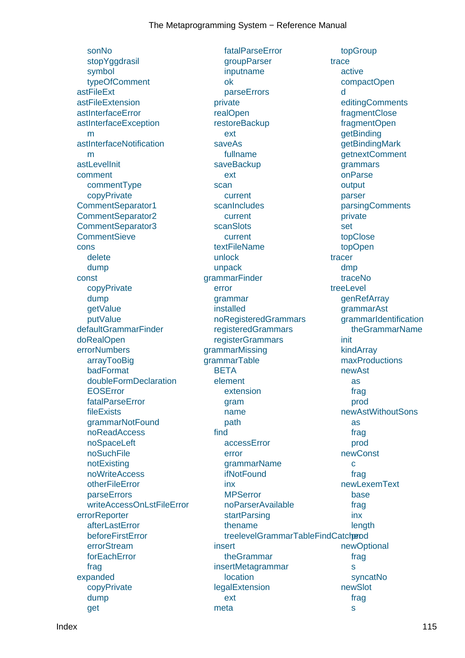sonNo stopYggdrasil symbol typeOfComment astFileExt astFileExtension astInterfaceError astInterfaceException m astInterfaceNotification  $m$ astLevelInit comment commentType copyPrivate CommentSeparator1 CommentSeparator2 CommentSeparator3 **CommentSieve** cons delete dump const copyPrivate dump qetValue putValue defaultGrammarFinder doRealOpen errorNumbers arrayTooBig badFormat doubleFormDeclaration **EOSError** fatalParseError fileExists grammarNotFound noReadAccess noSpaceLeft noSuchFile notExisting noWriteAccess otherFileError parseErrors writeAccessOnLstFileError errorReporter afterLastError beforeFirstError errorStream forEachError frag expanded copyPrivate dump get

fatalParseError groupParser inputname **ok** parseErrors private realOpen restoreBackup ext saveAs fullname saveBackup ext scan current scanIncludes current scanSlots current textFileName unlock unpack grammarFinder error grammar installed noRegisteredGrammars registeredGrammars registerGrammars grammarMissing grammarTable **BETA** element extension gram name path find accessError error grammarName **ifNotFound** inx **MPSerror** noParserAvailable startParsing thename treelevelGrammarTableFindCatcherod insert theGrammar insertMetagrammar location legalExtension ext meta

topGroup trace active compactOpen d editingComments fragmentClose fragmentOpen getBinding getBindingMark getnextComment grammars onParse output parser parsingComments private set topClose topOpen tracer dmp traceNo treeLevel genRefArray grammarAst grammarIdentification theGrammarName init kindArray maxProductions newAst as frag prod newAstWithoutSons as frag prod newConst  $\mathbf{C}$ frag newLexemText base frag inx length newOptional frag  $\mathbf{s}$ syncatNo newSlot frag  $\mathbf{s}$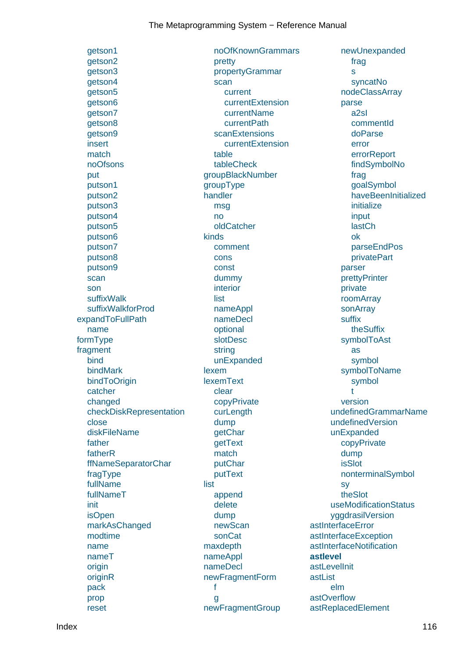getson1 getson2 getson3 getson4 [getson5](#page-51-0) [getson6](#page-51-0) [getson7](#page-51-0) [getson8](#page-51-0) [getson9](#page-51-0) [insert](#page-51-0) [match](#page-51-0) [noOfson](#page-51-0)s [put](#page-51-0) [putso](#page-51-0)n1 [putson](#page-51-0)2 [putson3](#page-50-0) [puts](#page-50-0)on4 [putson5](#page-51-0) [putson6](#page-51-0) [putson7](#page-51-0) [putson8](#page-51-0) [putson9](#page-51-0) [scan](#page-51-0) [son](#page-51-0) [suffixWa](#page-51-0)lk [suffixWa](#page-51-0)lkforProd ex[pandT](#page-50-0)oFullPath [nam](#page-50-0)e for[mType](#page-50-0) fra[gment](#page-50-0) [bind](#page-69-0) [bindM](#page-69-0)ark [bindTo](#page-55-0)Origin [catche](#page-55-0)r [chan](#page-56-0)ged [checkDis](#page-57-0)[kRe](#page-56-0)presentation close [diskFile](#page-57-0)Name [father](#page-56-0) [fatherR](#page-56-0) [ffNam](#page-56-0)eSeparatorChar [fragType](#page-56-0) [fullNam](#page-55-0)e [fullNameT](#page-57-0) init [isOpen](#page-57-0) [markAsC](#page-55-0)hanged [modtime](#page-57-0) [nam](#page-56-0)e [nameT](#page-56-0) [origin](#page-56-0) [originR](#page-56-0) [pack](#page-55-0) [prop](#page-57-0) [reset](#page-56-0)

noOfKnownGrammars pretty propertyGrammar scan [current](#page-67-0) [cur](#page-67-0)rentExtension [currentName](#page-67-0) [cu](#page-67-0)rrentPath sc[anExten](#page-67-0)sions [currentExtension](#page-67-0) table ta[bleCheck](#page-67-0) gr[oupBlackNumbe](#page-68-0)r grou[pType](#page-68-0) ha[ndler](#page-68-0) [msg](#page-68-0) [no](#page-71-0) [oldCatch](#page-55-0)er [kinds](#page-72-0) [comm](#page-72-0)ent [con](#page-72-0)s [const](#page-72-0) [du](#page-67-0)mmy [interior](#page-67-0) [list](#page-67-0) [name](#page-67-0)Appl [nameDe](#page-67-0)cl [optiona](#page-67-0)l [slo](#page-67-0)tDesc [string](#page-67-0) [unExpand](#page-67-0)ed le[xem](#page-67-0) le[xemText](#page-67-0) [clear](#page-67-0) [copyPrivate](#page-67-0) [curL](#page-52-0)ength [dump](#page-52-0) [getCh](#page-52-0)ar [getText](#page-53-0) [match](#page-53-0) [putCh](#page-53-0)ar [putText](#page-52-0) list [appen](#page-53-0)d [delete](#page-52-0) [dump](#page-52-0) [n](#page-52-0)ewScan [sonCat](#page-52-0) m[axdepth](#page-52-0) na[meAp](#page-52-0)pl na[meDecl](#page-52-0) [ne](#page-72-0)[wFragm](#page-52-0)entForm f [g](#page-53-0) [newFragm](#page-53-0)[entGroup](#page-60-0)

newUnexpanded frag s syncatNo [nodeClassArray](#page-65-0) pa[rse](#page-65-0) [a](#page-65-0)2sI [commentI](#page-65-0)d [doParse](#page-67-0) [erro](#page-66-0)r [error](#page-66-0)Report [findSymbolN](#page-66-0)o [frag](#page-66-0) [goalS](#page-66-0)ymbol [haveBeenIn](#page-66-0)itialized [initialize](#page-66-0) [inpu](#page-66-0)t [lastCh](#page-66-0) [ok](#page-66-0) [parseEn](#page-66-0)dPos [priva](#page-66-0)tePart pa[rser](#page-66-0) pr[etty](#page-66-0)Printer pri[vate](#page-66-0) ro[omArray](#page-66-0) [sonArr](#page-66-0)ay [suffix](#page-67-0) [theS](#page-67-0)uffix [symbolToA](#page-67-0)st as [sym](#page-65-0)bol sy[mbolToNa](#page-65-0)me [symbol](#page-64-0) t ve[rsion](#page-64-0) un[definedGramma](#page-64-0)rName unde[finedVe](#page-64-0)rsion unEx[p](#page-64-0)anded [copyPri](#page-65-0)vate [dump](#page-67-0) [isSlot](#page-67-0) [nonterminalS](#page-54-0)ymbol sy [theSlo](#page-54-0)t us[eModi](#page-54-0)ficationStatus yg[gdrasilVersion](#page-54-0) astInter[fac](#page-54-0)eError astInter[faceExc](#page-54-0)eption astIn[terfaceNotification](#page-73-0) **astlevel** [astLevelInit](#page-70-0) [astList](#page-70-0) [elm](#page-70-0) [astOverfl](#page-35-0)ow [astReplaced](#page-71-0)Element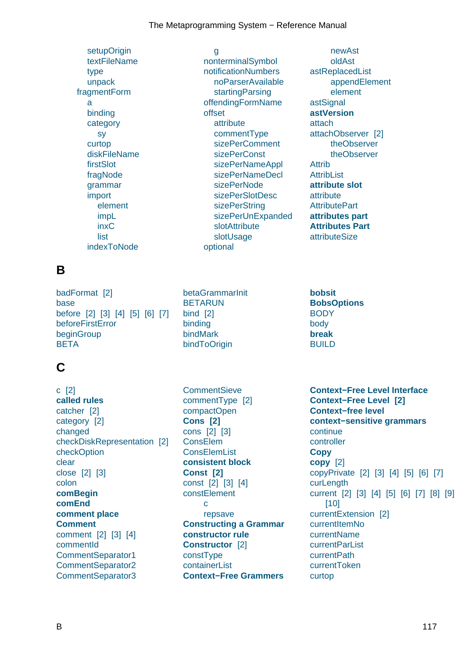setupOrigin textFileName type unpack fragmentForm a binding category **SV** curtop diskFileName firstSlot fragNode grammar import element impL inxC list indexToNode

## B

badFormat [2] **base** before [2] [3] [4] [5] [6] [7] beforeFirstError beginGroup **BETA** 

## $\mathbf C$

 $c$  [2] called rules catcher [2] category [2] changed checkDiskRepresentation [2] checkOption clear close [2] [3] colon comBegin comEnd comment place **Comment** comment [2] [3] [4] commentId CommentSeparator1 CommentSeparator2 CommentSeparator3

 $\mathbf{q}$ nonterminalSymbol notificationNumbers noParserAvailable startingParsing offendingFormName offset attribute commentType sizePerComment **sizePerConst** sizePerNameAppl sizePerNameDecl sizePerNode sizePerSlotDesc sizePerString sizePerUnExpanded slotAttribute slotUsage optional

betaGrammarInit **BETARUN** bind  $[2]$ binding **bindMark** bindToOrigin

CommentSieve commentType [2] compactOpen **Cons [2]** cons [2] [3] **ConsElem ConsElemList consistent block** Const [2] const [2] [3] [4] constElement  $\mathbf{C}$ 

repsave **Constructing a Grammar** constructor rule **Constructor** [2] constType containerList **Context-Free Grammers** 

newAst oldAst astReplacedList appendElement element astSignal **astVersion** attach attachObserver [2] theObserver theObserver **Attrib AttribList** attribute slot attribute **AttributePart** attributes part **Attributes Part** attributeSize

**bobsit BobsOptions BODY** body **break BUILD** 

**Context-Free Level Interface Context-Free Level [2] Context-free level** context-sensitive grammars continue controller **Copy copy** [2] copyPrivate [2] [3] [4] [5] [6] [7] curLength current [2] [3] [4] [5] [6] [7] [8] [9]  $[10]$ currentExtension [2] currentItemNo currentName currentParList currentPath currentToken curtop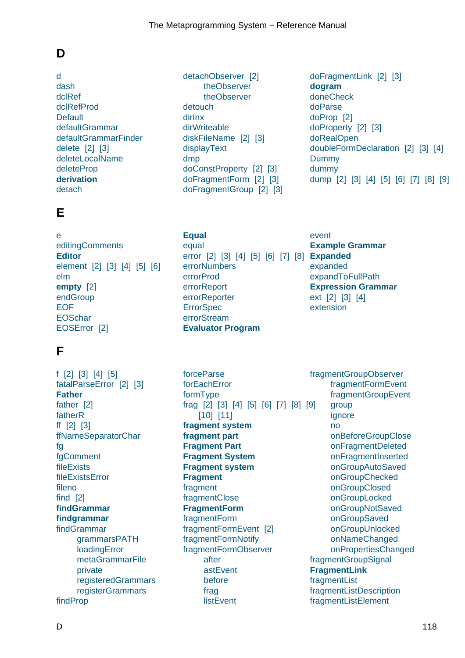#### **D**

d dash dclRef dclRefProd **[De](#page-70-0)fault** [defau](#page-105-0)ltGrammar [defaultG](#page-86-0)rammarFinder [delete](#page-86-0) [2] [3] [deleteLo](#page-103-0)calName [deleteProp](#page-59-0) **[derivation](#page-69-0)** [detach](#page-52-0)

#### **[E](#page-6-0)**

[e](#page-98-0) editingComments **Editor** element [2] [3] [4] [5] [6] [elm](#page-58-0) **[empty](#page-70-0)** [2] [endGro](#page-21-0)u[p](#page-100-0) [EOF](#page-92-0) **[EOS](#page-92-0)char** [EOSErr](#page-5-0)[or](#page-72-0) [2]

## **[F](#page-105-0)**

f [\[2\]](#page-71-0) [3] [[4\]](#page-72-0) [5] fatalParseError [2] [3] **Father** father [2] [fa](#page-60-0)[therR](#page-57-0) ff [\[2\]](#page-72-0) [3] [ffName](#page-11-0)[Se](#page-55-0)paratorChar fg **[fgComm](#page-57-0)ent** [file](#page-92-0)[Ex](#page-93-0)i[sts](#page-93-0) [fileExistsError](#page-57-0) [file](#page-92-0)no [find](#page-105-0) [2] **[findGram](#page-72-0)mar [findgrammar](#page-71-0)** [findGr](#page-78-0)ammar [gra](#page-58-0)mmarsPATH [loadingEr](#page-26-0)ror [metaGram](#page-35-0)marFile [private](#page-74-0) [registeredGramm](#page-74-0)ars [registerGrammars](#page-74-0) findP[rop](#page-74-0)

detachObserver [2] theObserver theObserver detouch [dirInx](#page-93-0) dirWr[iteable](#page-93-0) diskF[ileName](#page-94-0) [2] [3] [displayTe](#page-95-0)xt [dmp](#page-57-0) [doConstProp](#page-106-0)erty [2] [3] [doFragmentFo](#page-56-0)[rm](#page-59-0) [\[2\]](#page-61-0) [3] [doFragment](#page-77-0)Group [2] [3]

**[Equal](#page-75-0)** equal error [2] [3] [4] [5] [6] [7] [8] **Expanded** errorNumbers [errorPr](#page-11-0)od **[errorR](#page-45-0)eport [errorR](#page-80-0)[ep](#page-105-0)[orte](#page-69-0)r [ErrorSpec](#page-72-0)** [errorStream](#page-84-0) **[Evaluator P](#page-66-0)[ro](#page-64-0)gram**

[forceParse](#page-43-0) **forEachError** formType frag [2] [3] [4] [5] [6] [7] [8] [9] [\[10\]](#page-70-0) [11] **[fragment sys](#page-64-0)tem [fragment](#page-55-0) part [Frag](#page-96-0)[me](#page-44-0)[nt Part](#page-64-0) Fra[gme](#page-65-0)[nt Sy](#page-66-0)stem [Fragment system](#page-19-0) [Fragment](#page-21-0)** [fragment](#page-21-0) [fragmentClose](#page-19-0) **[FragmentForm](#page-21-0)** [fragmentFo](#page-19-0)rm [fragmentF](#page-55-0)ormEvent [2] [fragmentFormN](#page-70-0)otify [fragmentFormOb](#page-19-0)server after [astEvent](#page-91-0) [before](#page-93-0) [frag](#page-96-0) **[listEvent](#page-96-0)** 

doFragmentLink [2] [3] **dogram** doneCheck doParse [doProp](#page-75-0) [2] [doProper](#page-26-0)ty [2] [3] [doRealOpen](#page-60-0) [doubleFo](#page-66-0)[rm](#page-100-0)Declaration [2] [3] [4] **[Dummy](#page-100-0)** [dummy](#page-75-0) [dump](#page-72-0) [2] [3] [4] [5] [6] [\[7](#page-71-0)] [\[8](#page-72-0)] [\[9](#page-60-0)]

event **Example Grammar** expanded [expand](#page-91-0)ToFullPath **[Expression Gramm](#page-23-0)ar** ext [2] [3] [4] [extension](#page-50-0)

fragmentGroupObserver fragmentFormEvent fragmentGroupEvent group [ignore](#page-95-0) [no](#page-95-0) [onBeforeGroupClose](#page-95-0) [onFra](#page-95-0)gmentDeleted [onFrag](#page-95-0)mentInserted [on](#page-95-0)GroupAutoSaved [onGroupChecked](#page-96-0) [onGroupClosed](#page-95-0) [onGroupLocked](#page-95-0) [onGroupNotSaved](#page-96-0) [onGroupSaved](#page-96-0) [onGroupUnlocke](#page-96-0)d [onNameChange](#page-96-0)d [onPropertiesChang](#page-96-0)ed frag[mentGroupSigna](#page-96-0)l **Frag[mentLink](#page-96-0)** frag[mentList](#page-95-0) frag[mentListDescription](#page-95-0) [fragmentListElement](#page-92-0)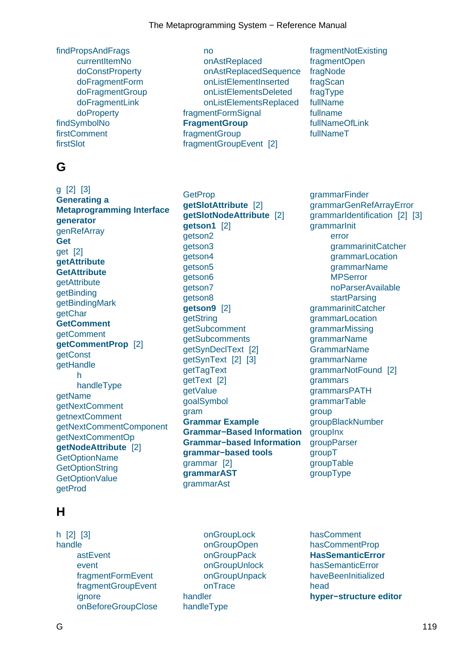#### **[G](#page-105-0)**

g [\[2\]](#page-61-0) [3] **Generating a Metaprogramming Interface generator [ge](#page-57-0)[nR](#page-60-0)[efAr](#page-57-0)ra[y](#page-21-0) [Get](#page-21-0)** [get](#page-21-0) [2] **[getAttribut](#page-24-0)e [GetAttribute](#page-67-0) [getA](#page-11-0)ttribute** [getB](#page-105-0)[ind](#page-50-0)ing [getBindingMa](#page-18-0)rk **[getChar](#page-11-0) [GetCommen](#page-45-0)t** [getCommen](#page-70-0)t **[getCommentPro](#page-70-0)p** [2] **[getConst](#page-52-0)** [getHandle](#page-11-0) h [handleType](#page-11-0) **[getName](#page-100-0)** [getNextCom](#page-91-0)ment getn[ex](#page-91-0)tComment getN[extComment](#page-91-0)Component [getNextCo](#page-100-0)mmentOp **[getNodeAttribute](#page-46-0)** [2] **[GetOptionName](#page-70-0) [GetOptionString](#page-47-0) [GetOptionValue](#page-47-0) [getProd](#page-11-0)** 

## **[H](#page-87-0)**

h [\[2\]](#page-86-0) [3] handle astEvent event f[rag](#page-91-0)mentFormEvent [fra](#page-91-0)gmentGroupEvent [ignore](#page-91-0) [onBeforeGroupClose](#page-91-0)

no onAstReplaced onAstReplacedSequence onListElementInserted [onL](#page-96-0)istElementsDeleted [onListElements](#page-96-0)Replaced frag[mentFormSignal](#page-96-0) **Frag[mentGroup](#page-96-0) frag[mentGroup](#page-96-0)** [fragm](#page-92-0)[entGroupEvent](#page-96-0) [2]

fragmentNotExisting fragmentOpen fragNode fragScan [fragType](#page-71-0) [fullName](#page-70-0) [fullname](#page-61-0) [fullNameO](#page-77-0)fLink [fullNameT](#page-57-0)

**GetProp getSlotAttribute** [2] **getSlotNodeAttribute** [2] **getson1** [2] [getson2](#page-100-0) [getson3](#page-11-0) [getson4](#page-11-0) [getson5](#page-11-0) [getson6](#page-51-0) [getson7](#page-51-0) [getson8](#page-51-0) **[getson9](#page-51-0)** [2] [getString](#page-51-0) [getSubco](#page-51-0)mment [getSubco](#page-51-0)mments [getSynDe](#page-11-0)[clT](#page-51-0)ext [2] [getSynTe](#page-100-0)xt [2] [3] [getTagText](#page-48-0) [getText](#page-47-0) [2] [getValue](#page-85-0) [goalSymbol](#page-85-0) [gram](#page-86-0) **[Gramma](#page-86-0)[r E](#page-52-0)xample [Grammar](#page-54-0)−Based Information [Grammar−b](#page-66-0)ased Information [gramm](#page-68-0)ar[−based to](#page-38-0)ols** [grammar](#page-38-0) [2] **[grammarAST](#page-24-0)** [grammarAst](#page-26-0)

grammarFinder grammarGenRefArrayError grammarIdentification [2] [3] grammarInit [error](#page-68-0) [grammarinitCatcher](#page-61-0) [grammarLocation](#page-84-0) [gramma](#page-80-0)rName **[MPS](#page-80-0)error** [noParserAvailable](#page-80-0) [startParsing](#page-80-0) gram[marinitCatcher](#page-80-0) gram[marLocati](#page-80-0)on gram[marMissing](#page-80-0) gram[marName](#page-80-0) [GrammarName](#page-80-0) [grammarName](#page-80-0) [grammarNotFoun](#page-69-0)d [2] [grammars](#page-80-0) [grammarsPATH](#page-81-0) [grammarTable](#page-68-0) group [groupBlack](#page-70-0)Number [groupInx](#page-74-0) [groupParser](#page-67-0) [groupT](#page-95-0) [groupTable](#page-71-0) [groupTyp](#page-57-0)[e](#page-59-0)

onGroupLock onGroupOpen onGroupPack onGroupUnlock [onGroupUnpa](#page-91-0)ck [onTrace](#page-91-0) handler hand[leType](#page-91-0)

hasComment hasCommentProp **HasSemanticError** hasSemanticError [haveBeenInitialized](#page-48-0) head **[hyper−structure ed](#page-11-0)itor**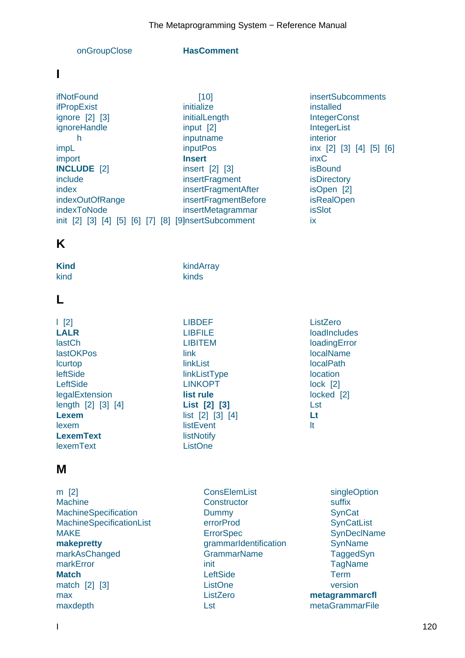**ifNotFound ifPropExist** ignore [2] [3] ignoreHandle  $h$ impL import **INCLUDE** [2] include index indexOutOfRange indexToNode init [2] [3] [4] [5] [6] [7] [8] [9]nsertSubcomment

 $[10]$ initialize initialLength input [2] inputname **inputPos Insert** insert [2] [3] insertFragment **insertFragmentAfter** insertFragmentBefore insertMetagrammar

**insertSubcomments** installed **IntegerConst IntegerList** *interior* inx [2] [3] [4] [5] [6] inxC **isBound isDirectory** isOpen [2] **isRealOpen isSlot** ix

# K

**Kind** kind

#### L

 $\lfloor 2 \rfloor$ **LALR lastCh lastOKPos Icurtop leftSide** LeftSide legalExtension length [2] [3] [4] Lexem lexem **LexemText lexemText** 

#### M

m [2] **Machine MachineSpecification** MachineSpecificationList **MAKE** makepretty markAsChanged markError **Match** match [2] [3] max maxdepth

**LIBDEF LIBFILE LIBITEM link linkList** linkListType **LINKOPT** list rule List [2] [3] list [2] [3] [4] listEvent listNotify ListOne

kindArray

kinds

ListZero **loadIncludes** loadingError **IocalName localPath** location lock [2] locked [2] Lst **Lt** It

**ConsElemList** Constructor Dummy errorProd **ErrorSpec grammarIdentification** GrammarName init LeftSide **ListOne** ListZero I st

singleOption suffix **SynCat SynCatList SynDeclName SynName** TaggedSyn **TagName Term** version metagrammarcfl metaGrammarFile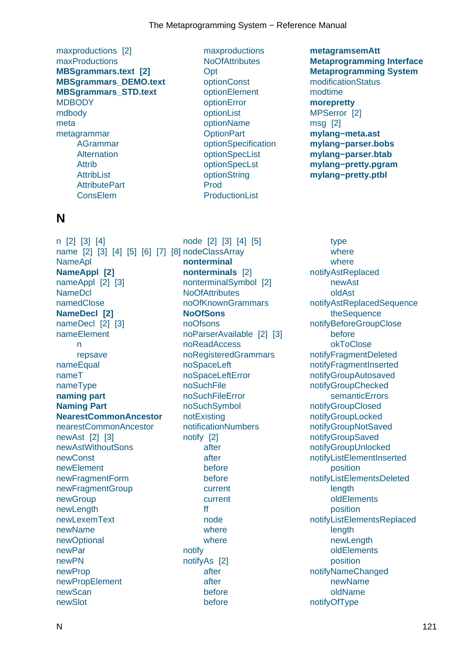maxproductions [2] maxProductions **MBSgrammars.text [2] MBSgrammars DEMO.text MBSgrammars STD.text MDBODY** mdbody meta metagrammar **AGrammar** Alternation **Attrib AttribList AttributePart** ConsElem

#### N

n [2] [3] [4] name [2] [3] [4] [5] [6] [7] [8] nodeClassArray NameApl NameAppl [2] nameAppl [2] [3] **NameDcl** namedClose **NameDecl [2]** nameDecl [2] [3] nameElement n. repsave nameEqual nameT nameType naming part **Naming Part NearestCommonAncestor** nearestCommonAncestor newAst [2] [3] newAstWithoutSons **newConst** newElement newFragmentForm newFragmentGroup newGroup newLenath newLexemText newName newOptional newPar newPN newProp newPropElement newScan newSlot

maxproductions **NoOfAttributes** Opt optionConst optionElement optionError optionList optionName **OptionPart** optionSpecification optionSpecList optionSpecLst optionString Prod ProductionList

metagramsemAtt **Metaprogramming Interface Metaprogramming System** modificationStatus modtime morepretty MPSerror [2]  $msq$  [2] mylang-meta.ast mylang-parser.bobs mylang-parser.btab mylang-pretty.pgram mylang-pretty.ptbl

node [2] [3] [4] [5] nonterminal nonterminals [2] nonterminalSymbol [2] **NoOfAttributes** noOfKnownGrammars **NoOfSons** noOfsons noParserAvailable [2] [3] noReadAccess noRegisteredGrammars noSpaceLeft noSpaceLeftError noSuchFile noSuchFileError noSuchSymbol notExisting notificationNumbers notify [2] after after before before current current ff. node where where notify notifyAs [2] after after before before

type where where notifyAstReplaced newAst oldAst notifyAstReplacedSequence theSequence notifyBeforeGroupClose **before** okToClose notifyFragmentDeleted notifyFragmentInserted notifyGroupAutosaved notifyGroupChecked semanticErrors notifyGroupClosed notifyGroupLocked notifyGroupNotSaved notifyGroupSaved notifyGroupUnlocked notifyListElementInserted position notifyListElementsDeleted lenath oldElements position notifyListElementsReplaced length newLenath oldElements position notifyNameChanged newName oldName notifyOfType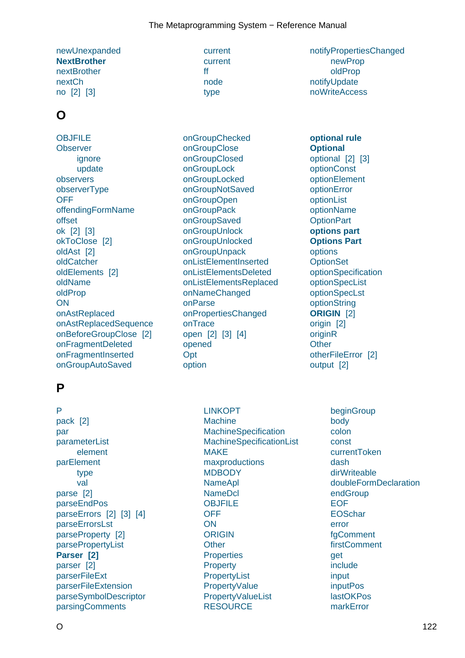newUnexpanded **NextBrother** nextBrother nextCh no [2] [3]

#### $\Omega$

**OBJFILE Observer** ignore update observers observerType **OFF** offendingFormName offset ok [2] [3] okToClose [2] oldAst [2] oldCatcher oldElements [2] oldName oldProp **ON** onAstReplaced onAstReplacedSequence onBeforeGroupClose [2] onFragmentDeleted onFragmentInserted onGroupAutoSaved

#### P

P pack [2] par parameterList element parElement type val parse [2] parseEndPos parseErrors [2] [3] [4] parseErrorsLst parseProperty [2] parsePropertyList Parser [2] parser [2] parserFileExt parserFileExtension parseSymbolDescriptor parsingComments

current current ff node type

onGroupChecked onGroupClose onGroupClosed onGroupLock onGroupLocked onGroupNotSaved onGroupOpen onGroupPack onGroupSaved onGroupUnlock onGroupUnlocked onGroupUnpack onListElementInserted onListElementsDeleted onListElementsReplaced onNameChanged onParse onPropertiesChanged onTrace open [2] [3] [4] opened Opt option

> **LINKOPT Machine MachineSpecification** MachineSpecificationList **MAKE** maxproductions **MDBODY NameApl NameDcl OBJFILE OFF ON ORIGIN Other Properties** Property PropertyList PropertyValue PropertyValueList **RESOURCE**

notifyPropertiesChanged newProp oldProp notifyUpdate noWriteAccess

optional rule **Optional** optional [2] [3] optionConst optionElement optionError optionList optionName **OptionPart** options part **Options Part** options **OptionSet** optionSpecification optionSpecList optionSpecLst optionString **ORIGIN [2]** origin [2] originR Other otherFileError [2] output [2]

> beginGroup body colon const currentToken **dash** dirWriteable doubleFormDeclaration endGroup **EOF EOSchar** error fgComment firstComment get include input *inputPos* **lastOKPos** markError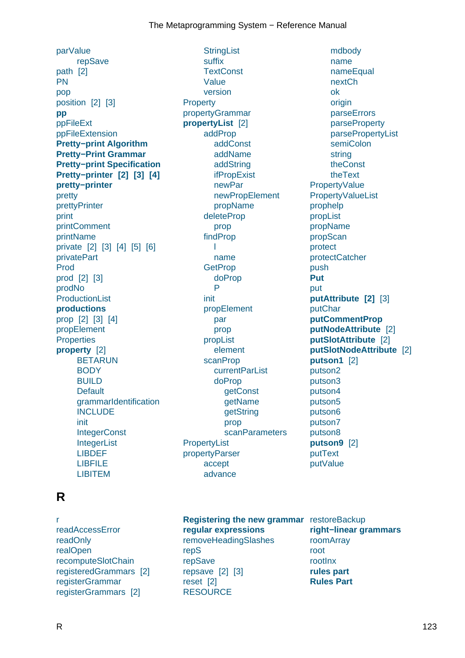parValue repSave path [2] **PN** pop position [2] [3] pp **ppFileExt** ppFileExtension **Pretty-print Algorithm Pretty-Print Grammar Pretty-print Specification** Pretty-printer [2] [3] [4] pretty-printer pretty prettyPrinter print printComment printName private [2] [3] [4] [5] [6] privatePart Prod prod [2] [3] prodNo **ProductionList** productions prop [2] [3] [4] propElement **Properties** property [2] **BETARUN BODY BUILD Default** grammarIdentification **INCLUDE** init **IntegerConst IntegerList LIBDEF LIBFILE LIBITEM** 

**StringList** suffix **TextConst** Value version Property propertyGrammar propertyList [2] addProp addConst addName addString **ifPropExist** newPar newPropElement propName deleteProp prop findProp T name **GetProp** doProp P init propElement par prop propList element scanProp currentParList doProp getConst qetName **getString** prop scanParameters PropertyList propertyParser accept advance

mdbody name nameEqual nextCh ok origin parseErrors parseProperty parsePropertyList semiColon string theConst theText PropertyValue PropertyValueList prophelp propList propName propScan protect protectCatcher push **Put** put putAttribute [2] [3] putChar **putCommentProp** putNodeAttribute [2] putSlotAttribute [2] putSlotNodeAttribute [2] putson1 [2] putson2 putson3 putson4 putson<sub>5</sub> putson6 putson7 putson<sub>8</sub> putson9 [2] putText putValue

#### R.

'n readAccessError readOnly realOpen recomputeSlotChain registeredGrammars [2] registerGrammar registerGrammars [2]

Registering the new grammar restoreBackup reqular expressions **removeHeadingSlashes** repS repSave repsave  $[2]$   $[3]$ reset [2] **RESOURCE** 

right-linear grammars roomArrav root rootlnx rules part **Rules Part**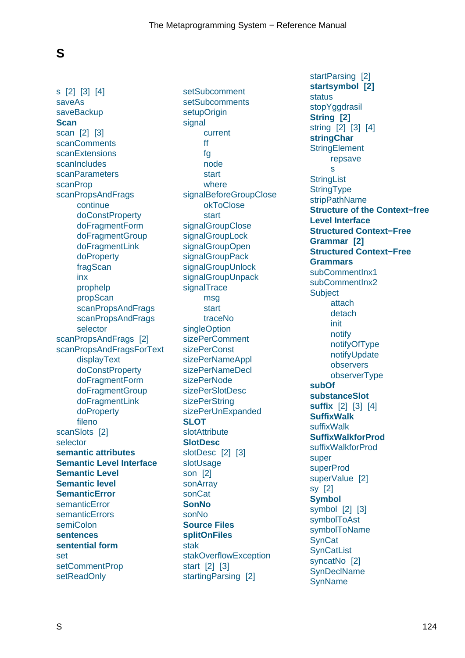s [2] [3] [4] saveAs saveBackup **Scan** [sc](#page-99-0)[an](#page-65-0) [\[2\]](#page-65-0) [\[3\]](#page-65-0) [scanCom](#page-59-0)ments [scanExtensio](#page-59-0)ns [scanIn](#page-11-0)cludes [scanP](#page-50-0)[ara](#page-57-0)[me](#page-67-0)ters [scanProp](#page-47-0) [scanPropsAndFr](#page-68-0)ags [continue](#page-57-0) [doConstPro](#page-100-0)perty [doFra](#page-100-0)gmentForm [doFragmentGro](#page-75-0)up [doFragm](#page-75-0)entLink [doProperty](#page-75-0) [fragScan](#page-75-0) [inx](#page-75-0) [prophelp](#page-75-0) [propScan](#page-75-0) [scanProp](#page-77-0)sAndFrags [sca](#page-75-0)nPropsAndFrags [selector](#page-75-0) scan[PropsAndF](#page-75-0)rags [2] scan[PropsAndFragsForTe](#page-75-0)xt [displayText](#page-75-0) [doConst](#page-75-0)Property [doFragmentForm](#page-75-0) [doFragmentGroup](#page-77-0) [doFragmen](#page-77-0)tLink [doProperty](#page-78-0) [fileno](#page-78-0) scan[Slots](#page-78-0) [2] selec[tor](#page-78-0) **sem[antic attribu](#page-77-0)tes Sem[antic L](#page-78-0)evel Interface [Semantic](#page-57-0) [Lev](#page-61-0)el [Semanti](#page-75-0)c level [SemanticError](#page-18-0)** [semanticError](#page-41-0) [semanticErrors](#page-18-0) [semiColon](#page-4-0) **[sentences](#page-11-0) [sentential form](#page-49-0)** set [setCommen](#page-105-0)tProp [setReadOnly](#page-5-0)

setSubcomment **setSubcomments** setupOrigin signal [current](#page-48-0) ff [fg](#page-56-0) [n](#page-92-0)ode [start](#page-92-0) [w](#page-92-0)here signa[lB](#page-92-0)eforeGroupClose [okTo](#page-92-0)Close [start](#page-92-0) **signa[lGroup](#page-92-0)Close [signalGroupLock](#page-92-0)** signa[lGroupOpe](#page-92-0)n signa[lGrou](#page-92-0)pPack [signalGroupUnlock](#page-92-0) [signalGroupUnpac](#page-92-0)k **[signalTrace](#page-92-0)** msg [start](#page-92-0) [traceNo](#page-92-0) [singleOption](#page-92-0) size[PerCo](#page-92-0)mment size[PerCo](#page-92-0)nst size[PerName](#page-92-0)Appl [sizePerName](#page-83-0)Decl [sizePerNode](#page-71-0) [sizePerSlotDe](#page-71-0)sc **[sizePerString](#page-71-0)** [sizePerUnExpande](#page-71-0)d **[SLOT](#page-71-0) [slotAttribute](#page-71-0) [SlotDesc](#page-71-0)** [slotDesc](#page-71-0) [2] [3] [slotUsa](#page-18-0)ge [son](#page-71-0) [2] [sonArray](#page-12-0) [sonCat](#page-55-0) **[SonNo](#page-71-0)** [sonN](#page-44-0)[o](#page-50-0) **[Source F](#page-67-0)iles [splitOn](#page-52-0)Files** [stak](#page-11-0) [stakOve](#page-44-0)rflowException [start](#page-33-0) [2] [\[3\]](#page-33-0) [startingParsin](#page-22-0)g [2]

startParsing [2] **startsymbol [2]** status stopYggdrasi[l](#page-68-0) **[String](#page-80-0) [2]** [string](#page-22-0) [2] [3] [\[4\]](#page-5-0) **[stringC](#page-60-0)har [StringElement](#page-49-0)** r[e](#page-53-0)[psa](#page-12-0)[ve](#page-67-0) [s](#page-105-0) **[StringList](#page-22-0) [StringType](#page-99-0)** strip[PathNam](#page-99-0)e **Stru[ctu](#page-99-0)re of the Context−free [Level Inte](#page-103-0)rface [Structured](#page-99-0) Context−Free [Grammar](#page-69-0) [2] [Structured Context−Free](#page-13-0) [Grammars](#page-13-0)** [subCommentInx1](#page-9-0) [subComm](#page-9-0)[entI](#page-14-0)[nx2](#page-6-0) **[Subject](#page-6-0)** [attach](#page-6-0) [detach](#page-92-0) [init](#page-92-0) [not](#page-98-0)ify [notifyO](#page-98-0)fType [notifyU](#page-98-0)pdate [obs](#page-98-0)ervers [observerType](#page-98-0) **subOf subs[tanceSlot](#page-98-0) suffix** [2] [3] [4] **Suffi[xWalk](#page-98-0)** [suffixW](#page-22-0)alk **[SuffixWalkforPr](#page-22-0)od** [suffixW](#page-22-0)[alk](#page-84-0)f[orP](#page-104-0)[rod](#page-65-0) [super](#page-11-0) [superProd](#page-50-0) [superValue](#page-11-0) [2] sy [2] **[Symbo](#page-72-0)l** [symbol](#page-85-0) [2] [\[3\]](#page-85-0) [symbolToAs](#page-85-0)t [sym](#page-54-0)[bo](#page-60-0)lToName **[SynCat](#page-11-0) [SynCatL](#page-44-0)[ist](#page-64-0)** [syncatNo](#page-64-0) [2] **[SynDeclName](#page-64-0) [SynNam](#page-82-0)[e](#page-81-0)**